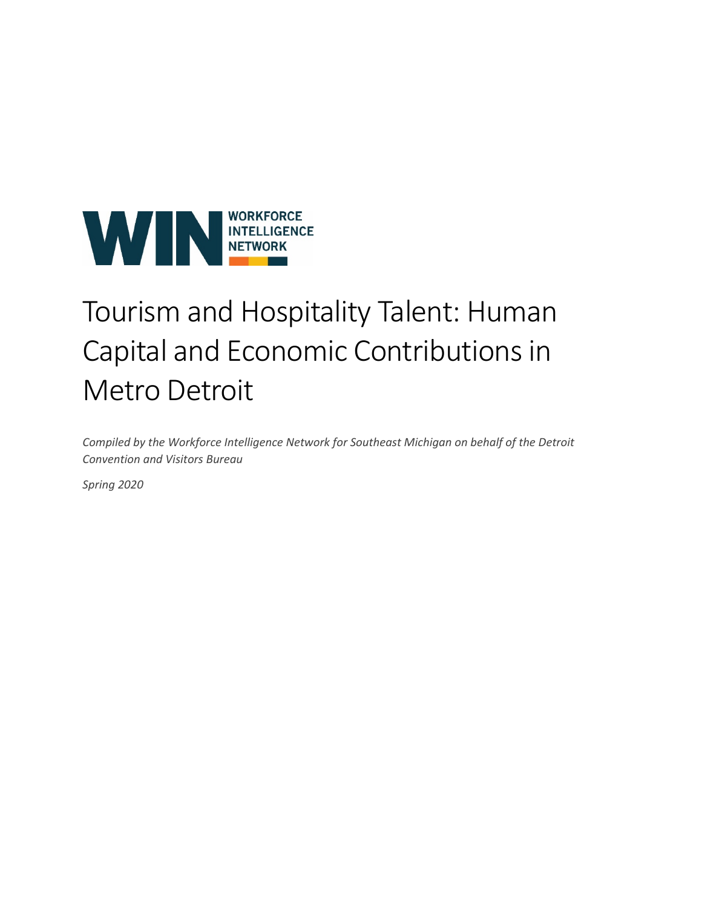

# Tourism and Hospitality Talent: Human Capital and Economic Contributions in Metro Detroit

*Compiled by the Workforce Intelligence Network for Southeast Michigan on behalf of the Detroit Convention and Visitors Bureau*

*Spring 2020*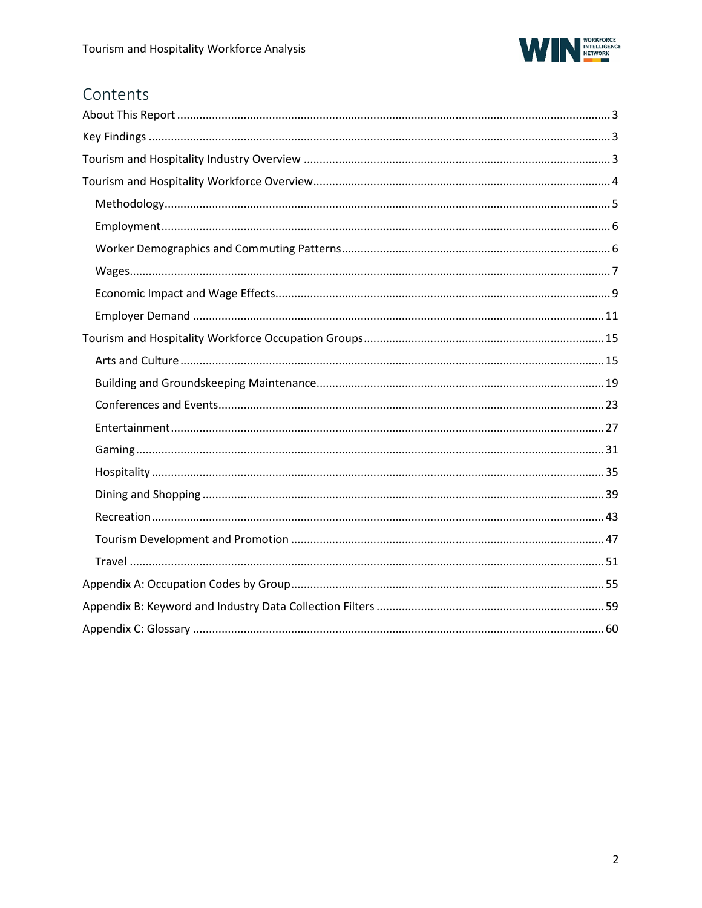

# Contents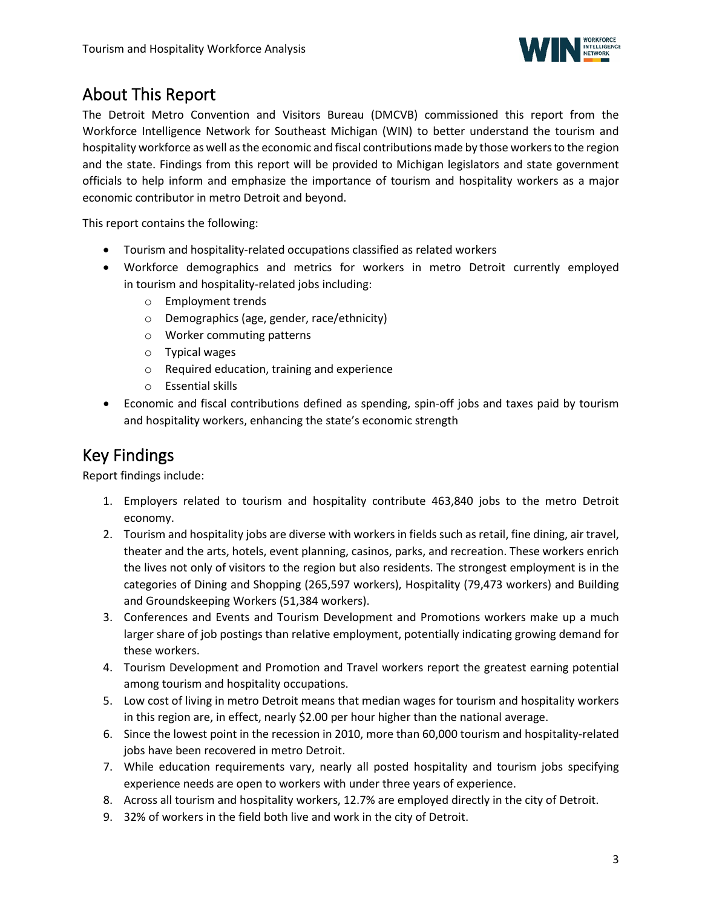

# <span id="page-2-0"></span>About This Report

The Detroit Metro Convention and Visitors Bureau (DMCVB) commissioned this report from the Workforce Intelligence Network for Southeast Michigan (WIN) to better understand the tourism and hospitality workforce as well as the economic and fiscal contributions made by those workers to the region and the state. Findings from this report will be provided to Michigan legislators and state government officials to help inform and emphasize the importance of tourism and hospitality workers as a major economic contributor in metro Detroit and beyond.

This report contains the following:

- Tourism and hospitality-related occupations classified as related workers
- Workforce demographics and metrics for workers in metro Detroit currently employed in tourism and hospitality-related jobs including:
	- o Employment trends
	- o Demographics (age, gender, race/ethnicity)
	- o Worker commuting patterns
	- o Typical wages
	- o Required education, training and experience
	- o Essential skills
- Economic and fiscal contributions defined as spending, spin-off jobs and taxes paid by tourism and hospitality workers, enhancing the state's economic strength

# <span id="page-2-1"></span>Key Findings

Report findings include:

- <span id="page-2-2"></span>1. Employers related to tourism and hospitality contribute 463,840 jobs to the metro Detroit economy.
- 2. Tourism and hospitality jobs are diverse with workers in fields such as retail, fine dining, air travel, theater and the arts, hotels, event planning, casinos, parks, and recreation. These workers enrich the lives not only of visitors to the region but also residents. The strongest employment is in the categories of Dining and Shopping (265,597 workers), Hospitality (79,473 workers) and Building and Groundskeeping Workers (51,384 workers).
- 3. Conferences and Events and Tourism Development and Promotions workers make up a much larger share of job postings than relative employment, potentially indicating growing demand for these workers.
- 4. Tourism Development and Promotion and Travel workers report the greatest earning potential among tourism and hospitality occupations.
- 5. Low cost of living in metro Detroit means that median wages for tourism and hospitality workers in this region are, in effect, nearly \$2.00 per hour higher than the national average.
- 6. Since the lowest point in the recession in 2010, more than 60,000 tourism and hospitality-related jobs have been recovered in metro Detroit.
- 7. While education requirements vary, nearly all posted hospitality and tourism jobs specifying experience needs are open to workers with under three years of experience.
- 8. Across all tourism and hospitality workers, 12.7% are employed directly in the city of Detroit.
- 9. 32% of workers in the field both live and work in the city of Detroit.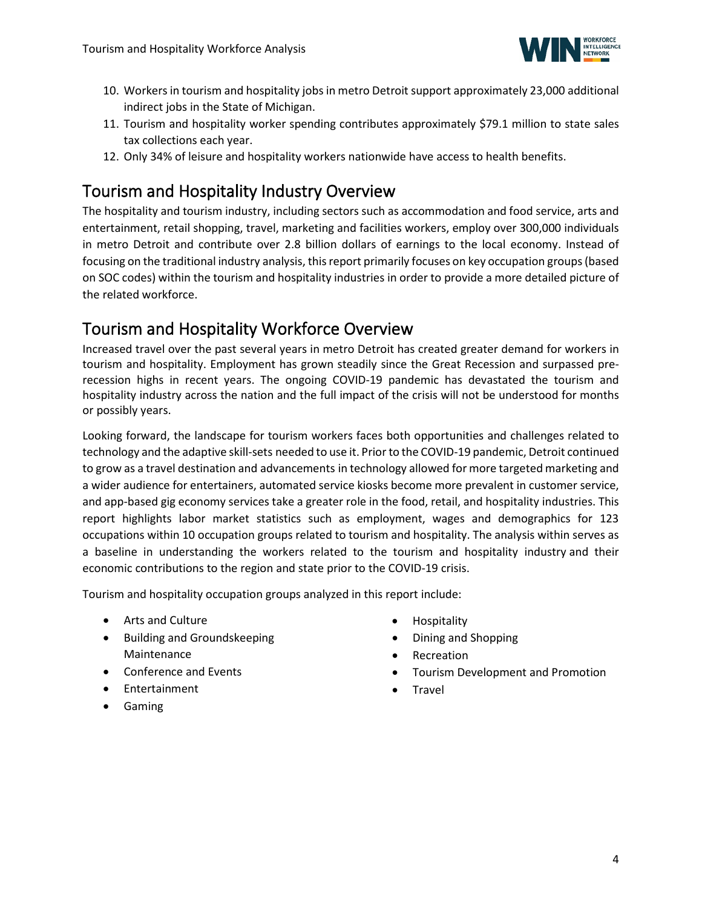

- 10. Workers in tourism and hospitality jobs in metro Detroit support approximately 23,000 additional indirect jobs in the State of Michigan.
- 11. Tourism and hospitality worker spending contributes approximately \$79.1 million to state sales tax collections each year.
- 12. Only 34% of leisure and hospitality workers nationwide have access to health benefits.

# Tourism and Hospitality Industry Overview

The hospitality and tourism industry, including sectors such as accommodation and food service, arts and entertainment, retail shopping, travel, marketing and facilities workers, employ over 300,000 individuals in metro Detroit and contribute over 2.8 billion dollars of earnings to the local economy. Instead of focusing on the traditional industry analysis, this report primarily focuses on key occupation groups (based on SOC codes) within the tourism and hospitality industries in order to provide a more detailed picture of the related workforce.

# <span id="page-3-0"></span>Tourism and Hospitality Workforce Overview

Increased travel over the past several years in metro Detroit has created greater demand for workers in tourism and hospitality. Employment has grown steadily since the Great Recession and surpassed prerecession highs in recent years. The ongoing COVID-19 pandemic has devastated the tourism and hospitality industry across the nation and the full impact of the crisis will not be understood for months or possibly years.

Looking forward, the landscape for tourism workers faces both opportunities and challenges related to technology and the adaptive skill-sets needed to use it. Prior to the COVID-19 pandemic, Detroit continued to grow as a travel destination and advancements in technology allowed for more targeted marketing and a wider audience for entertainers, automated service kiosks become more prevalent in customer service, and app-based gig economy services take a greater role in the food, retail, and hospitality industries. This report highlights labor market statistics such as employment, wages and demographics for 123 occupations within 10 occupation groups related to tourism and hospitality. The analysis within serves as a baseline in understanding the workers related to the tourism and hospitality industry and their economic contributions to the region and state prior to the COVID-19 crisis.

Tourism and hospitality occupation groups analyzed in this report include:

- Arts and Culture
- Building and Groundskeeping Maintenance
- Conference and Events
- Entertainment
- <span id="page-3-1"></span>• Gaming
- Hospitality
- Dining and Shopping
- **Recreation**
- Tourism Development and Promotion
- **Travel**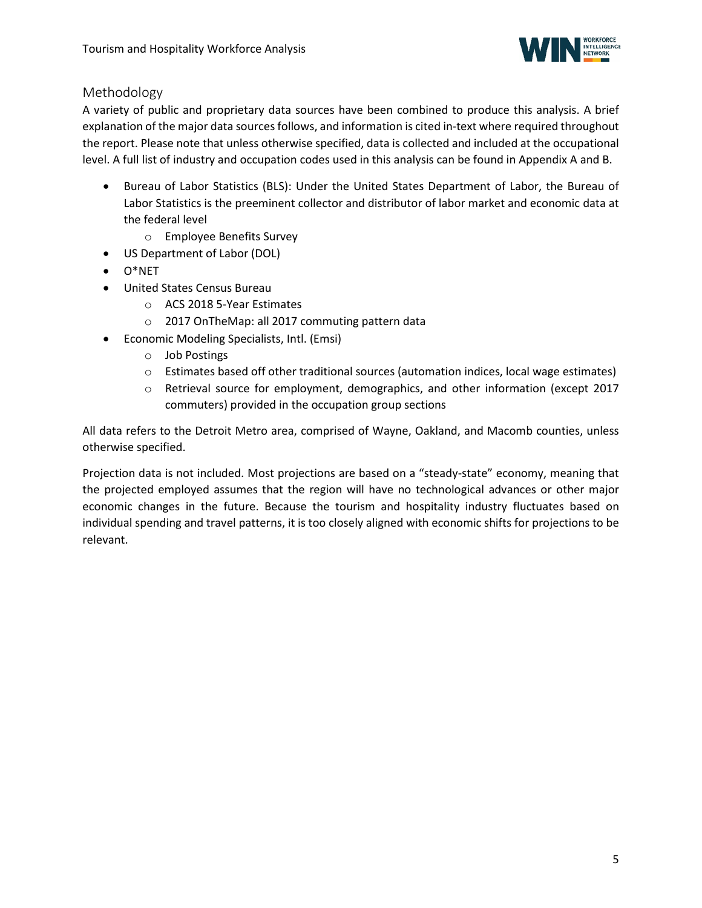

### Methodology

A variety of public and proprietary data sources have been combined to produce this analysis. A brief explanation of the major data sources follows, and information is cited in-text where required throughout the report. Please note that unless otherwise specified, data is collected and included at the occupational level. A full list of industry and occupation codes used in this analysis can be found in Appendix A and B.

- Bureau of Labor Statistics (BLS): Under the United States Department of Labor, the Bureau of Labor Statistics is the preeminent collector and distributor of labor market and economic data at the federal level
	- o Employee Benefits Survey
- US Department of Labor (DOL)
- O\*NET
- United States Census Bureau
	- o ACS 2018 5-Year Estimates
	- o 2017 OnTheMap: all 2017 commuting pattern data
- Economic Modeling Specialists, Intl. (Emsi)
	- o Job Postings
	- o Estimates based off other traditional sources (automation indices, local wage estimates)
	- o Retrieval source for employment, demographics, and other information (except 2017 commuters) provided in the occupation group sections

All data refers to the Detroit Metro area, comprised of Wayne, Oakland, and Macomb counties, unless otherwise specified.

Projection data is not included. Most projections are based on a "steady-state" economy, meaning that the projected employed assumes that the region will have no technological advances or other major economic changes in the future. Because the tourism and hospitality industry fluctuates based on individual spending and travel patterns, it is too closely aligned with economic shifts for projections to be relevant.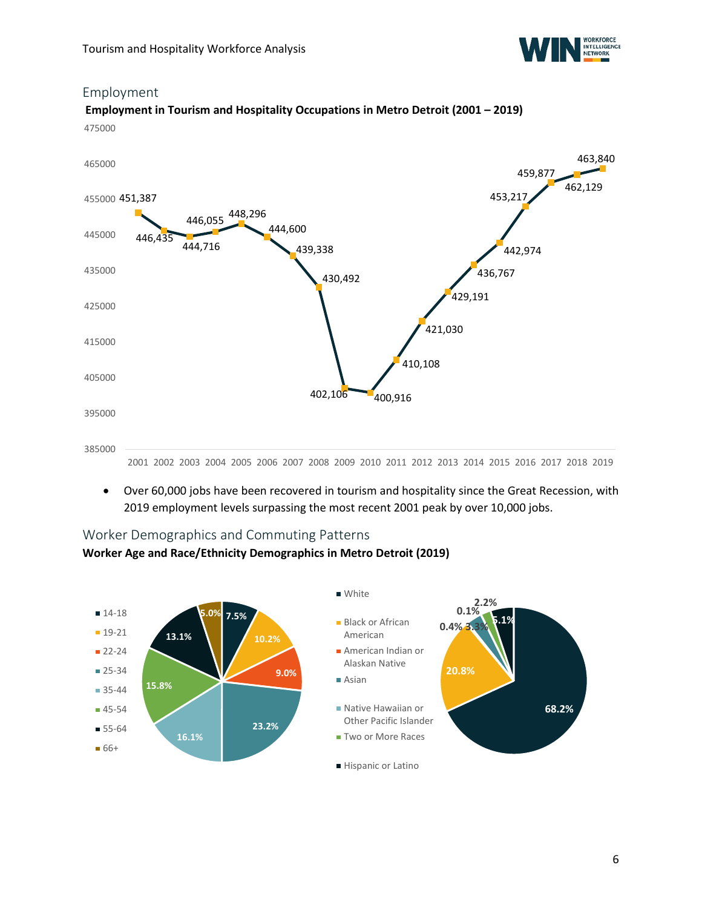

### <span id="page-5-0"></span>Employment

### **Employment in Tourism and Hospitality Occupations in Metro Detroit (2001 – 2019)** 475000



• Over 60,000 jobs have been recovered in tourism and hospitality since the Great Recession, with 2019 employment levels surpassing the most recent 2001 peak by over 10,000 jobs.

### <span id="page-5-1"></span>Worker Demographics and Commuting Patterns

### **Worker Age and Race/Ethnicity Demographics in Metro Detroit (2019)**

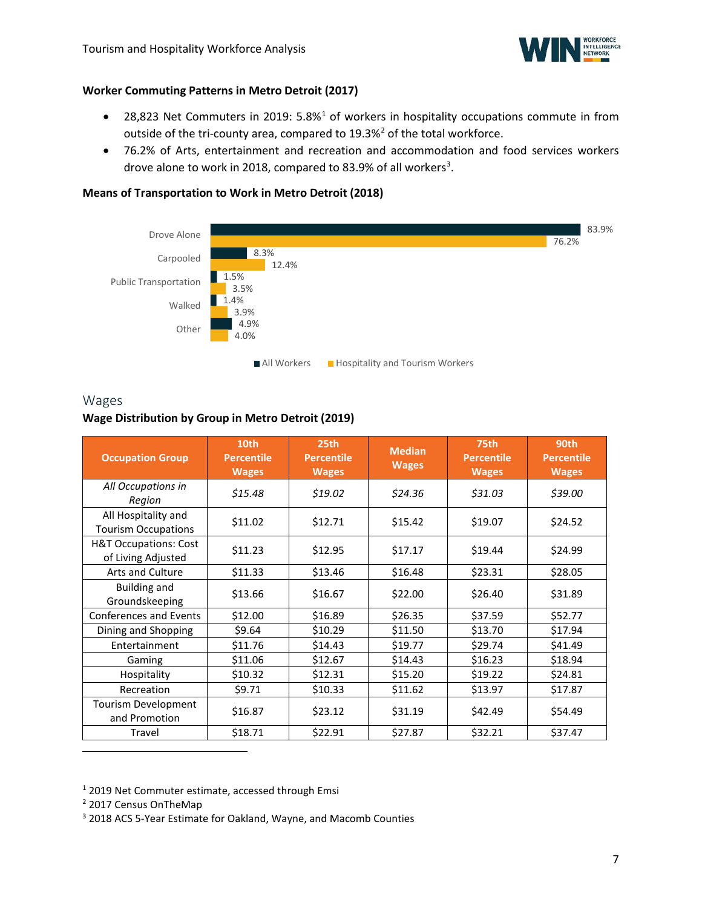

### **Worker Commuting Patterns in Metro Detroit (2017)**

- 28,823 Net Commuters in 20[1](#page-6-1)9: 5.8%<sup>1</sup> of workers in hospitality occupations commute in from outside of the tri-county area, compared to 19.3%<sup>[2](#page-6-2)</sup> of the total workforce.
- 76.2% of Arts, entertainment and recreation and accommodation and food services workers drove alone to work in 2018, compared to 8[3](#page-6-3).9% of all workers<sup>3</sup>.

### **Means of Transportation to Work in Metro Detroit (2018)**



### <span id="page-6-0"></span>Wages

### **Wage Distribution by Group in Metro Detroit (2019)**

| <b>Occupation Group</b>                                | 10th<br><b>Percentile</b><br><b>Wages</b> | 25th<br><b>Percentile</b><br><b>Wages</b> | <b>Median</b><br><b>Wages</b> | <b>75th</b><br><b>Percentile</b><br><b>Wages</b> | 90th<br><b>Percentile</b><br><b>Wages</b> |
|--------------------------------------------------------|-------------------------------------------|-------------------------------------------|-------------------------------|--------------------------------------------------|-------------------------------------------|
| All Occupations in<br>Region                           | \$15.48                                   | \$19.02                                   | \$24.36                       | \$31.03                                          | \$39.00                                   |
| All Hospitality and<br><b>Tourism Occupations</b>      | \$11.02                                   | \$12.71                                   | \$15.42                       | \$19.07                                          | \$24.52                                   |
| <b>H&amp;T Occupations: Cost</b><br>of Living Adjusted | \$11.23                                   | \$12.95                                   | \$17.17                       | \$19.44                                          | \$24.99                                   |
| <b>Arts and Culture</b>                                | \$11.33                                   | \$13.46                                   | \$16.48                       | \$23.31                                          | \$28.05                                   |
| <b>Building and</b><br>Groundskeeping                  | \$13.66                                   | \$16.67                                   | \$22.00                       | \$26.40                                          | \$31.89                                   |
| <b>Conferences and Events</b>                          | \$12.00                                   | \$16.89                                   | \$26.35                       | \$37.59                                          | \$52.77                                   |
| Dining and Shopping                                    | \$9.64                                    | \$10.29                                   | \$11.50                       | \$13.70                                          | \$17.94                                   |
| Entertainment                                          | \$11.76                                   | \$14.43                                   | \$19.77                       | \$29.74                                          | \$41.49                                   |
| Gaming                                                 | \$11.06                                   | \$12.67                                   | \$14.43                       | \$16.23                                          | \$18.94                                   |
| Hospitality                                            | \$10.32                                   | \$12.31                                   | \$15.20                       | \$19.22                                          | \$24.81                                   |
| Recreation                                             | \$9.71                                    | \$10.33                                   | \$11.62                       | \$13.97                                          | \$17.87                                   |
| Tourism Development<br>and Promotion                   | \$16.87                                   | \$23.12                                   | \$31.19                       | \$42.49                                          | \$54.49                                   |
| Travel                                                 | \$18.71                                   | \$22.91                                   | \$27.87                       | \$32.21                                          | \$37.47                                   |

<span id="page-6-1"></span><sup>1</sup> 2019 Net Commuter estimate, accessed through Emsi

<span id="page-6-2"></span><sup>2</sup> 2017 Census OnTheMap

<span id="page-6-3"></span><sup>3</sup> 2018 ACS 5-Year Estimate for Oakland, Wayne, and Macomb Counties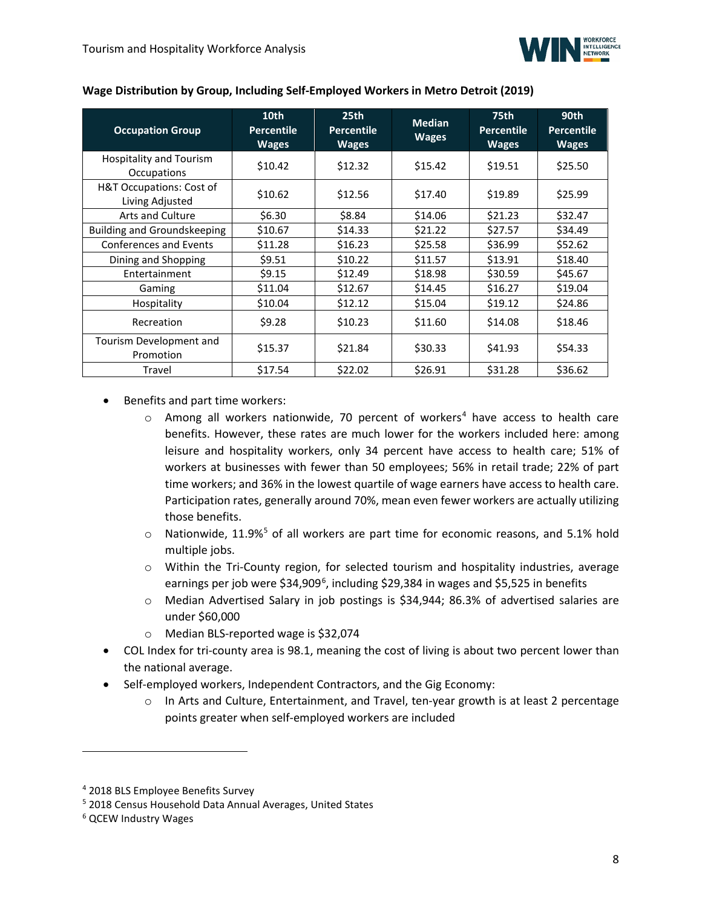

| Wage Distribution by Group, Including Self-Employed Workers in Metro Detroit (2019) |  |  |
|-------------------------------------------------------------------------------------|--|--|
|-------------------------------------------------------------------------------------|--|--|

| <b>Occupation Group</b>                     | 10 <sub>th</sub><br><b>Percentile</b><br><b>Wages</b> | 25 <sub>th</sub><br><b>Percentile</b><br>Wages | <b>Median</b><br><b>Wages</b> | <b>75th</b><br><b>Percentile</b><br><b>Wages</b> | 90th<br><b>Percentile</b><br><b>Wages</b> |
|---------------------------------------------|-------------------------------------------------------|------------------------------------------------|-------------------------------|--------------------------------------------------|-------------------------------------------|
| Hospitality and Tourism<br>Occupations      | \$10.42                                               | \$12.32                                        | \$15.42                       | \$19.51                                          | \$25.50                                   |
| H&T Occupations: Cost of<br>Living Adjusted | \$10.62                                               | \$12.56                                        | \$17.40                       | \$19.89                                          | \$25.99                                   |
| <b>Arts and Culture</b>                     | \$6.30                                                | \$8.84                                         | \$14.06                       | \$21.23                                          | \$32.47                                   |
| <b>Building and Groundskeeping</b>          | \$10.67                                               | \$14.33                                        | \$21.22                       | \$27.57                                          | \$34.49                                   |
| <b>Conferences and Events</b>               | \$11.28                                               | \$16.23                                        | \$25.58                       | \$36.99                                          | \$52.62                                   |
| Dining and Shopping                         | \$9.51                                                | \$10.22                                        | \$11.57                       | \$13.91                                          | \$18.40                                   |
| Entertainment                               | \$9.15                                                | \$12.49                                        | \$18.98                       | \$30.59                                          | \$45.67                                   |
| Gaming                                      | \$11.04                                               | \$12.67                                        | \$14.45                       | \$16.27                                          | \$19.04                                   |
| Hospitality                                 | \$10.04                                               | \$12.12                                        | \$15.04                       | \$19.12                                          | \$24.86                                   |
| Recreation                                  | \$9.28                                                | \$10.23                                        | \$11.60                       | \$14.08                                          | \$18.46                                   |
| Tourism Development and<br>Promotion        | \$15.37                                               | \$21.84                                        | \$30.33                       | \$41.93                                          | \$54.33                                   |
| Travel                                      | \$17.54                                               | \$22.02                                        | \$26.91                       | \$31.28                                          | \$36.62                                   |

• Benefits and part time workers:

- $\circ$  Among all workers nationwide, 70 percent of workers<sup>[4](#page-7-0)</sup> have access to health care benefits. However, these rates are much lower for the workers included here: among leisure and hospitality workers, only 34 percent have access to health care; 51% of workers at businesses with fewer than 50 employees; 56% in retail trade; 22% of part time workers; and 36% in the lowest quartile of wage earners have access to health care. Participation rates, generally around 70%, mean even fewer workers are actually utilizing those benefits.
- $\circ$  Nationwide, 11.9%<sup>[5](#page-7-1)</sup> of all workers are part time for economic reasons, and 5.1% hold multiple jobs.
- o Within the Tri-County region, for selected tourism and hospitality industries, average earnings per job were \$34,909<sup>[6](#page-7-2)</sup>, including \$29,384 in wages and \$5,525 in benefits
- o Median Advertised Salary in job postings is \$34,944; 86.3% of advertised salaries are under \$60,000
- o Median BLS-reported wage is \$32,074
- COL Index for tri-county area is 98.1, meaning the cost of living is about two percent lower than the national average.
- Self-employed workers, Independent Contractors, and the Gig Economy:
	- o In Arts and Culture, Entertainment, and Travel, ten-year growth is at least 2 percentage points greater when self-employed workers are included

<span id="page-7-0"></span><sup>4</sup> 2018 BLS Employee Benefits Survey

<span id="page-7-1"></span><sup>5</sup> 2018 Census Household Data Annual Averages, United States

<span id="page-7-2"></span><sup>6</sup> QCEW Industry Wages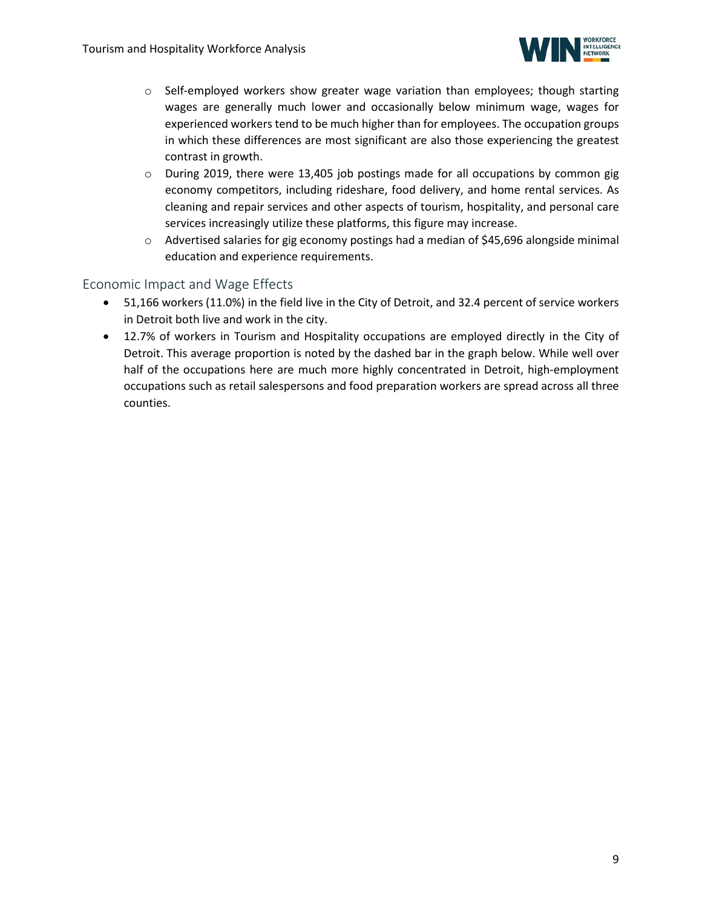

- $\circ$  Self-employed workers show greater wage variation than employees; though starting wages are generally much lower and occasionally below minimum wage, wages for experienced workers tend to be much higher than for employees. The occupation groups in which these differences are most significant are also those experiencing the greatest contrast in growth.
- $\circ$  During 2019, there were 13,405 job postings made for all occupations by common gig economy competitors, including rideshare, food delivery, and home rental services. As cleaning and repair services and other aspects of tourism, hospitality, and personal care services increasingly utilize these platforms, this figure may increase.
- o Advertised salaries for gig economy postings had a median of \$45,696 alongside minimal education and experience requirements.

### <span id="page-8-0"></span>Economic Impact and Wage Effects

- 51,166 workers (11.0%) in the field live in the City of Detroit, and 32.4 percent of service workers in Detroit both live and work in the city.
- 12.7% of workers in Tourism and Hospitality occupations are employed directly in the City of Detroit. This average proportion is noted by the dashed bar in the graph below. While well over half of the occupations here are much more highly concentrated in Detroit, high-employment occupations such as retail salespersons and food preparation workers are spread across all three counties.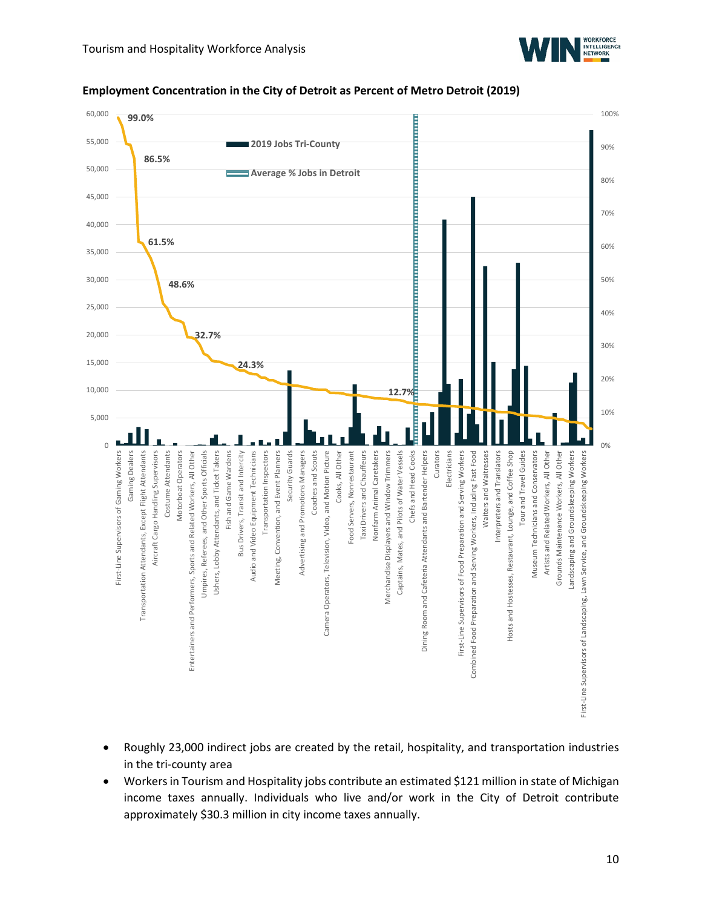



#### **Employment Concentration in the City of Detroit as Percent of Metro Detroit (2019)**

- Roughly 23,000 indirect jobs are created by the retail, hospitality, and transportation industries in the tri-county area
- Workers in Tourism and Hospitality jobs contribute an estimated \$121 million in state of Michigan income taxes annually. Individuals who live and/or work in the City of Detroit contribute approximately \$30.3 million in city income taxes annually.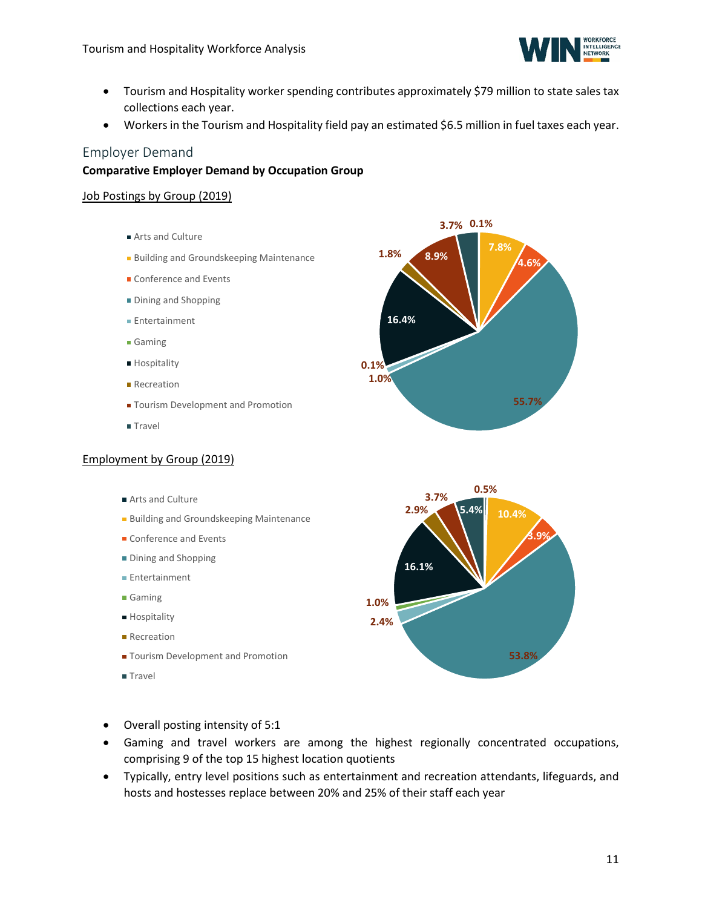

- Tourism and Hospitality worker spending contributes approximately \$79 million to state sales tax collections each year.
- Workers in the Tourism and Hospitality field pay an estimated \$6.5 million in fuel taxes each year.

### <span id="page-10-0"></span>Employer Demand

### **Comparative Employer Demand by Occupation Group**

### Job Postings by Group (2019)

- Arts and Culture
- **Building and Groundskeeping Maintenance**
- Conference and Events
- **Dining and Shopping**
- **Entertainment**
- Gaming
- **Hospitality**
- **Recreation**
- **T**ourism Development and Promotion
- **Travel**

#### Employment by Group (2019)

- Arts and Culture
- **Building and Groundskeeping Maintenance**
- Conference and Events
- **Dining and Shopping**
- Entertainment
- Gaming
- **Hospitality**
- **Recreation**
- **T** Tourism Development and Promotion
- **Travel**





- Overall posting intensity of 5:1
- Gaming and travel workers are among the highest regionally concentrated occupations, comprising 9 of the top 15 highest location quotients
- Typically, entry level positions such as entertainment and recreation attendants, lifeguards, and hosts and hostesses replace between 20% and 25% of their staff each year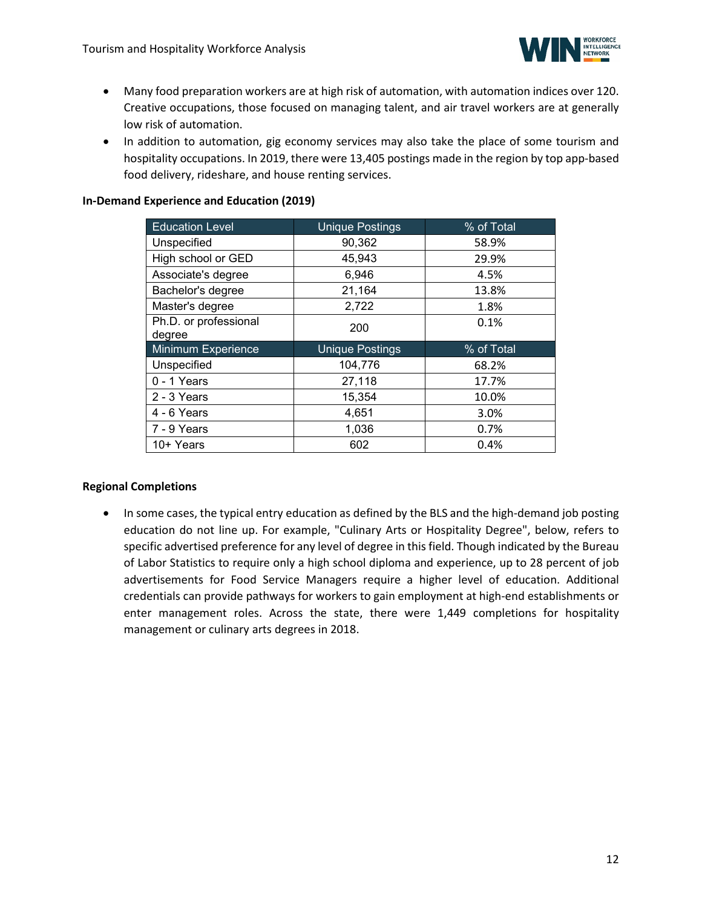

- Many food preparation workers are at high risk of automation, with automation indices over 120. Creative occupations, those focused on managing talent, and air travel workers are at generally low risk of automation.
- In addition to automation, gig economy services may also take the place of some tourism and hospitality occupations. In 2019, there were 13,405 postings made in the region by top app-based food delivery, rideshare, and house renting services.

### **In-Demand Experience and Education (2019)**

| <b>Education Level</b>          | <b>Unique Postings</b> | % of Total |
|---------------------------------|------------------------|------------|
| Unspecified                     | 90,362                 | 58.9%      |
| High school or GED              | 45,943                 | 29.9%      |
| Associate's degree              | 6,946                  | 4.5%       |
| Bachelor's degree               | 21,164                 | 13.8%      |
| Master's degree                 | 2,722                  | 1.8%       |
| Ph.D. or professional<br>degree | 200                    | 0.1%       |
| <b>Minimum Experience</b>       | <b>Unique Postings</b> | % of Total |
| Unspecified                     | 104,776                | 68.2%      |
| 0 - 1 Years                     | 27,118                 | 17.7%      |
| 2 - 3 Years                     | 15,354                 | 10.0%      |
| 4 - 6 Years                     | 4,651                  | 3.0%       |
| 7 - 9 Years                     | 1,036                  | 0.7%       |
| 10+ Years                       | 602                    | 0.4%       |

### **Regional Completions**

• In some cases, the typical entry education as defined by the BLS and the high-demand job posting education do not line up. For example, "Culinary Arts or Hospitality Degree", below, refers to specific advertised preference for any level of degree in this field. Though indicated by the Bureau of Labor Statistics to require only a high school diploma and experience, up to 28 percent of job advertisements for Food Service Managers require a higher level of education. Additional credentials can provide pathways for workers to gain employment at high-end establishments or enter management roles. Across the state, there were 1,449 completions for hospitality management or culinary arts degrees in 2018.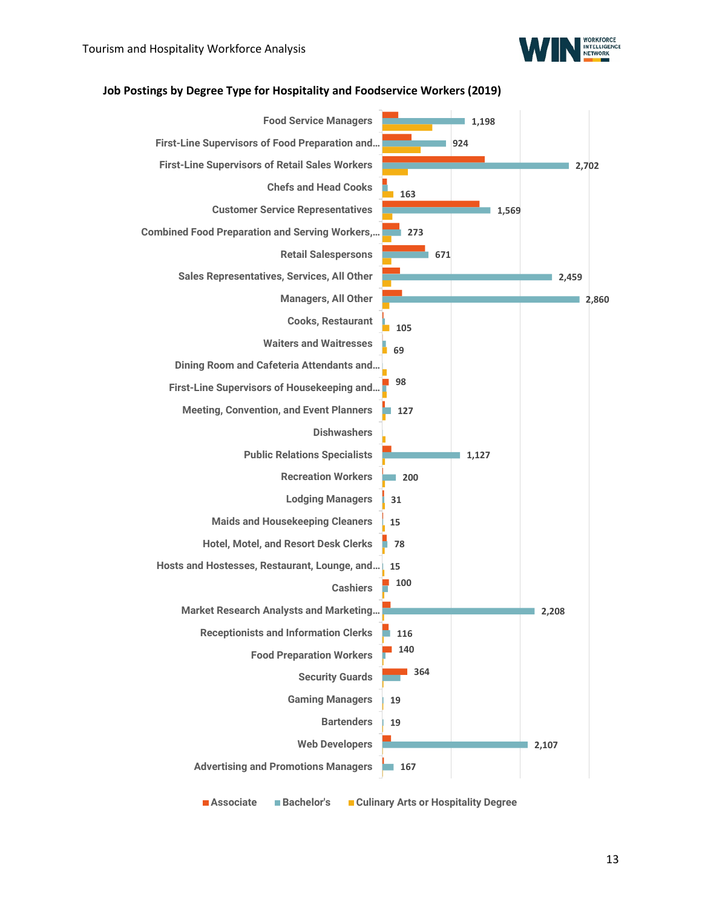



#### **Job Postings by Degree Type for Hospitality and Foodservice Workers (2019)**

**Associate Bachelor's Culinary Arts or Hospitality Degree**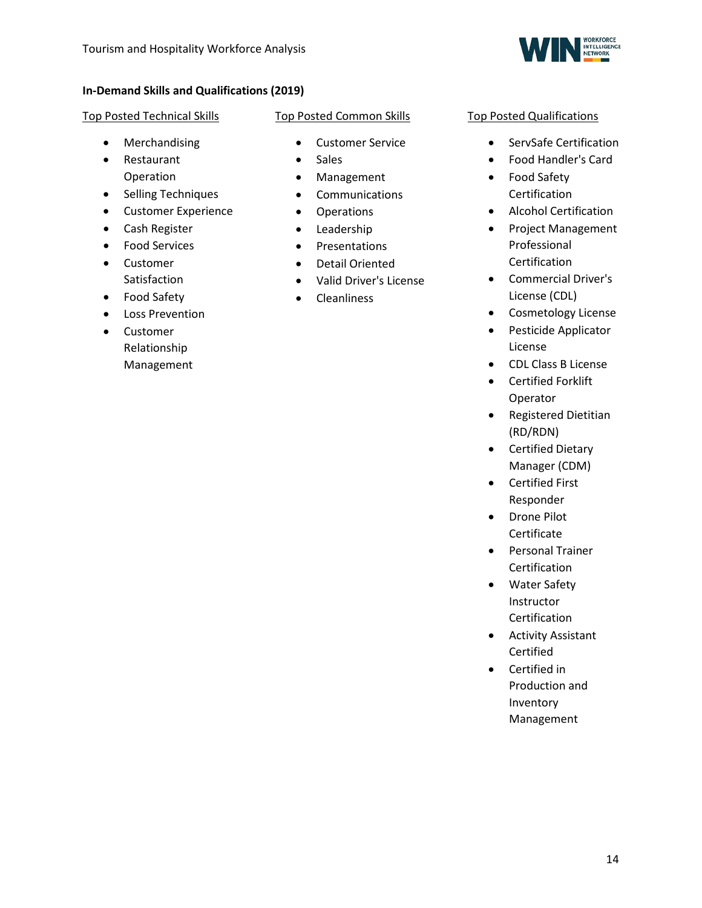

### **In-Demand Skills and Qualifications (2019)**

### Top Posted Technical Skills

- Merchandising
- Restaurant Operation
- Selling Techniques
- Customer Experience
- Cash Register
- Food Services
- Customer Satisfaction
- Food Safety
- Loss Prevention
- Customer Relationship Management

### Top Posted Common Skills

- Customer Service
- Sales
- Management
- Communications
- Operations
- Leadership
- Presentations
- Detail Oriented
- Valid Driver's License
- Cleanliness

### Top Posted Qualifications

- ServSafe Certification
- Food Handler's Card
- Food Safety Certification
- Alcohol Certification
- Project Management Professional Certification
- Commercial Driver's License (CDL)
- Cosmetology License
- Pesticide Applicator License
- CDL Class B License
- Certified Forklift Operator
- Registered Dietitian (RD/RDN)
- Certified Dietary Manager (CDM)
- Certified First Responder
- Drone Pilot Certificate
- Personal Trainer Certification
- Water Safety **Instructor** Certification
- Activity Assistant Certified
- Certified in Production and Inventory Management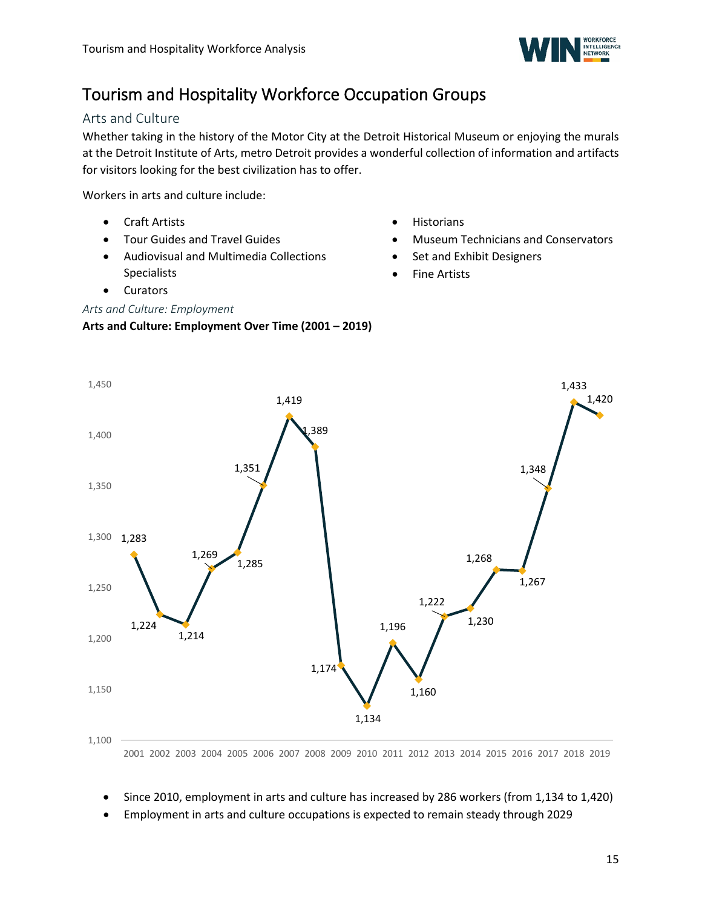

# <span id="page-14-0"></span>Tourism and Hospitality Workforce Occupation Groups

### <span id="page-14-1"></span>Arts and Culture

Whether taking in the history of the Motor City at the Detroit Historical Museum or enjoying the murals at the Detroit Institute of Arts, metro Detroit provides a wonderful collection of information and artifacts for visitors looking for the best civilization has to offer.

Workers in arts and culture include:

- Craft Artists
- Tour Guides and Travel Guides
- Audiovisual and Multimedia Collections Specialists
- Curators

### *Arts and Culture: Employment*

### **Arts and Culture: Employment Over Time (2001 – 2019)**

- Historians
- Museum Technicians and Conservators
- Set and Exhibit Designers
- **Fine Artists**



- 2001 2002 2003 2004 2005 2006 2007 2008 2009 2010 2011 2012 2013 2014 2015 2016 2017 2018 2019
- Since 2010, employment in arts and culture has increased by 286 workers (from 1,134 to 1,420)
- Employment in arts and culture occupations is expected to remain steady through 2029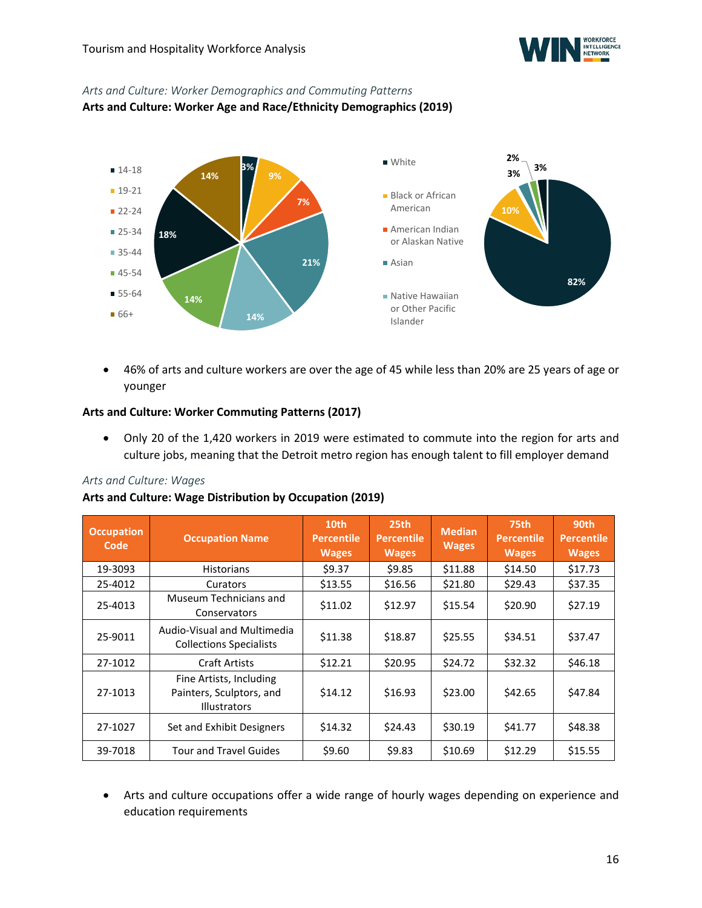

### *Arts and Culture: Worker Demographics and Commuting Patterns*

**Arts and Culture: Worker Age and Race/Ethnicity Demographics (2019)**



• 46% of arts and culture workers are over the age of 45 while less than 20% are 25 years of age or younger

### **Arts and Culture: Worker Commuting Patterns (2017)**

• Only 20 of the 1,420 workers in 2019 were estimated to commute into the region for arts and culture jobs, meaning that the Detroit metro region has enough talent to fill employer demand

### *Arts and Culture: Wages*

### **Arts and Culture: Wage Distribution by Occupation (2019)**

| <b>Occupation</b><br>Code | <b>Occupation Name</b>                                                     | 10th<br><b>Percentile</b><br><b>Wages</b> | 25th<br><b>Percentile</b><br><b>Wages</b> | <b>Median</b><br><b>Wages</b> | 75th<br><b>Percentile</b><br><b>Wages</b> | 90th<br><b>Percentile</b><br><b>Wages</b> |
|---------------------------|----------------------------------------------------------------------------|-------------------------------------------|-------------------------------------------|-------------------------------|-------------------------------------------|-------------------------------------------|
| 19-3093                   | <b>Historians</b>                                                          | \$9.37                                    | \$9.85                                    | \$11.88                       | \$14.50                                   | \$17.73                                   |
| 25-4012                   | Curators                                                                   | \$13.55                                   | \$16.56                                   | \$21.80                       | \$29.43                                   | \$37.35                                   |
| 25-4013                   | Museum Technicians and<br>Conservators                                     | \$11.02                                   | \$12.97                                   | \$15.54                       | \$20.90                                   | \$27.19                                   |
| 25-9011                   | Audio-Visual and Multimedia<br><b>Collections Specialists</b>              | \$11.38                                   | \$18.87                                   | \$25.55                       | \$34.51                                   | \$37.47                                   |
| 27-1012                   | Craft Artists                                                              | \$12.21                                   | \$20.95                                   | \$24.72                       | \$32.32                                   | \$46.18                                   |
| 27-1013                   | Fine Artists, Including<br>Painters, Sculptors, and<br><b>Illustrators</b> | \$14.12                                   | \$16.93                                   | \$23.00                       | \$42.65                                   | \$47.84                                   |
| 27-1027                   | Set and Exhibit Designers                                                  | \$14.32                                   | \$24.43                                   | \$30.19                       | \$41.77                                   | \$48.38                                   |
| 39-7018                   | <b>Tour and Travel Guides</b>                                              | \$9.60                                    | \$9.83                                    | \$10.69                       | \$12.29                                   | \$15.55                                   |

• Arts and culture occupations offer a wide range of hourly wages depending on experience and education requirements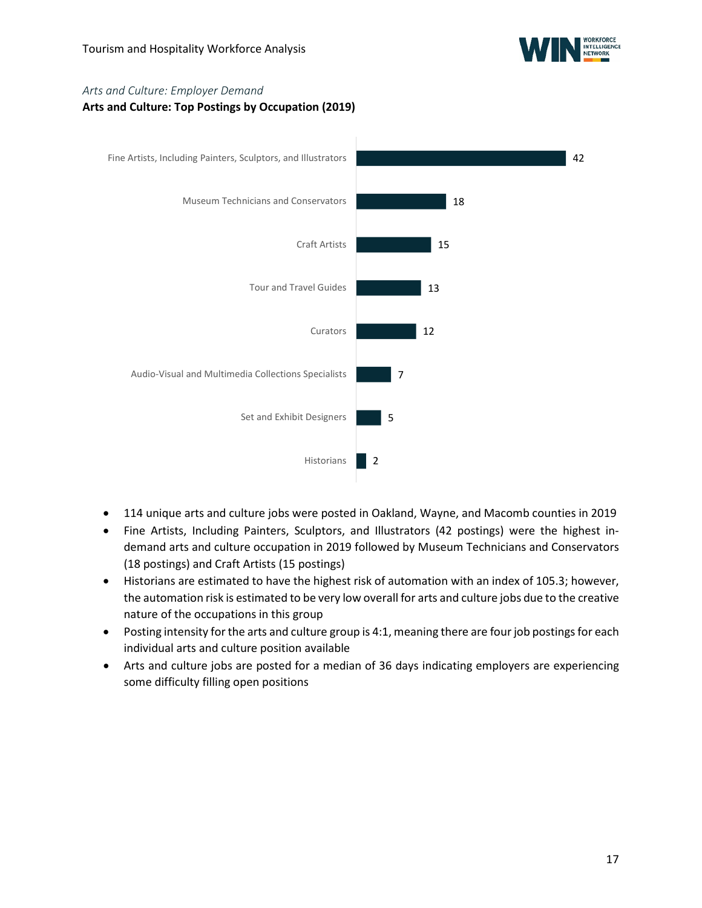

### *Arts and Culture: Employer Demand*

### **Arts and Culture: Top Postings by Occupation (2019)**



- 114 unique arts and culture jobs were posted in Oakland, Wayne, and Macomb counties in 2019
- Fine Artists, Including Painters, Sculptors, and Illustrators (42 postings) were the highest indemand arts and culture occupation in 2019 followed by Museum Technicians and Conservators (18 postings) and Craft Artists (15 postings)
- Historians are estimated to have the highest risk of automation with an index of 105.3; however, the automation risk is estimated to be very low overall for arts and culture jobs due to the creative nature of the occupations in this group
- Posting intensity for the arts and culture group is 4:1, meaning there are four job postings for each individual arts and culture position available
- Arts and culture jobs are posted for a median of 36 days indicating employers are experiencing some difficulty filling open positions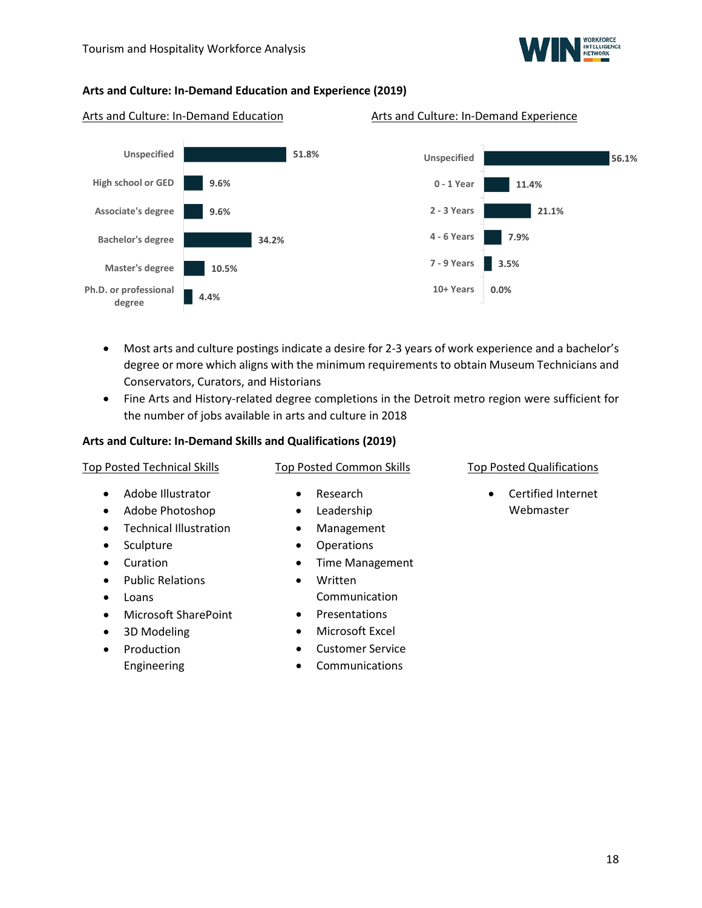

#### **Arts and Culture: In-Demand Education and Experience (2019)**

### Arts and Culture: In-Demand Education Arts and Culture: In-Demand Experience



#### **56.1% 11.4% 21.1% 7.9% 3.5% 0.0% Unspecified 0 - 1 Year 2 - 3 Years 4 - 6 Years 7 - 9 Years 10+ Years**

- Most arts and culture postings indicate a desire for 2-3 years of work experience and a bachelor's degree or more which aligns with the minimum requirements to obtain Museum Technicians and Conservators, Curators, and Historians
- Fine Arts and History-related degree completions in the Detroit metro region were sufficient for the number of jobs available in arts and culture in 2018

#### **Arts and Culture: In-Demand Skills and Qualifications (2019)**

| <b>Top Posted Technical Skills</b>                                                                                                                                                                                                                                                                                               | <b>Top Posted Common Skills</b>                                                                                                                                                                                                                                                                                     | <b>Top Posted Qualifications</b>             |
|----------------------------------------------------------------------------------------------------------------------------------------------------------------------------------------------------------------------------------------------------------------------------------------------------------------------------------|---------------------------------------------------------------------------------------------------------------------------------------------------------------------------------------------------------------------------------------------------------------------------------------------------------------------|----------------------------------------------|
| Adobe Illustrator<br>$\bullet$<br>Adobe Photoshop<br>٠<br><b>Technical Illustration</b><br>$\bullet$<br>Sculpture<br>$\bullet$<br>Curation<br>$\bullet$<br><b>Public Relations</b><br>$\bullet$<br>Loans<br>$\bullet$<br>Microsoft SharePoint<br>$\bullet$<br>3D Modeling<br>$\bullet$<br>Production<br>$\bullet$<br>Engineering | Research<br>$\bullet$<br>Leadership<br>$\bullet$<br>Management<br>٠<br>Operations<br>$\bullet$<br><b>Time Management</b><br>$\bullet$<br>Written<br>$\bullet$<br>Communication<br>Presentations<br>$\bullet$<br>Microsoft Excel<br>$\bullet$<br><b>Customer Service</b><br>$\bullet$<br>Communications<br>$\bullet$ | Certified Internet<br>$\bullet$<br>Webmaster |
|                                                                                                                                                                                                                                                                                                                                  |                                                                                                                                                                                                                                                                                                                     |                                              |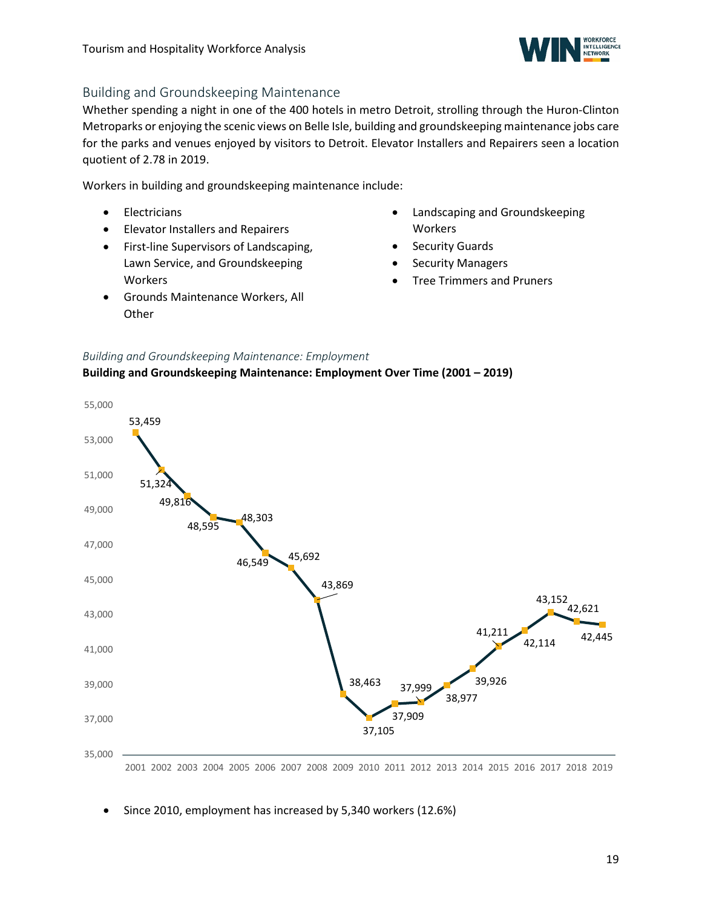

### <span id="page-18-0"></span>Building and Groundskeeping Maintenance

Whether spending a night in one of the 400 hotels in metro Detroit, strolling through the Huron-Clinton Metroparks or enjoying the scenic views on Belle Isle, building and groundskeeping maintenance jobs care for the parks and venues enjoyed by visitors to Detroit. Elevator Installers and Repairers seen a location quotient of 2.78 in 2019.

Workers in building and groundskeeping maintenance include:

- Electricians
- Elevator Installers and Repairers
- First-line Supervisors of Landscaping, Lawn Service, and Groundskeeping Workers
- Grounds Maintenance Workers, All **Other**
- Landscaping and Groundskeeping Workers
- **Security Guards**
- **Security Managers**
- Tree Trimmers and Pruners

### *Building and Groundskeeping Maintenance: Employment*





• Since 2010, employment has increased by 5,340 workers (12.6%)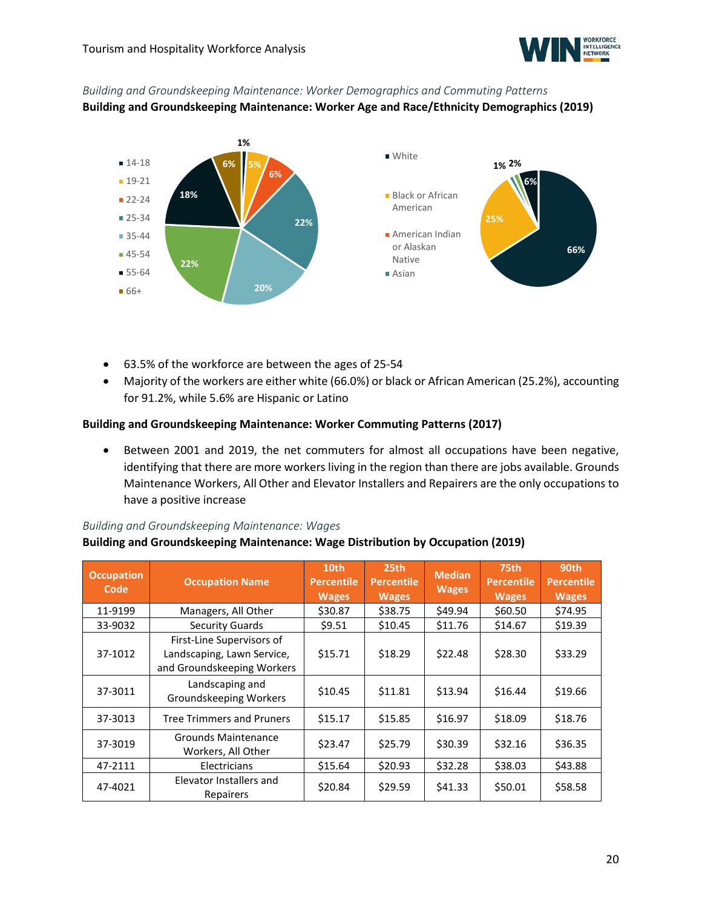

## *Building and Groundskeeping Maintenance: Worker Demographics and Commuting Patterns*

**Building and Groundskeeping Maintenance: Worker Age and Race/Ethnicity Demographics (2019)**



- 63.5% of the workforce are between the ages of 25-54
- Majority of the workers are either white (66.0%) or black or African American (25.2%), accounting for 91.2%, while 5.6% are Hispanic or Latino

### **Building and Groundskeeping Maintenance: Worker Commuting Patterns (2017)**

• Between 2001 and 2019, the net commuters for almost all occupations have been negative, identifying that there are more workers living in the region than there are jobs available. Grounds Maintenance Workers, All Other and Elevator Installers and Repairers are the only occupations to have a positive increase

### *Building and Groundskeeping Maintenance: Wages*

### **Building and Groundskeeping Maintenance: Wage Distribution by Occupation (2019)**

| <b>Occupation</b><br>Code | <b>Occupation Name</b>                                                                | 10th<br><b>Percentile</b><br><b>Wages</b> | 25th<br><b>Percentile</b><br><b>Wages</b> | <b>Median</b><br><b>Wages</b> | 75th<br><b>Percentile</b><br><b>Wages</b> | 90th<br><b>Percentile</b><br><b>Wages</b> |
|---------------------------|---------------------------------------------------------------------------------------|-------------------------------------------|-------------------------------------------|-------------------------------|-------------------------------------------|-------------------------------------------|
| 11-9199                   | Managers, All Other                                                                   | \$30.87                                   | \$38.75                                   | \$49.94                       | \$60.50                                   | \$74.95                                   |
| 33-9032                   | <b>Security Guards</b>                                                                | \$9.51                                    | \$10.45                                   | \$11.76                       | \$14.67                                   | \$19.39                                   |
| 37-1012                   | First-Line Supervisors of<br>Landscaping, Lawn Service,<br>and Groundskeeping Workers | \$15.71                                   | \$18.29                                   | \$22.48                       | \$28.30                                   | \$33.29                                   |
| 37-3011                   | Landscaping and<br>Groundskeeping Workers                                             | \$10.45                                   | \$11.81                                   | \$13.94                       | \$16.44                                   | \$19.66                                   |
| 37-3013                   | <b>Tree Trimmers and Pruners</b>                                                      | \$15.17                                   | \$15.85                                   | \$16.97                       | \$18.09                                   | \$18.76                                   |
| 37-3019                   | Grounds Maintenance<br>Workers, All Other                                             | \$23.47                                   | \$25.79                                   | \$30.39                       | \$32.16                                   | \$36.35                                   |
| 47-2111                   | Electricians                                                                          | \$15.64                                   | \$20.93                                   | \$32.28                       | \$38.03                                   | \$43.88                                   |
| 47-4021                   | Elevator Installers and<br>Repairers                                                  | \$20.84                                   | \$29.59                                   | \$41.33                       | \$50.01                                   | \$58.58                                   |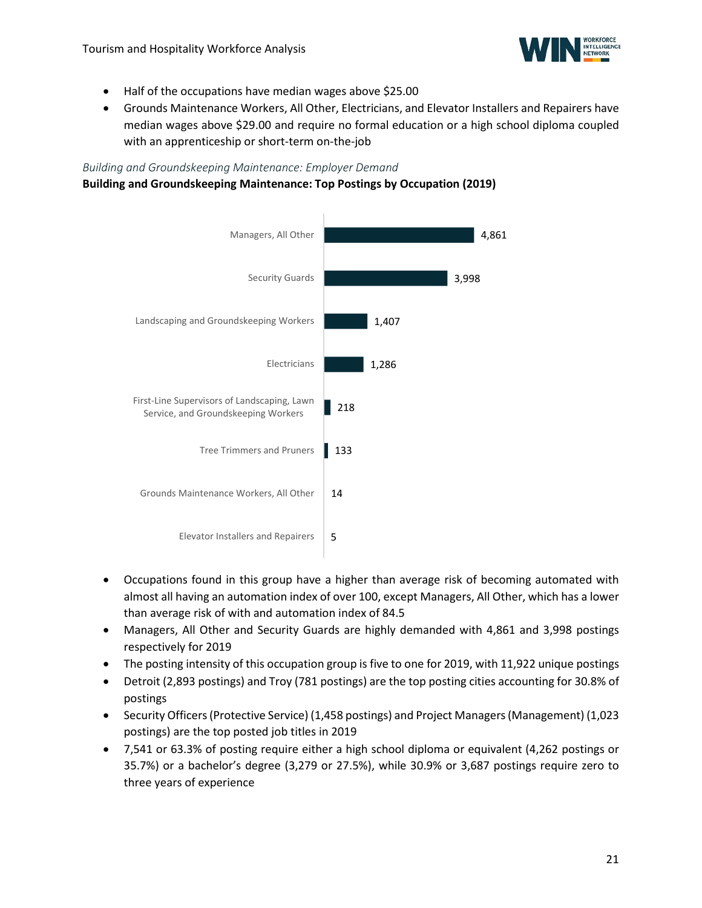

- Half of the occupations have median wages above \$25.00
- Grounds Maintenance Workers, All Other, Electricians, and Elevator Installers and Repairers have median wages above \$29.00 and require no formal education or a high school diploma coupled with an apprenticeship or short-term on-the-job

### *Building and Groundskeeping Maintenance: Employer Demand*

#### **Building and Groundskeeping Maintenance: Top Postings by Occupation (2019)**



- Occupations found in this group have a higher than average risk of becoming automated with almost all having an automation index of over 100, except Managers, All Other, which has a lower than average risk of with and automation index of 84.5
- Managers, All Other and Security Guards are highly demanded with 4,861 and 3,998 postings respectively for 2019
- The posting intensity of this occupation group is five to one for 2019, with 11,922 unique postings
- Detroit (2,893 postings) and Troy (781 postings) are the top posting cities accounting for 30.8% of postings
- Security Officers (Protective Service) (1,458 postings) and Project Managers (Management) (1,023 postings) are the top posted job titles in 2019
- 7,541 or 63.3% of posting require either a high school diploma or equivalent (4,262 postings or 35.7%) or a bachelor's degree (3,279 or 27.5%), while 30.9% or 3,687 postings require zero to three years of experience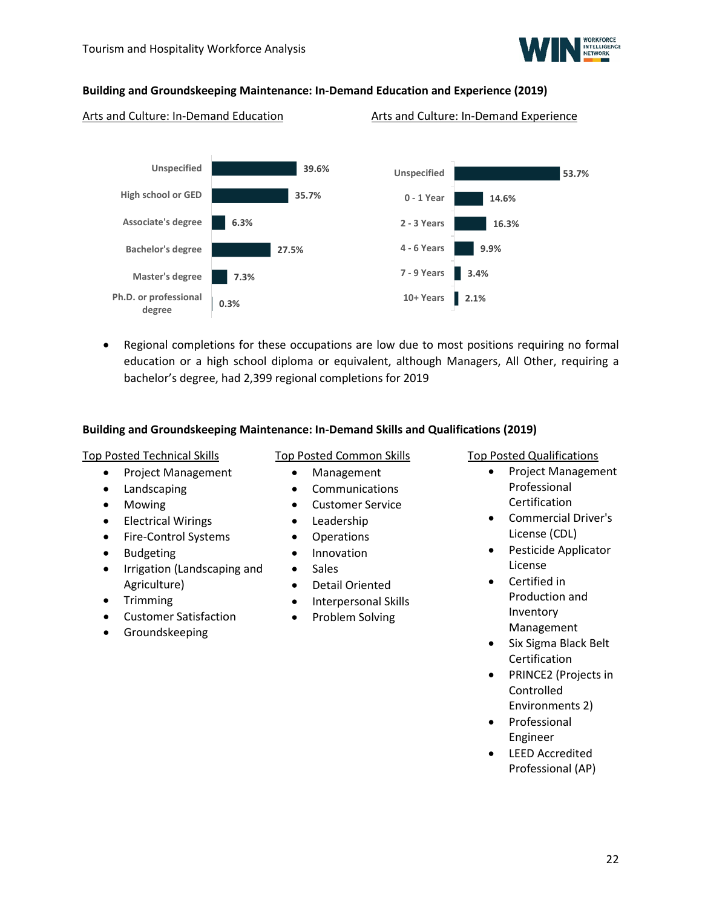

### **Building and Groundskeeping Maintenance: In-Demand Education and Experience (2019)**

Arts and Culture: In-Demand Education Arts and Culture: In-Demand Experience



• Regional completions for these occupations are low due to most positions requiring no formal education or a high school diploma or equivalent, although Managers, All Other, requiring a bachelor's degree, had 2,399 regional completions for 2019

### **Building and Groundskeeping Maintenance: In-Demand Skills and Qualifications (2019)**

### Top Posted Technical Skills

- Project Management
- Landscaping
- Mowing
- Electrical Wirings
- Fire-Control Systems
- Budgeting
- Irrigation (Landscaping and Agriculture)
- Trimming
- Customer Satisfaction
- Groundskeeping

### Top Posted Common Skills

- Management
- Communications
- Customer Service
- Leadership
- Operations
- Innovation
- Sales
- Detail Oriented
- Interpersonal Skills
- Problem Solving

#### Top Posted Qualifications

- Project Management Professional Certification
- Commercial Driver's License (CDL)
- Pesticide Applicator License
- Certified in Production and Inventory Management
- Six Sigma Black Belt Certification
- PRINCE2 (Projects in Controlled Environments 2)
- Professional Engineer
- LEED Accredited Professional (AP)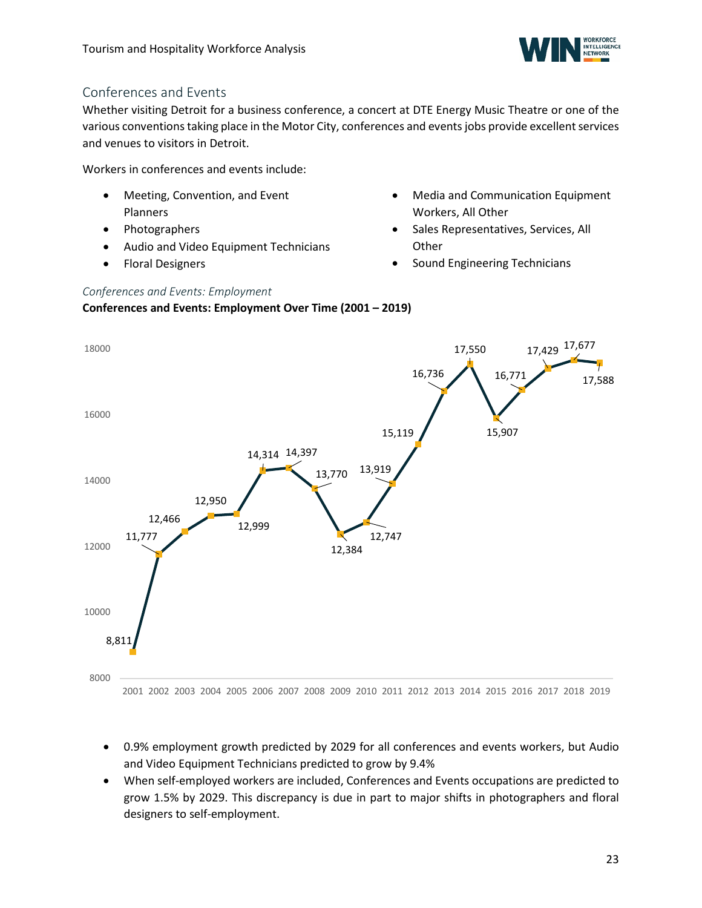

### <span id="page-22-0"></span>Conferences and Events

Whether visiting Detroit for a business conference, a concert at DTE Energy Music Theatre or one of the various conventions taking place in the Motor City, conferences and events jobs provide excellent services and venues to visitors in Detroit.

Workers in conferences and events include:

- Meeting, Convention, and Event Planners
- Photographers
- Audio and Video Equipment Technicians
- Floral Designers
- Media and Communication Equipment Workers, All Other
- Sales Representatives, Services, All **Other**
- Sound Engineering Technicians

### *Conferences and Events: Employment* **Conferences and Events: Employment Over Time (2001 – 2019)**



- 0.9% employment growth predicted by 2029 for all conferences and events workers, but Audio and Video Equipment Technicians predicted to grow by 9.4%
- When self-employed workers are included, Conferences and Events occupations are predicted to grow 1.5% by 2029. This discrepancy is due in part to major shifts in photographers and floral designers to self-employment.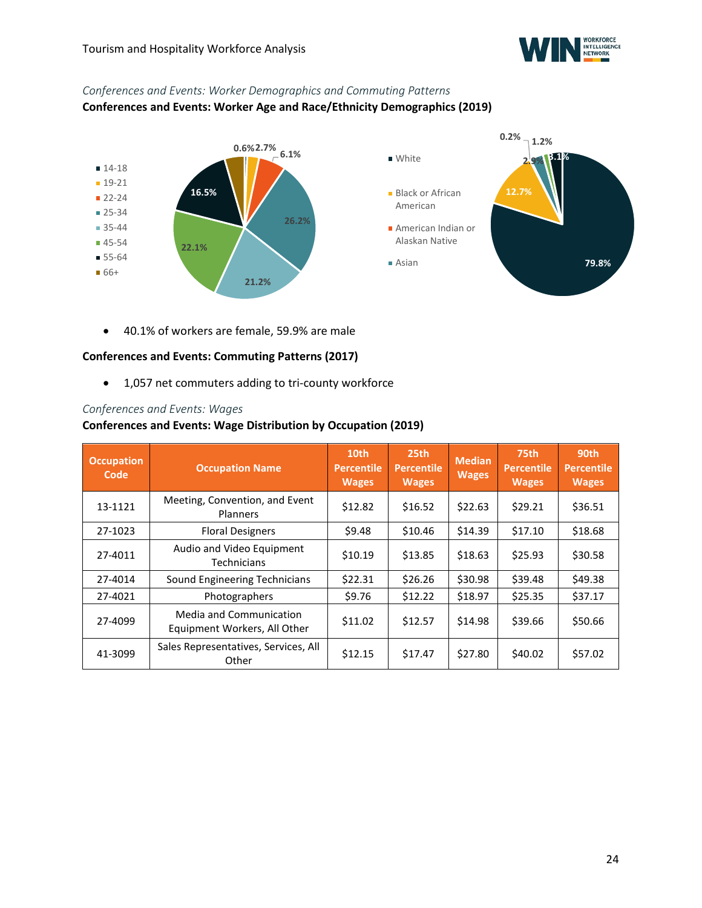

### *Conferences and Events: Worker Demographics and Commuting Patterns* **Conferences and Events: Worker Age and Race/Ethnicity Demographics (2019)**



• 40.1% of workers are female, 59.9% are male

### **Conferences and Events: Commuting Patterns (2017)**

• 1,057 net commuters adding to tri-county workforce

#### *Conferences and Events: Wages*

#### **Conferences and Events: Wage Distribution by Occupation (2019)**

| <b>Occupation</b><br>Code | <b>Occupation Name</b>                                  | 10th<br><b>Percentile</b><br><b>Wages</b> | 25 <sub>th</sub><br><b>Percentile</b><br><b>Wages</b> | <b>Median</b><br><b>Wages</b> | 75th<br><b>Percentile</b><br><b>Wages</b> | 90th<br><b>Percentile</b><br><b>Wages</b> |
|---------------------------|---------------------------------------------------------|-------------------------------------------|-------------------------------------------------------|-------------------------------|-------------------------------------------|-------------------------------------------|
| 13-1121                   | Meeting, Convention, and Event<br>Planners              | \$12.82                                   | \$16.52                                               | \$22.63                       | \$29.21                                   | \$36.51                                   |
| 27-1023                   | <b>Floral Designers</b>                                 | \$9.48                                    | \$10.46                                               | \$14.39                       | \$17.10                                   | \$18.68                                   |
| 27-4011                   | Audio and Video Equipment<br>Technicians                | \$10.19                                   | \$13.85                                               | \$18.63                       | \$25.93                                   | \$30.58                                   |
| 27-4014                   | Sound Engineering Technicians                           | \$22.31                                   | \$26.26                                               | \$30.98                       | \$39.48                                   | \$49.38                                   |
| 27-4021                   | Photographers                                           | \$9.76                                    | \$12.22                                               | \$18.97                       | \$25.35                                   | \$37.17                                   |
| 27-4099                   | Media and Communication<br>Equipment Workers, All Other | \$11.02                                   | \$12.57                                               | \$14.98                       | \$39.66                                   | \$50.66                                   |
| 41-3099                   | Sales Representatives, Services, All<br>Other           | \$12.15                                   | \$17.47                                               | \$27.80                       | \$40.02                                   | \$57.02                                   |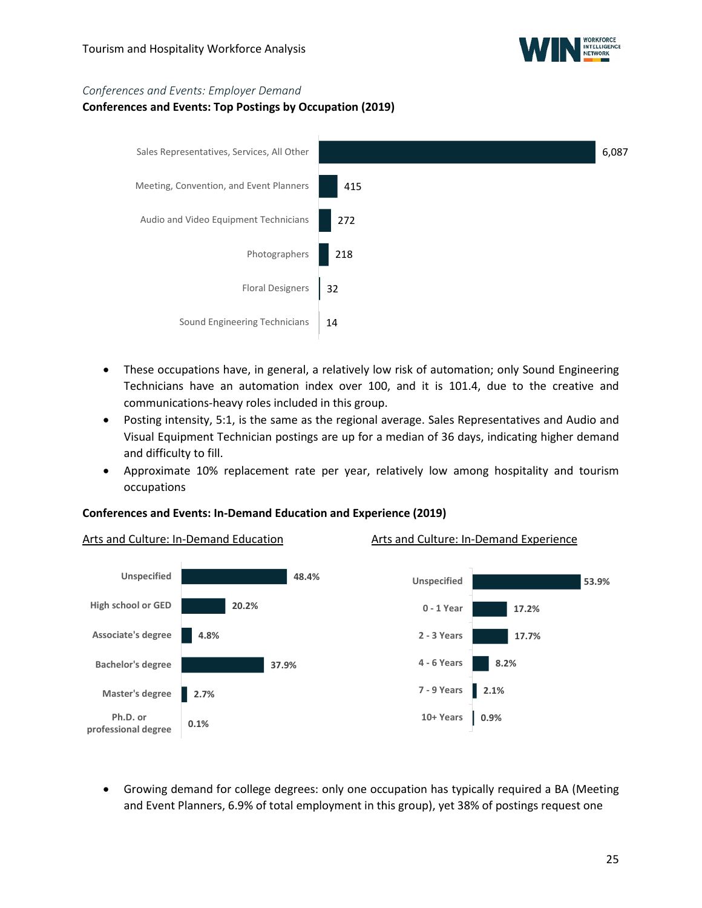

#### *Conferences and Events: Employer Demand*

### **Conferences and Events: Top Postings by Occupation (2019)**



- These occupations have, in general, a relatively low risk of automation; only Sound Engineering Technicians have an automation index over 100, and it is 101.4, due to the creative and communications-heavy roles included in this group.
- Posting intensity, 5:1, is the same as the regional average. Sales Representatives and Audio and Visual Equipment Technician postings are up for a median of 36 days, indicating higher demand and difficulty to fill.
- Approximate 10% replacement rate per year, relatively low among hospitality and tourism occupations

### **Conferences and Events: In-Demand Education and Experience (2019)**



• Growing demand for college degrees: only one occupation has typically required a BA (Meeting and Event Planners, 6.9% of total employment in this group), yet 38% of postings request one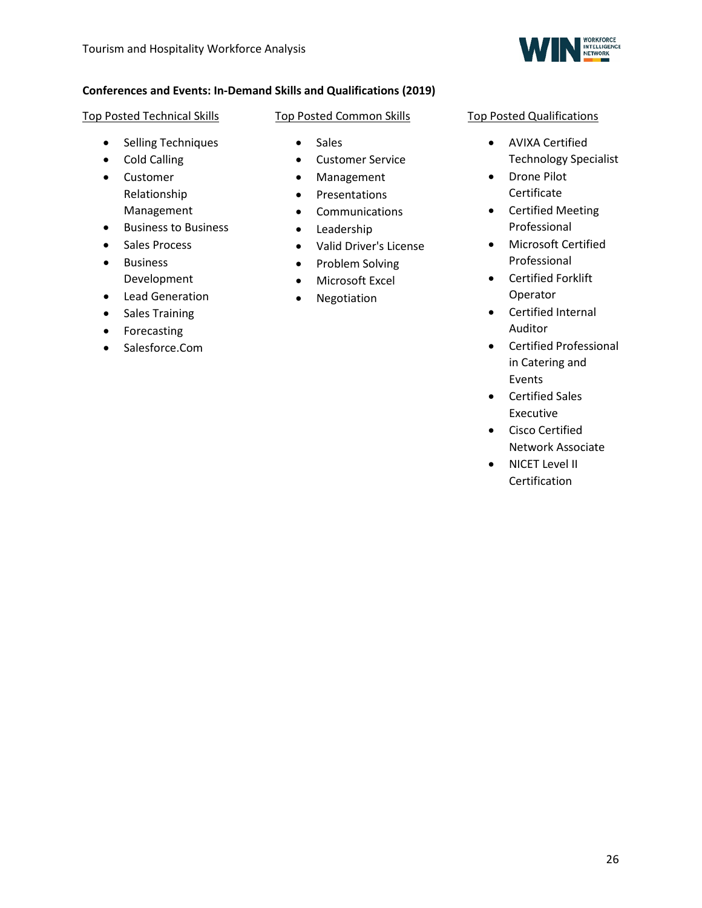

### **Conferences and Events: In-Demand Skills and Qualifications (2019)**

### Top Posted Technical Skills

- Selling Techniques
- Cold Calling
- Customer Relationship Management
- Business to Business
- Sales Process
- Business Development
- Lead Generation
- Sales Training
- Forecasting
- Salesforce.Com
- Top Posted Common Skills
	- Sales
	- Customer Service
	- Management
	- Presentations
	- Communications
	- Leadership
	- Valid Driver's License
	- Problem Solving
	- Microsoft Excel
	- Negotiation

### Top Posted Qualifications

- AVIXA Certified Technology Specialist
- Drone Pilot Certificate
- Certified Meeting Professional
- Microsoft Certified Professional
- Certified Forklift Operator
- Certified Internal Auditor
- Certified Professional in Catering and Events
- Certified Sales Executive
- Cisco Certified Network Associate
- NICET Level II Certification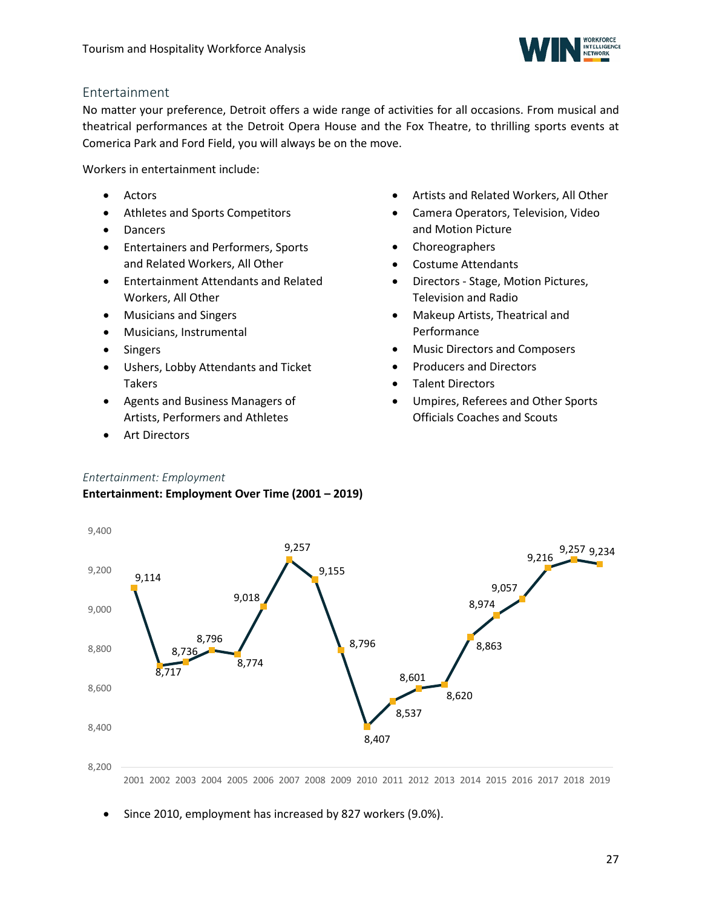

### <span id="page-26-0"></span>Entertainment

No matter your preference, Detroit offers a wide range of activities for all occasions. From musical and theatrical performances at the Detroit Opera House and the Fox Theatre, to thrilling sports events at Comerica Park and Ford Field, you will always be on the move.

Workers in entertainment include:

- Actors
- Athletes and Sports Competitors
- Dancers
- Entertainers and Performers, Sports and Related Workers, All Other
- Entertainment Attendants and Related Workers, All Other
- Musicians and Singers
- Musicians, Instrumental
- Singers
- Ushers, Lobby Attendants and Ticket Takers
- Agents and Business Managers of Artists, Performers and Athletes
- Art Directors
- Artists and Related Workers, All Other
- Camera Operators, Television, Video and Motion Picture
- Choreographers
- Costume Attendants
- Directors Stage, Motion Pictures, Television and Radio
- Makeup Artists, Theatrical and Performance
- Music Directors and Composers
- Producers and Directors
- Talent Directors
- Umpires, Referees and Other Sports Officials Coaches and Scouts

### *Entertainment: Employment*

### **Entertainment: Employment Over Time (2001 – 2019)**



2001 2002 2003 2004 2005 2006 2007 2008 2009 2010 2011 2012 2013 2014 2015 2016 2017 2018 2019

• Since 2010, employment has increased by 827 workers (9.0%).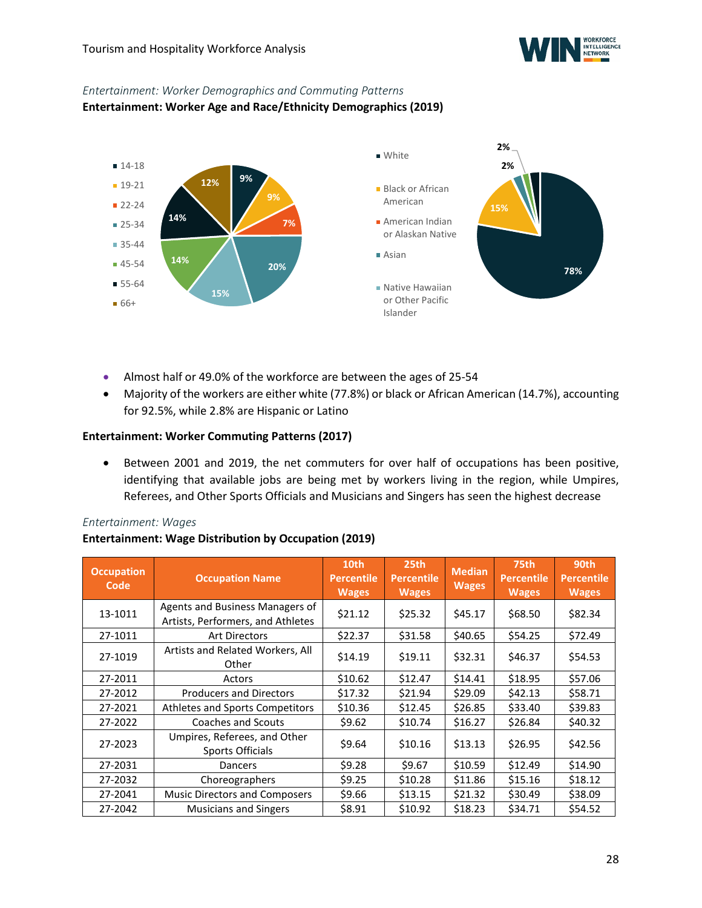

### *Entertainment: Worker Demographics and Commuting Patterns*

**Entertainment: Worker Age and Race/Ethnicity Demographics (2019)**



- Almost half or 49.0% of the workforce are between the ages of 25-54
- Majority of the workers are either white (77.8%) or black or African American (14.7%), accounting for 92.5%, while 2.8% are Hispanic or Latino

### **Entertainment: Worker Commuting Patterns (2017)**

• Between 2001 and 2019, the net commuters for over half of occupations has been positive, identifying that available jobs are being met by workers living in the region, while Umpires, Referees, and Other Sports Officials and Musicians and Singers has seen the highest decrease

#### *Entertainment: Wages*

### **Entertainment: Wage Distribution by Occupation (2019)**

| <b>Occupation</b><br>Code | <b>Occupation Name</b>                                               | 10th<br><b>Percentile</b><br><b>Wages</b> | 25 <sub>th</sub><br><b>Percentile</b><br><b>Wages</b> | <b>Median</b><br><b>Wages</b> | <b>75th</b><br><b>Percentile</b><br><b>Wages</b> | 90th<br><b>Percentile</b><br><b>Wages</b> |
|---------------------------|----------------------------------------------------------------------|-------------------------------------------|-------------------------------------------------------|-------------------------------|--------------------------------------------------|-------------------------------------------|
| 13-1011                   | Agents and Business Managers of<br>Artists, Performers, and Athletes | \$21.12                                   | \$25.32                                               | \$45.17                       | \$68.50                                          | \$82.34                                   |
| 27-1011                   | <b>Art Directors</b>                                                 | \$22.37                                   | \$31.58                                               | \$40.65                       | \$54.25                                          | \$72.49                                   |
| 27-1019                   | Artists and Related Workers, All<br>Other                            | \$14.19                                   | \$19.11                                               | \$32.31                       | \$46.37                                          | \$54.53                                   |
| 27-2011                   | Actors                                                               | \$10.62                                   | \$12.47                                               | \$14.41                       | \$18.95                                          | \$57.06                                   |
| 27-2012                   | <b>Producers and Directors</b>                                       | \$17.32                                   | \$21.94                                               | \$29.09                       | \$42.13                                          | \$58.71                                   |
| 27-2021                   | Athletes and Sports Competitors                                      | \$10.36                                   | \$12.45                                               | \$26.85                       | \$33.40                                          | \$39.83                                   |
| 27-2022                   | Coaches and Scouts                                                   | \$9.62                                    | \$10.74                                               | \$16.27                       | \$26.84                                          | \$40.32                                   |
| 27-2023                   | Umpires, Referees, and Other<br>Sports Officials                     | \$9.64                                    | \$10.16                                               | \$13.13                       | \$26.95                                          | \$42.56                                   |
| 27-2031                   | Dancers                                                              | \$9.28                                    | \$9.67                                                | \$10.59                       | \$12.49                                          | \$14.90                                   |
| 27-2032                   | Choreographers                                                       | \$9.25                                    | \$10.28                                               | \$11.86                       | \$15.16                                          | \$18.12                                   |
| 27-2041                   | <b>Music Directors and Composers</b>                                 | \$9.66                                    | \$13.15                                               | \$21.32                       | \$30.49                                          | \$38.09                                   |
| 27-2042                   | <b>Musicians and Singers</b>                                         | \$8.91                                    | \$10.92                                               | \$18.23                       | \$34.71                                          | \$54.52                                   |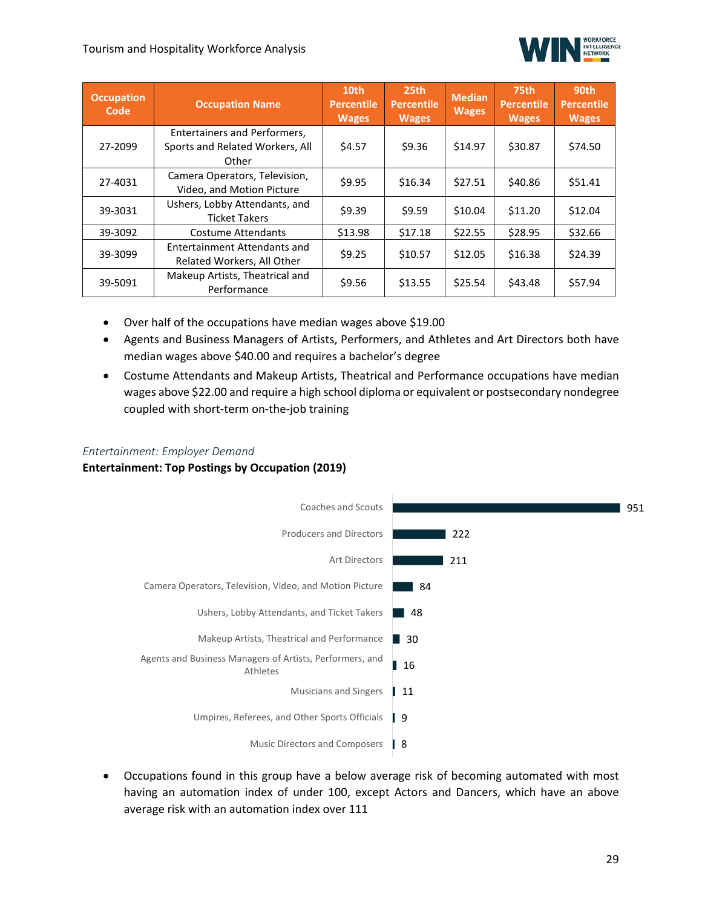

| <b>Occupation</b><br>Code | <b>Occupation Name</b>                                                   | 10th<br><b>Percentile</b><br><b>Wages</b> | 25 <sub>th</sub><br><b>Percentile</b><br><b>Wages</b> | <b>Median</b><br><b>Wages</b> | 75th<br><b>Percentile</b><br><b>Wages</b> | 90th<br><b>Percentile</b><br><b>Wages</b> |
|---------------------------|--------------------------------------------------------------------------|-------------------------------------------|-------------------------------------------------------|-------------------------------|-------------------------------------------|-------------------------------------------|
| 27-2099                   | Entertainers and Performers,<br>Sports and Related Workers, All<br>Other | \$4.57                                    | \$9.36                                                | \$14.97                       | \$30.87                                   | \$74.50                                   |
| 27-4031                   | Camera Operators, Television,<br>Video, and Motion Picture               | \$9.95                                    | \$16.34                                               | \$27.51                       | \$40.86                                   | \$51.41                                   |
| 39-3031                   | Ushers, Lobby Attendants, and<br><b>Ticket Takers</b>                    | \$9.39                                    | \$9.59                                                | \$10.04                       | \$11.20                                   | \$12.04                                   |
| 39-3092                   | <b>Costume Attendants</b>                                                | \$13.98                                   | \$17.18                                               | \$22.55                       | \$28.95                                   | \$32.66                                   |
| 39-3099                   | Entertainment Attendants and<br>Related Workers, All Other               | \$9.25                                    | \$10.57                                               | \$12.05                       | \$16.38                                   | \$24.39                                   |
| 39-5091                   | Makeup Artists, Theatrical and<br>Performance                            | \$9.56                                    | \$13.55                                               | \$25.54                       | \$43.48                                   | \$57.94                                   |

- Over half of the occupations have median wages above \$19.00
- Agents and Business Managers of Artists, Performers, and Athletes and Art Directors both have median wages above \$40.00 and requires a bachelor's degree
- Costume Attendants and Makeup Artists, Theatrical and Performance occupations have median wages above \$22.00 and require a high school diploma or equivalent or postsecondary nondegree coupled with short-term on-the-job training

### *Entertainment: Employer Demand*

### **Entertainment: Top Postings by Occupation (2019)**



• Occupations found in this group have a below average risk of becoming automated with most having an automation index of under 100, except Actors and Dancers, which have an above average risk with an automation index over 111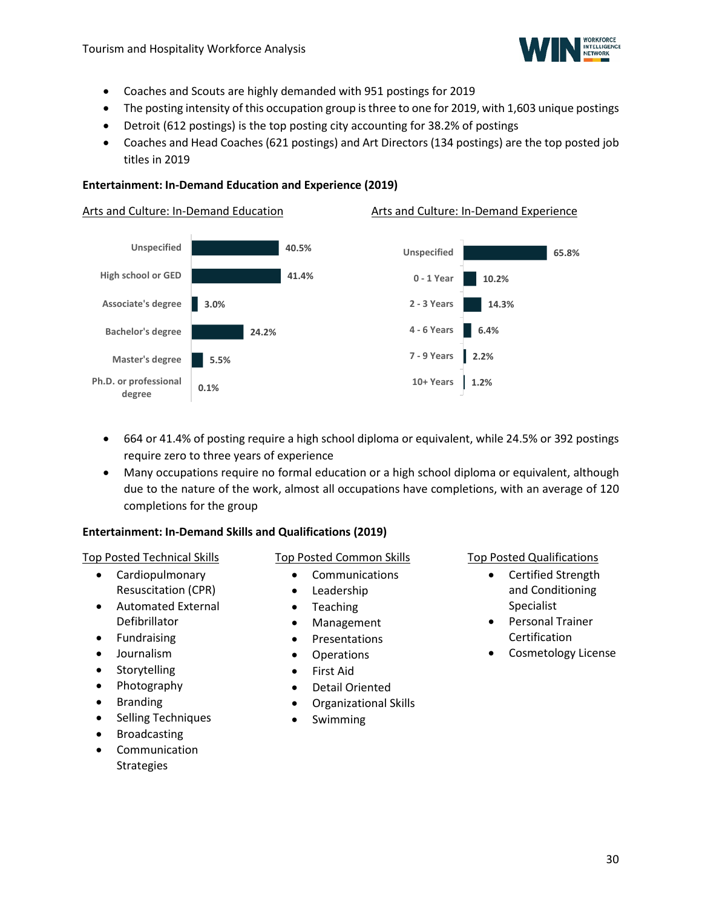

- Coaches and Scouts are highly demanded with 951 postings for 2019
- The posting intensity of this occupation group is three to one for 2019, with 1,603 unique postings
- Detroit (612 postings) is the top posting city accounting for 38.2% of postings
- Coaches and Head Coaches (621 postings) and Art Directors (134 postings) are the top posted job titles in 2019

#### **Entertainment: In-Demand Education and Experience (2019)**

#### Arts and Culture: In-Demand Education Arts and Culture: In-Demand Experience **40.5% 41.4% 3.0% 24.2% 5.5% 0.1% Unspecified High school or GED Associate's degree Bachelor's degree Master's degree Ph.D. or professional degree 65.8% 10.2% 14.3% 6.4% 2.2% 1.2% Unspecified 0 - 1 Year 2 - 3 Years 4 - 6 Years 7 - 9 Years 10+ Years**

- 664 or 41.4% of posting require a high school diploma or equivalent, while 24.5% or 392 postings require zero to three years of experience
- Many occupations require no formal education or a high school diploma or equivalent, although due to the nature of the work, almost all occupations have completions, with an average of 120 completions for the group

### **Entertainment: In-Demand Skills and Qualifications (2019)**

#### Top Posted Technical Skills

- Cardiopulmonary Resuscitation (CPR)
- Automated External Defibrillator
- Fundraising
- Journalism
- **Storytelling**
- Photography
- **Branding**
- Selling Techniques
- **Broadcasting**
- **Communication Strategies**

### Top Posted Common Skills

- Communications
- Leadership
- Teaching
- Management
- Presentations
- Operations
- First Aid
- Detail Oriented
- Organizational Skills
- Swimming

## Top Posted Qualifications • Certified Strength

- and Conditioning Specialist
- Personal Trainer Certification
- Cosmetology License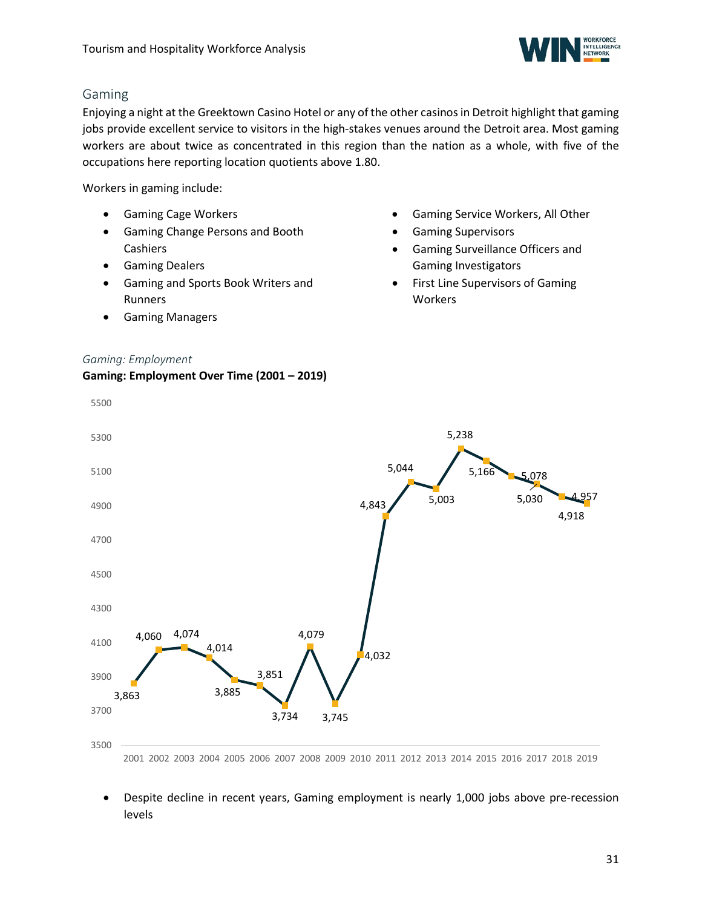

### <span id="page-30-0"></span>Gaming

Enjoying a night at the Greektown Casino Hotel or any of the other casinos in Detroit highlight that gaming jobs provide excellent service to visitors in the high-stakes venues around the Detroit area. Most gaming workers are about twice as concentrated in this region than the nation as a whole, with five of the occupations here reporting location quotients above 1.80.

Workers in gaming include:

- Gaming Cage Workers
- Gaming Change Persons and Booth Cashiers
- Gaming Dealers
- Gaming and Sports Book Writers and Runners
- Gaming Managers
- Gaming Service Workers, All Other
- Gaming Supervisors
- Gaming Surveillance Officers and Gaming Investigators
- First Line Supervisors of Gaming **Workers**



- 2001 2002 2003 2004 2005 2006 2007 2008 2009 2010 2011 2012 2013 2014 2015 2016 2017 2018 2019
- Despite decline in recent years, Gaming employment is nearly 1,000 jobs above pre-recession levels

### *Gaming: Employment*

5500

### **Gaming: Employment Over Time (2001 – 2019)**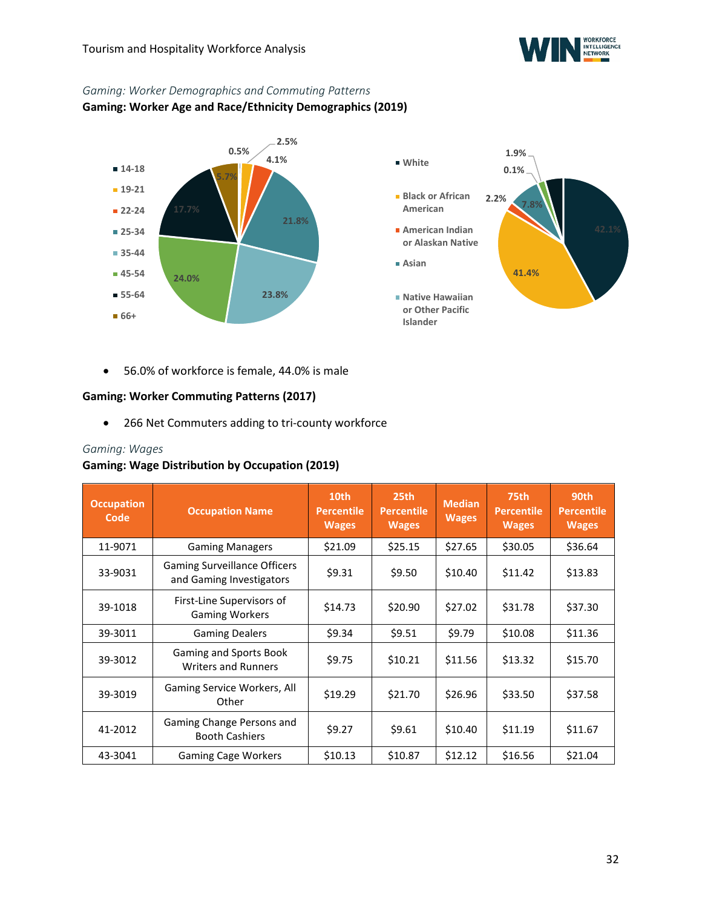

### *Gaming: Worker Demographics and Commuting Patterns*

**Gaming: Worker Age and Race/Ethnicity Demographics (2019)**



• 56.0% of workforce is female, 44.0% is male

### **Gaming: Worker Commuting Patterns (2017)**

• 266 Net Commuters adding to tri-county workforce

### *Gaming: Wages*

### **Gaming: Wage Distribution by Occupation (2019)**

| <b>Occupation</b><br>Code | <b>Occupation Name</b>                                          | 10th<br><b>Percentile</b><br><b>Wages</b> | 25th<br><b>Percentile</b><br><b>Wages</b> | <b>Median</b><br><b>Wages</b> | <b>75th</b><br><b>Percentile</b><br><b>Wages</b> | 90th<br><b>Percentile</b><br><b>Wages</b> |
|---------------------------|-----------------------------------------------------------------|-------------------------------------------|-------------------------------------------|-------------------------------|--------------------------------------------------|-------------------------------------------|
| 11-9071                   | <b>Gaming Managers</b>                                          | \$21.09                                   | \$25.15                                   | \$27.65                       | \$30.05                                          | \$36.64                                   |
| 33-9031                   | <b>Gaming Surveillance Officers</b><br>and Gaming Investigators | \$9.31                                    | \$9.50                                    | \$10.40                       | \$11.42                                          | \$13.83                                   |
| 39-1018                   | First-Line Supervisors of<br><b>Gaming Workers</b>              | \$14.73                                   | \$20.90                                   | \$27.02                       | \$31.78                                          | \$37.30                                   |
| 39-3011                   | <b>Gaming Dealers</b>                                           | \$9.34                                    | \$9.51                                    | \$9.79                        | \$10.08                                          | \$11.36                                   |
| 39-3012                   | Gaming and Sports Book<br><b>Writers and Runners</b>            | \$9.75                                    | \$10.21                                   | \$11.56                       | \$13.32                                          | \$15.70                                   |
| 39-3019                   | Gaming Service Workers, All<br>Other                            | \$19.29                                   | \$21.70                                   | \$26.96                       | \$33.50                                          | \$37.58                                   |
| 41-2012                   | Gaming Change Persons and<br><b>Booth Cashiers</b>              | \$9.27                                    | \$9.61                                    | \$10.40                       | \$11.19                                          | \$11.67                                   |
| 43-3041                   | <b>Gaming Cage Workers</b>                                      | \$10.13                                   | \$10.87                                   | \$12.12                       | \$16.56                                          | \$21.04                                   |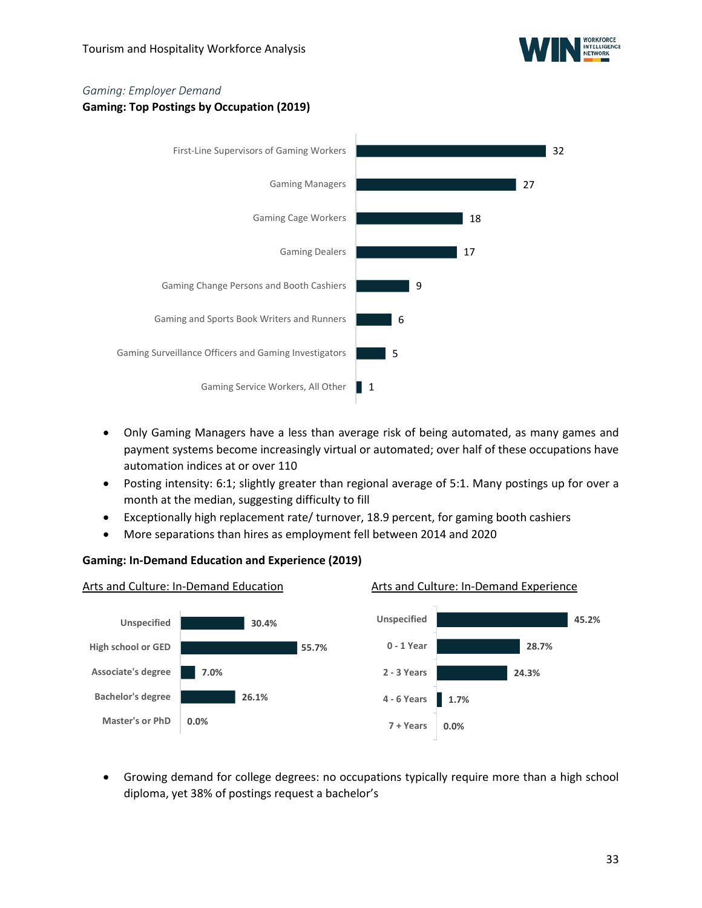

## *Gaming: Employer Demand*

**Gaming: Top Postings by Occupation (2019)**



- Only Gaming Managers have a less than average risk of being automated, as many games and payment systems become increasingly virtual or automated; over half of these occupations have automation indices at or over 110
- Posting intensity: 6:1; slightly greater than regional average of 5:1. Many postings up for over a month at the median, suggesting difficulty to fill
- Exceptionally high replacement rate/ turnover, 18.9 percent, for gaming booth cashiers
- More separations than hires as employment fell between 2014 and 2020

### **Gaming: In-Demand Education and Experience (2019)**



• Growing demand for college degrees: no occupations typically require more than a high school diploma, yet 38% of postings request a bachelor's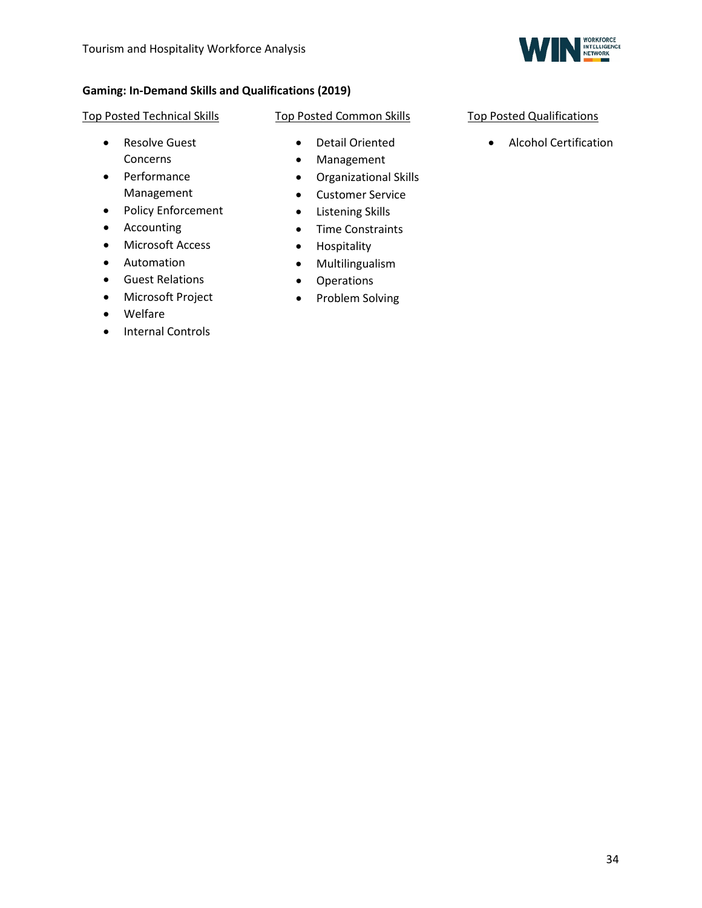

### **Gaming: In-Demand Skills and Qualifications (2019)**

### Top Posted Technical Skills

- Resolve Guest Concerns
- Performance Management
- Policy Enforcement
- Accounting
- Microsoft Access
- Automation
- Guest Relations
- Microsoft Project
- Welfare
- Internal Controls
- Top Posted Common Skills
	- Detail Oriented
	- Management
	- Organizational Skills
	- Customer Service
	- Listening Skills
	- Time Constraints
	- Hospitality
	- Multilingualism
	- Operations
	- Problem Solving
- Top Posted Qualifications
	- Alcohol Certification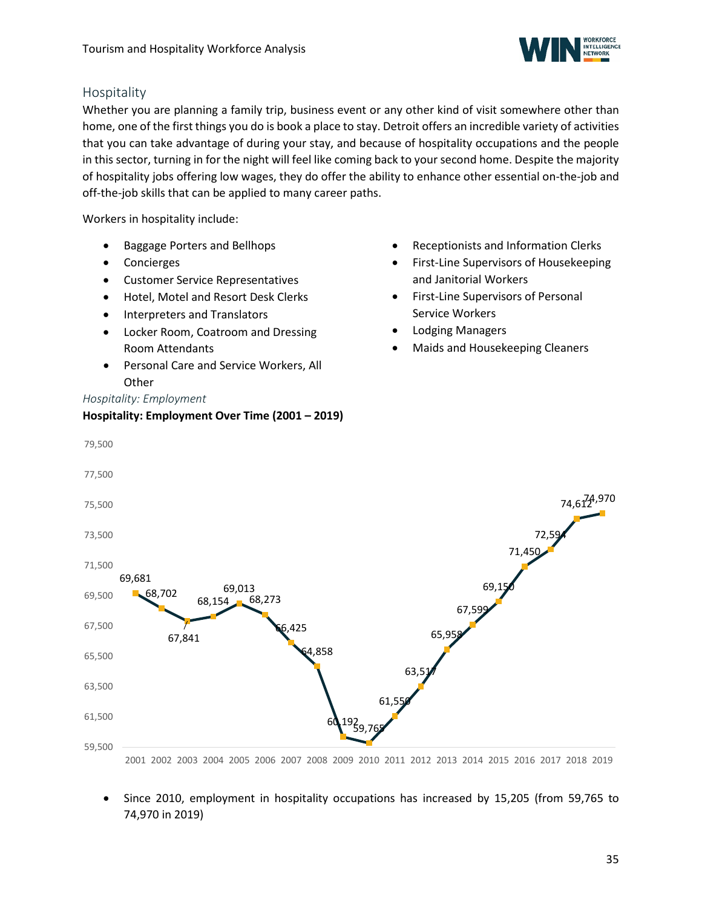

### <span id="page-34-0"></span>Hospitality

Whether you are planning a family trip, business event or any other kind of visit somewhere other than home, one of the first things you do is book a place to stay. Detroit offers an incredible variety of activities that you can take advantage of during your stay, and because of hospitality occupations and the people in this sector, turning in for the night will feel like coming back to your second home. Despite the majority of hospitality jobs offering low wages, they do offer the ability to enhance other essential on-the-job and off-the-job skills that can be applied to many career paths.

Workers in hospitality include:

- Baggage Porters and Bellhops
- Concierges
- Customer Service Representatives
- Hotel, Motel and Resort Desk Clerks
- Interpreters and Translators
- Locker Room, Coatroom and Dressing Room Attendants
- Personal Care and Service Workers, All **Other**

*Hospitality: Employment*

### **Hospitality: Employment Over Time (2001 – 2019)**

- Receptionists and Information Clerks
- First-Line Supervisors of Housekeeping and Janitorial Workers
- First-Line Supervisors of Personal Service Workers
- Lodging Managers
- Maids and Housekeeping Cleaners



• Since 2010, employment in hospitality occupations has increased by 15,205 (from 59,765 to 74,970 in 2019)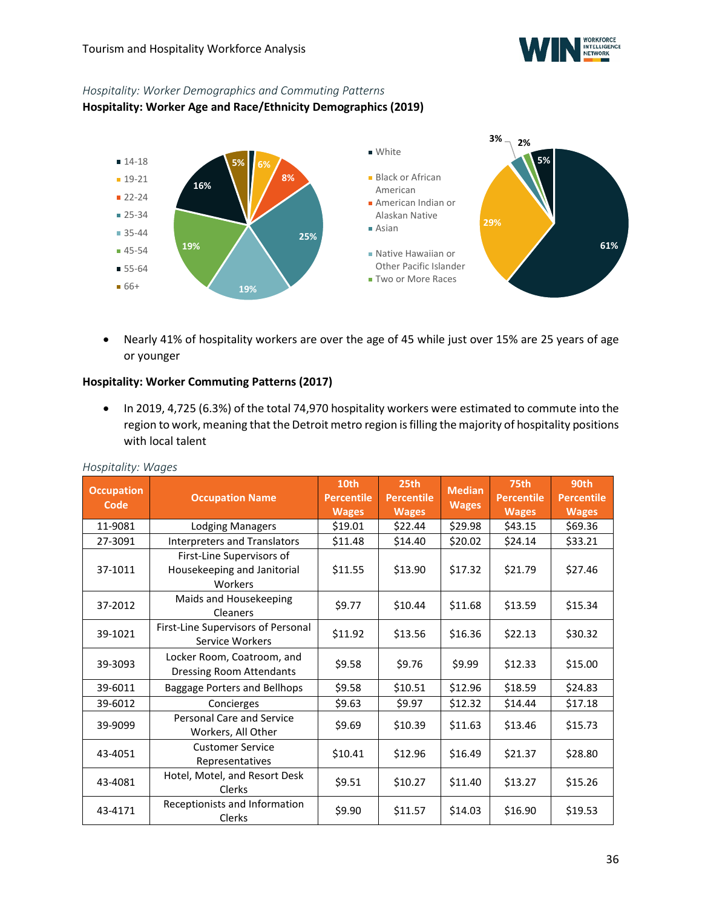

### *Hospitality: Worker Demographics and Commuting Patterns*

**Hospitality: Worker Age and Race/Ethnicity Demographics (2019)**



• Nearly 41% of hospitality workers are over the age of 45 while just over 15% are 25 years of age or younger

### **Hospitality: Worker Commuting Patterns (2017)**

• In 2019, 4,725 (6.3%) of the total 74,970 hospitality workers were estimated to commute into the region to work, meaning that the Detroit metro region is filling the majority of hospitality positions with local talent

| <b>Occupation</b><br>Code | <b>Occupation Name</b>                                              | 10th<br><b>Percentile</b><br><b>Wages</b> | 25th<br><b>Percentile</b><br><b>Wages</b> | <b>Median</b><br><b>Wages</b> | 75th<br><b>Percentile</b><br><b>Wages</b> | 90th<br><b>Percentile</b><br><b>Wages</b> |
|---------------------------|---------------------------------------------------------------------|-------------------------------------------|-------------------------------------------|-------------------------------|-------------------------------------------|-------------------------------------------|
| 11-9081                   | Lodging Managers                                                    | \$19.01                                   | \$22.44                                   | \$29.98                       | \$43.15                                   | \$69.36                                   |
| 27-3091                   | Interpreters and Translators                                        | \$11.48                                   | \$14.40                                   | \$20.02                       | \$24.14                                   | \$33.21                                   |
| 37-1011                   | First-Line Supervisors of<br>Housekeeping and Janitorial<br>Workers | \$11.55                                   | \$13.90                                   | \$17.32                       | \$21.79                                   | \$27.46                                   |
| 37-2012                   | Maids and Housekeeping<br><b>Cleaners</b>                           | \$9.77                                    | \$10.44                                   | \$11.68                       | \$13.59                                   | \$15.34                                   |
| 39-1021                   | First-Line Supervisors of Personal<br>Service Workers               | \$11.92                                   | \$13.56                                   | \$16.36                       | \$22.13                                   | \$30.32                                   |
| 39-3093                   | Locker Room, Coatroom, and<br><b>Dressing Room Attendants</b>       | \$9.58                                    | \$9.76                                    | \$9.99                        | \$12.33                                   | \$15.00                                   |
| 39-6011                   | Baggage Porters and Bellhops                                        | \$9.58                                    | \$10.51                                   | \$12.96                       | \$18.59                                   | \$24.83                                   |
| 39-6012                   | Concierges                                                          | \$9.63                                    | \$9.97                                    | \$12.32                       | \$14.44                                   | \$17.18                                   |
| 39-9099                   | Personal Care and Service<br>Workers, All Other                     | \$9.69                                    | \$10.39                                   | \$11.63                       | \$13.46                                   | \$15.73                                   |
| 43-4051                   | <b>Customer Service</b><br>Representatives                          | \$10.41                                   | \$12.96                                   | \$16.49                       | \$21.37                                   | \$28.80                                   |
| 43-4081                   | Hotel, Motel, and Resort Desk<br>Clerks                             | \$9.51                                    | \$10.27                                   | \$11.40                       | \$13.27                                   | \$15.26                                   |
| 43-4171                   | Receptionists and Information<br>Clerks                             | \$9.90                                    | \$11.57                                   | \$14.03                       | \$16.90                                   | \$19.53                                   |

### *Hospitality: Wages*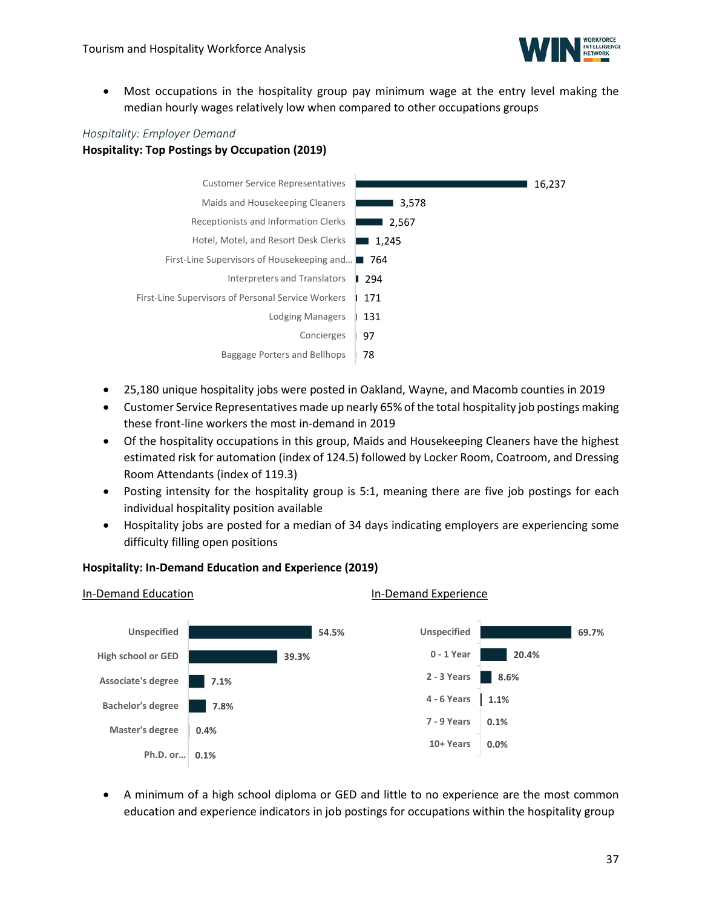

• Most occupations in the hospitality group pay minimum wage at the entry level making the median hourly wages relatively low when compared to other occupations groups

### *Hospitality: Employer Demand*

**Hospitality: Top Postings by Occupation (2019)**



- 25,180 unique hospitality jobs were posted in Oakland, Wayne, and Macomb counties in 2019
- Customer Service Representatives made up nearly 65% of the total hospitality job postings making these front-line workers the most in-demand in 2019
- Of the hospitality occupations in this group, Maids and Housekeeping Cleaners have the highest estimated risk for automation (index of 124.5) followed by Locker Room, Coatroom, and Dressing Room Attendants (index of 119.3)
- Posting intensity for the hospitality group is 5:1, meaning there are five job postings for each individual hospitality position available
- Hospitality jobs are posted for a median of 34 days indicating employers are experiencing some difficulty filling open positions

### **Hospitality: In-Demand Education and Experience (2019)**



• A minimum of a high school diploma or GED and little to no experience are the most common education and experience indicators in job postings for occupations within the hospitality group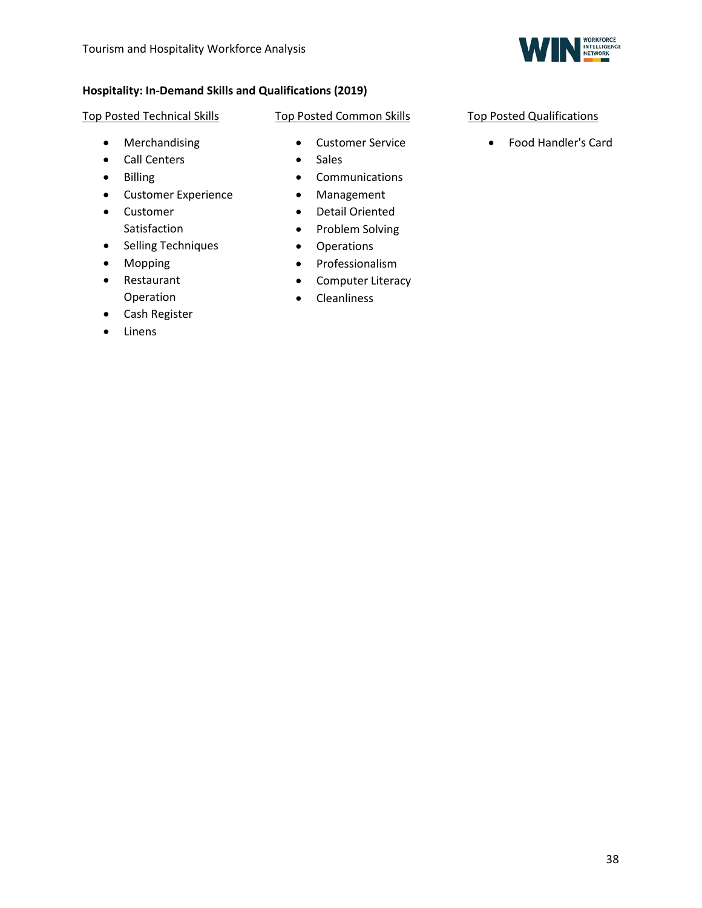

### **Hospitality: In-Demand Skills and Qualifications (2019)**

#### Top Posted Technical Skills

- Merchandising
- Call Centers
- Billing
- Customer Experience
- Customer Satisfaction
- Selling Techniques
- Mopping
- Restaurant Operation
- Cash Register
- <span id="page-37-0"></span>• Linens

### Top Posted Common Skills

- - Customer Service
	- Sales
	- Communications
	- Management
	- Detail Oriented
	- Problem Solving
	- Operations
	- Professionalism
	- Computer Literacy
	- Cleanliness

### Top Posted Qualifications

• Food Handler's Card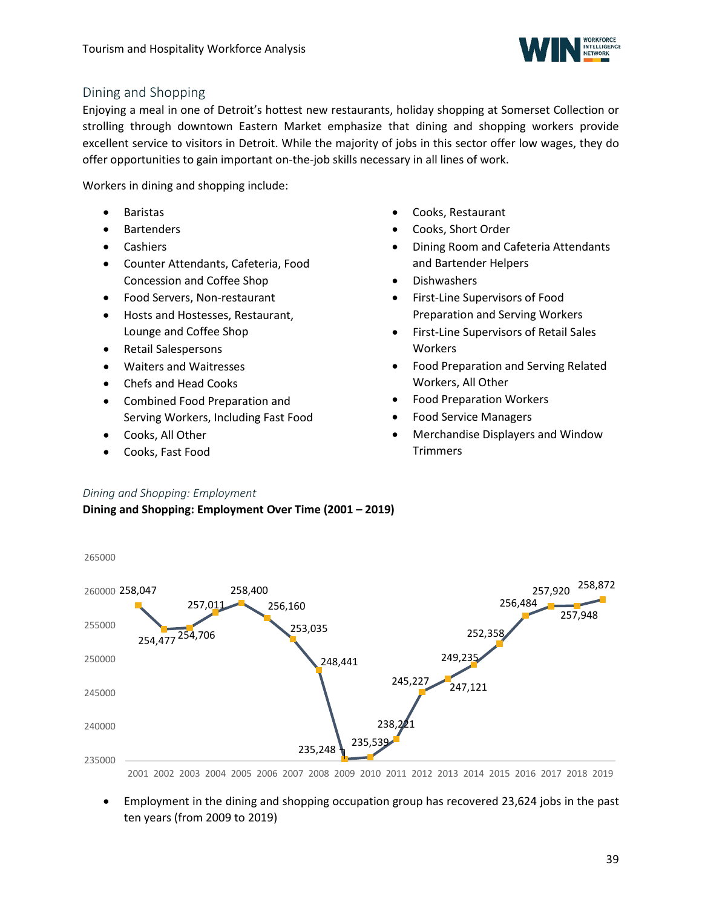

### Dining and Shopping

Enjoying a meal in one of Detroit's hottest new restaurants, holiday shopping at Somerset Collection or strolling through downtown Eastern Market emphasize that dining and shopping workers provide excellent service to visitors in Detroit. While the majority of jobs in this sector offer low wages, they do offer opportunities to gain important on-the-job skills necessary in all lines of work.

Workers in dining and shopping include:

- **Baristas**
- **Bartenders**
- Cashiers
- Counter Attendants, Cafeteria, Food Concession and Coffee Shop
- Food Servers, Non-restaurant
- Hosts and Hostesses, Restaurant, Lounge and Coffee Shop
- Retail Salespersons
- Waiters and Waitresses
- Chefs and Head Cooks
- Combined Food Preparation and Serving Workers, Including Fast Food
- Cooks, All Other
- Cooks, Fast Food
- Cooks, Restaurant
- Cooks, Short Order
- Dining Room and Cafeteria Attendants and Bartender Helpers
- Dishwashers
- First-Line Supervisors of Food Preparation and Serving Workers
- First-Line Supervisors of Retail Sales **Workers**
- Food Preparation and Serving Related Workers, All Other
- Food Preparation Workers
- Food Service Managers
- Merchandise Displayers and Window **Trimmers**

### *Dining and Shopping: Employment*

**Dining and Shopping: Employment Over Time (2001 – 2019)**



- 2001 2002 2003 2004 2005 2006 2007 2008 2009 2010 2011 2012 2013 2014 2015 2016 2017 2018 2019
- Employment in the dining and shopping occupation group has recovered 23,624 jobs in the past ten years (from 2009 to 2019)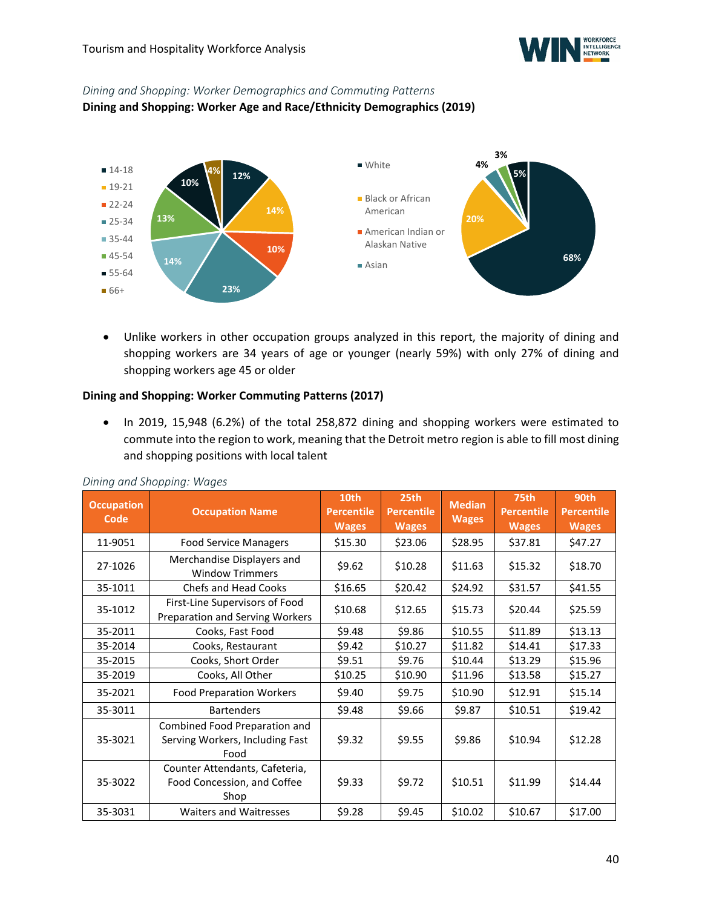

### *Dining and Shopping: Worker Demographics and Commuting Patterns*

**Dining and Shopping: Worker Age and Race/Ethnicity Demographics (2019)**



• Unlike workers in other occupation groups analyzed in this report, the majority of dining and shopping workers are 34 years of age or younger (nearly 59%) with only 27% of dining and shopping workers age 45 or older

### **Dining and Shopping: Worker Commuting Patterns (2017)**

• In 2019, 15,948 (6.2%) of the total 258,872 dining and shopping workers were estimated to commute into the region to work, meaning that the Detroit metro region is able to fill most dining and shopping positions with local talent

| <b>Occupation</b><br>Code | <b>Occupation Name</b>                                                   | 10th<br><b>Percentile</b><br><b>Wages</b> | 25th<br><b>Percentile</b><br><b>Wages</b> | <b>Median</b><br><b>Wages</b> | 75th<br><b>Percentile</b><br><b>Wages</b> | 90th<br><b>Percentile</b><br><b>Wages</b> |
|---------------------------|--------------------------------------------------------------------------|-------------------------------------------|-------------------------------------------|-------------------------------|-------------------------------------------|-------------------------------------------|
| 11-9051                   | <b>Food Service Managers</b>                                             | \$15.30                                   | \$23.06                                   | \$28.95                       | \$37.81                                   | \$47.27                                   |
| 27-1026                   | Merchandise Displayers and<br><b>Window Trimmers</b>                     | \$9.62                                    | \$10.28\$                                 | \$11.63                       | \$15.32                                   | \$18.70                                   |
| 35-1011                   | <b>Chefs and Head Cooks</b>                                              | \$16.65                                   | \$20.42                                   | \$24.92                       | \$31.57                                   | \$41.55                                   |
| 35-1012                   | First-Line Supervisors of Food<br>Preparation and Serving Workers        | \$10.68                                   | \$12.65                                   | \$15.73                       | \$20.44                                   | \$25.59                                   |
| 35-2011                   | Cooks, Fast Food                                                         | \$9.48                                    | \$9.86                                    | \$10.55                       | \$11.89                                   | \$13.13                                   |
| 35-2014                   | Cooks, Restaurant                                                        | \$9.42                                    | \$10.27                                   | \$11.82                       | \$14.41                                   | \$17.33                                   |
| 35-2015                   | Cooks, Short Order                                                       | \$9.51                                    | \$9.76                                    | \$10.44                       | \$13.29                                   | \$15.96                                   |
| 35-2019                   | Cooks, All Other                                                         | \$10.25                                   | \$10.90                                   | \$11.96                       | \$13.58                                   | \$15.27                                   |
| 35-2021                   | <b>Food Preparation Workers</b>                                          | \$9.40                                    | \$9.75                                    | \$10.90                       | \$12.91                                   | \$15.14                                   |
| 35-3011                   | <b>Bartenders</b>                                                        | \$9.48                                    | \$9.66                                    | \$9.87                        | \$10.51                                   | \$19.42                                   |
| 35-3021                   | Combined Food Preparation and<br>Serving Workers, Including Fast<br>Food | \$9.32                                    | \$9.55                                    | \$9.86                        | \$10.94                                   | \$12.28                                   |
| 35-3022                   | Counter Attendants, Cafeteria,<br>Food Concession, and Coffee<br>Shop    | \$9.33                                    | \$9.72                                    | \$10.51                       | \$11.99                                   | \$14.44                                   |
| 35-3031                   | <b>Waiters and Waitresses</b>                                            | \$9.28                                    | \$9.45                                    | \$10.02                       | \$10.67                                   | \$17.00                                   |

### *Dining and Shopping: Wages*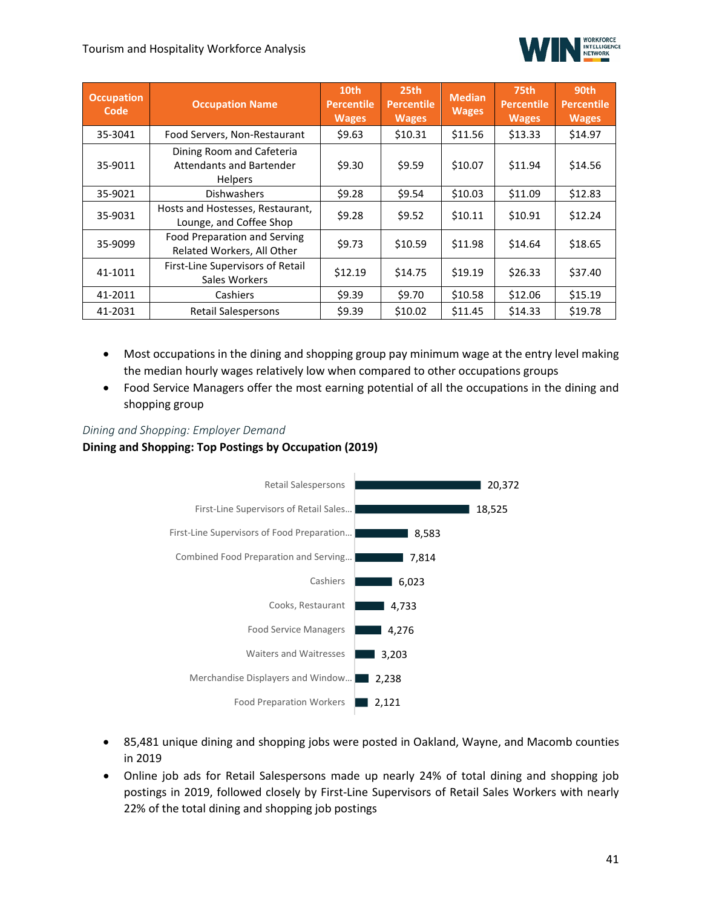### Tourism and Hospitality Workforce Analysis



| <b>Occupation</b><br>Code | <b>Occupation Name</b>                                                         | 10th<br><b>Percentile</b><br><b>Wages</b> | 25th<br><b>Percentile</b><br><b>Wages</b> | <b>Median</b><br><b>Wages</b> | 75th<br><b>Percentile</b><br><b>Wages</b> | 90th<br><b>Percentile</b><br><b>Wages</b> |
|---------------------------|--------------------------------------------------------------------------------|-------------------------------------------|-------------------------------------------|-------------------------------|-------------------------------------------|-------------------------------------------|
| 35-3041                   | Food Servers, Non-Restaurant                                                   | \$9.63                                    | \$10.31                                   | \$11.56                       | \$13.33                                   | \$14.97                                   |
| 35-9011                   | Dining Room and Cafeteria<br><b>Attendants and Bartender</b><br><b>Helpers</b> | \$9.30                                    | \$9.59                                    | \$10.07                       | \$11.94                                   | \$14.56                                   |
| 35-9021                   | <b>Dishwashers</b>                                                             | \$9.28                                    | \$9.54                                    | \$10.03                       | \$11.09                                   | \$12.83                                   |
| 35-9031                   | Hosts and Hostesses, Restaurant,<br>Lounge, and Coffee Shop                    | \$9.28                                    | \$9.52                                    | \$10.11                       | \$10.91                                   | \$12.24                                   |
| 35-9099                   | Food Preparation and Serving<br>Related Workers, All Other                     | \$9.73                                    | \$10.59                                   | \$11.98                       | \$14.64                                   | \$18.65                                   |
| 41-1011                   | First-Line Supervisors of Retail<br>Sales Workers                              | \$12.19                                   | \$14.75                                   | \$19.19                       | \$26.33                                   | \$37.40                                   |
| 41-2011                   | Cashiers                                                                       | \$9.39                                    | \$9.70                                    | \$10.58                       | \$12.06                                   | \$15.19                                   |
| 41-2031                   | Retail Salespersons                                                            | \$9.39                                    | \$10.02                                   | \$11.45                       | \$14.33                                   | \$19.78                                   |

- Most occupations in the dining and shopping group pay minimum wage at the entry level making the median hourly wages relatively low when compared to other occupations groups
- Food Service Managers offer the most earning potential of all the occupations in the dining and shopping group

### *Dining and Shopping: Employer Demand*  **Dining and Shopping: Top Postings by Occupation (2019)**



- 85,481 unique dining and shopping jobs were posted in Oakland, Wayne, and Macomb counties in 2019
- Online job ads for Retail Salespersons made up nearly 24% of total dining and shopping job postings in 2019, followed closely by First-Line Supervisors of Retail Sales Workers with nearly 22% of the total dining and shopping job postings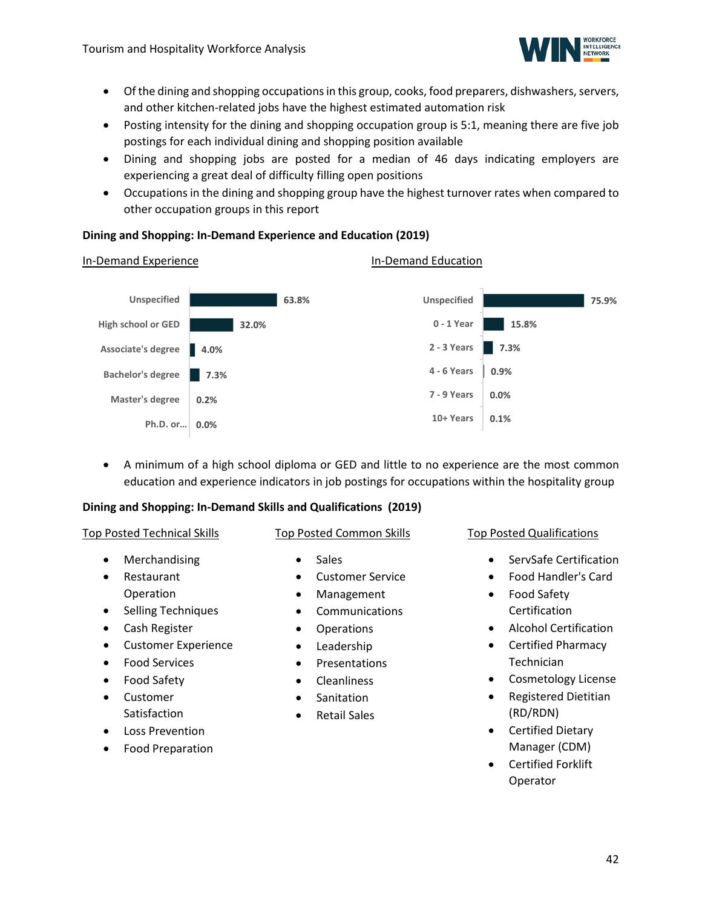

- Of the dining and shopping occupations in this group, cooks, food preparers, dishwashers, servers, and other kitchen-related jobs have the highest estimated automation risk
- Posting intensity for the dining and shopping occupation group is 5:1, meaning there are five job postings for each individual dining and shopping position available
- Dining and shopping jobs are posted for a median of 46 days indicating employers are experiencing a great deal of difficulty filling open positions
- Occupations in the dining and shopping group have the highest turnover rates when compared to other occupation groups in this report

### **Dining and Shopping: In-Demand Experience and Education (2019)**



• A minimum of a high school diploma or GED and little to no experience are the most common education and experience indicators in job postings for occupations within the hospitality group

### **Dining and Shopping: In-Demand Skills and Qualifications (2019)**

### Top Posted Technical Skills

- 
- **Merchandising** • Restaurant Operation
- Selling Techniques
- Cash Register
- Customer Experience
- Food Services
- Food Safety
- Customer Satisfaction
- Loss Prevention
- Food Preparation

• Sales

Top Posted Common Skills

- Customer Service
- Management
- **Communications**
- Operations
- Leadership
- Presentations
- Cleanliness
- Sanitation
- Retail Sales

Top Posted Qualifications

- ServSafe Certification
- Food Handler's Card
- Food Safety Certification
- Alcohol Certification
- Certified Pharmacy Technician
- Cosmetology License
- Registered Dietitian (RD/RDN)
- Certified Dietary Manager (CDM)
- Certified Forklift Operator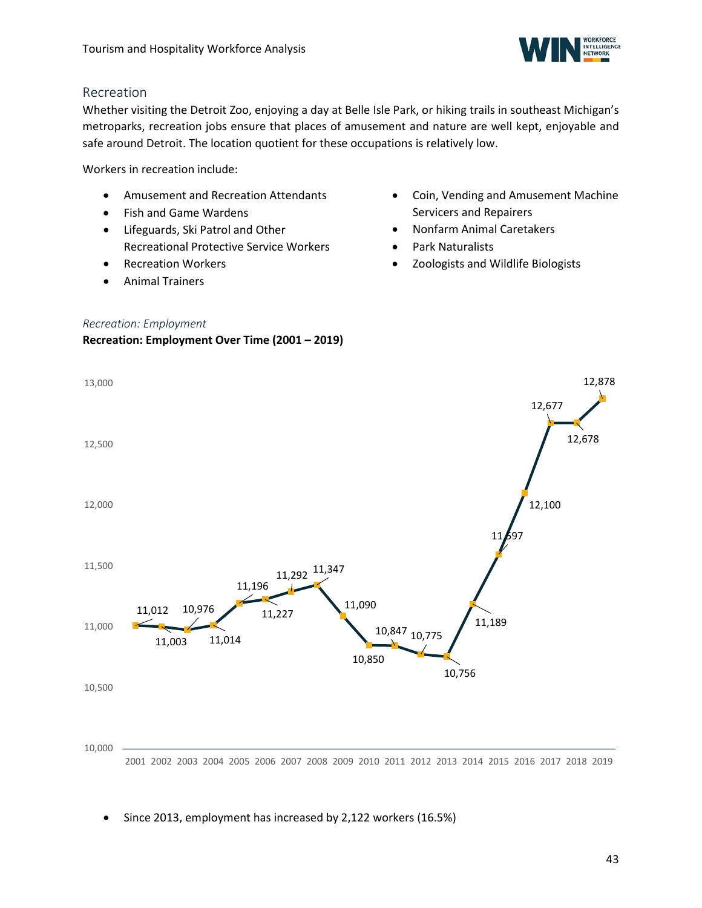

### <span id="page-42-0"></span>Recreation

Whether visiting the Detroit Zoo, enjoying a day at Belle Isle Park, or hiking trails in southeast Michigan's metroparks, recreation jobs ensure that places of amusement and nature are well kept, enjoyable and safe around Detroit. The location quotient for these occupations is relatively low.

Workers in recreation include:

- Amusement and Recreation Attendants
- Fish and Game Wardens
- Lifeguards, Ski Patrol and Other Recreational Protective Service Workers
- Recreation Workers
- Animal Trainers
- Coin, Vending and Amusement Machine Servicers and Repairers
- Nonfarm Animal Caretakers
- Park Naturalists
- Zoologists and Wildlife Biologists

### *Recreation: Employment*

### **Recreation: Employment Over Time (2001 – 2019)**



• Since 2013, employment has increased by 2,122 workers (16.5%)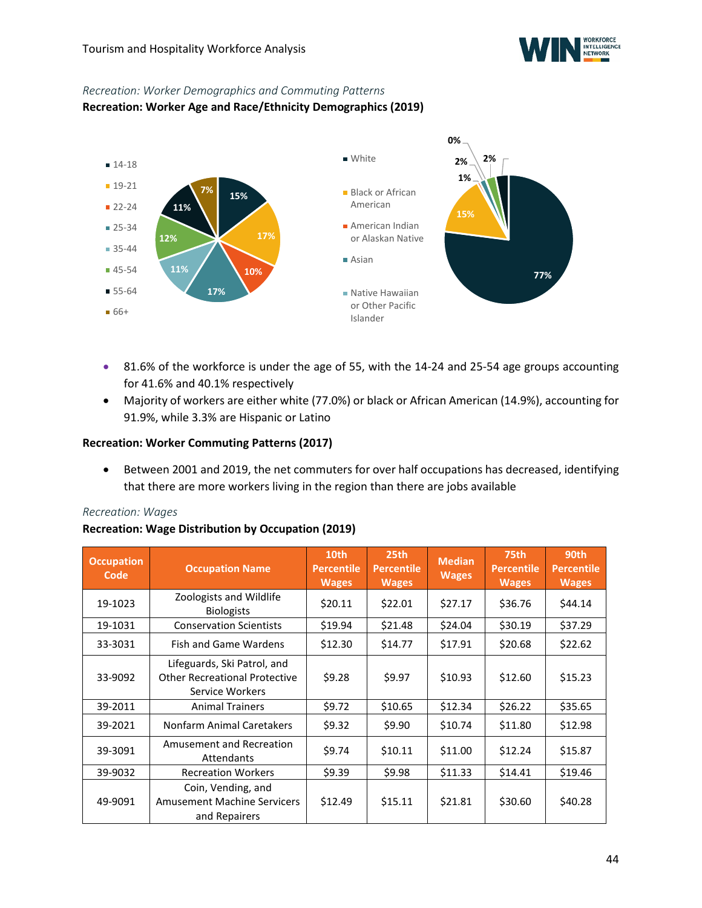

### *Recreation: Worker Demographics and Commuting Patterns*

### **Recreation: Worker Age and Race/Ethnicity Demographics (2019)**



- 81.6% of the workforce is under the age of 55, with the 14-24 and 25-54 age groups accounting for 41.6% and 40.1% respectively
- Majority of workers are either white (77.0%) or black or African American (14.9%), accounting for 91.9%, while 3.3% are Hispanic or Latino

### **Recreation: Worker Commuting Patterns (2017)**

• Between 2001 and 2019, the net commuters for over half occupations has decreased, identifying that there are more workers living in the region than there are jobs available

### *Recreation: Wages*

### **Recreation: Wage Distribution by Occupation (2019)**

| <b>Occupation</b><br>Code | <b>Occupation Name</b>                                                                 | 10th<br><b>Percentile</b><br><b>Wages</b> | 25 <sub>th</sub><br><b>Percentile</b><br><b>Wages</b> | <b>Median</b><br><b>Wages</b> | 75th<br><b>Percentile</b><br><b>Wages</b> | 90th<br><b>Percentile</b><br><b>Wages</b> |
|---------------------------|----------------------------------------------------------------------------------------|-------------------------------------------|-------------------------------------------------------|-------------------------------|-------------------------------------------|-------------------------------------------|
| 19-1023                   | Zoologists and Wildlife<br><b>Biologists</b>                                           | \$20.11                                   | \$22.01                                               | \$27.17                       | \$36.76                                   | \$44.14                                   |
| 19-1031                   | <b>Conservation Scientists</b>                                                         | \$19.94                                   | \$21.48                                               | \$24.04                       | \$30.19                                   | \$37.29                                   |
| 33-3031                   | <b>Fish and Game Wardens</b>                                                           | \$12.30                                   | \$14.77                                               | \$17.91                       | \$20.68                                   | \$22.62                                   |
| 33-9092                   | Lifeguards, Ski Patrol, and<br><b>Other Recreational Protective</b><br>Service Workers | \$9.28                                    | \$9.97                                                | \$10.93                       | \$12.60                                   | \$15.23                                   |
| 39-2011                   | <b>Animal Trainers</b>                                                                 | \$9.72                                    | \$10.65                                               | \$12.34                       | \$26.22                                   | \$35.65                                   |
| 39-2021                   | Nonfarm Animal Caretakers                                                              | \$9.32                                    | \$9.90                                                | \$10.74                       | \$11.80                                   | \$12.98                                   |
| 39-3091                   | Amusement and Recreation<br>Attendants                                                 | \$9.74                                    | \$10.11                                               | \$11.00                       | \$12.24                                   | \$15.87                                   |
| 39-9032                   | <b>Recreation Workers</b>                                                              | \$9.39                                    | \$9.98                                                | \$11.33                       | \$14.41                                   | \$19.46                                   |
| 49-9091                   | Coin, Vending, and<br><b>Amusement Machine Servicers</b><br>and Repairers              | \$12.49                                   | \$15.11                                               | \$21.81                       | \$30.60                                   | \$40.28                                   |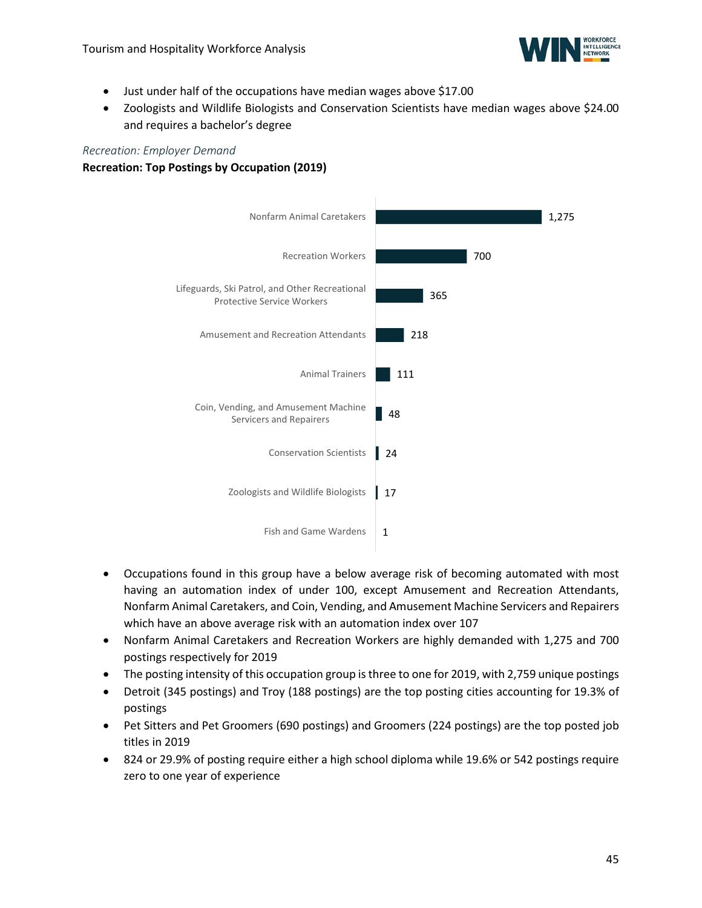

- Just under half of the occupations have median wages above \$17.00
- Zoologists and Wildlife Biologists and Conservation Scientists have median wages above \$24.00 and requires a bachelor's degree

#### *Recreation: Employer Demand*

### **Recreation: Top Postings by Occupation (2019)**



- Occupations found in this group have a below average risk of becoming automated with most having an automation index of under 100, except Amusement and Recreation Attendants, Nonfarm Animal Caretakers, and Coin, Vending, and Amusement Machine Servicers and Repairers which have an above average risk with an automation index over 107
- Nonfarm Animal Caretakers and Recreation Workers are highly demanded with 1,275 and 700 postings respectively for 2019
- The posting intensity of this occupation group is three to one for 2019, with 2,759 unique postings
- Detroit (345 postings) and Troy (188 postings) are the top posting cities accounting for 19.3% of postings
- Pet Sitters and Pet Groomers (690 postings) and Groomers (224 postings) are the top posted job titles in 2019
- 824 or 29.9% of posting require either a high school diploma while 19.6% or 542 postings require zero to one year of experience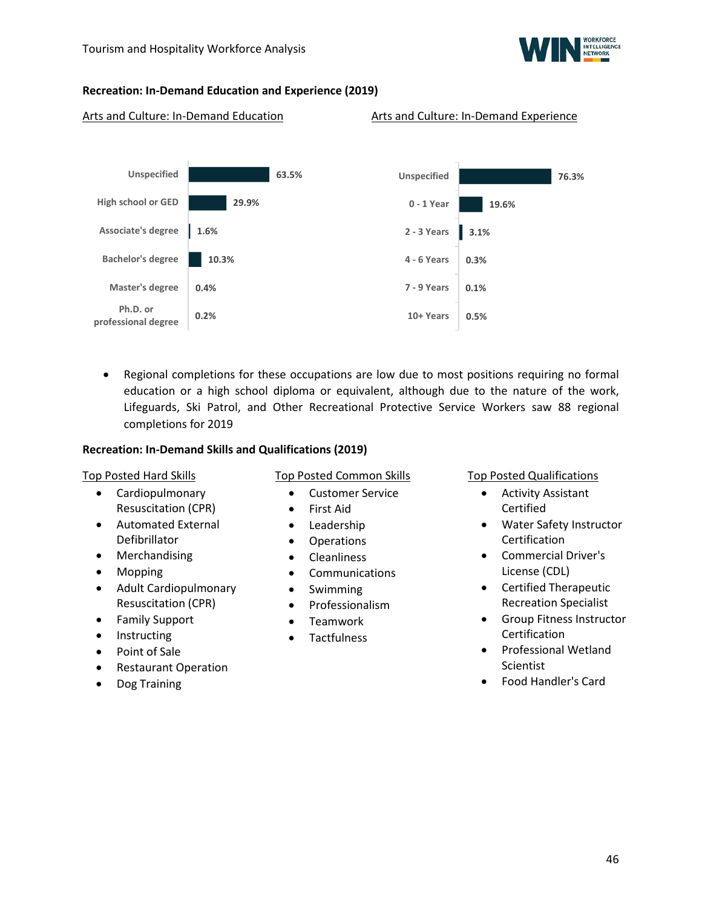

### **Recreation: In-Demand Education and Experience (2019)**

#### Arts and Culture: In-Demand Education Arts and Culture: In-Demand Experience



• Regional completions for these occupations are low due to most positions requiring no formal education or a high school diploma or equivalent, although due to the nature of the work, Lifeguards, Ski Patrol, and Other Recreational Protective Service Workers saw 88 regional completions for 2019

#### **Recreation: In-Demand Skills and Qualifications (2019)**

#### Top Posted Hard Skills

- Cardiopulmonary Resuscitation (CPR)
- Automated External Defibrillator
- Merchandising
- Mopping
- Adult Cardiopulmonary Resuscitation (CPR)
- Family Support
- Instructing
- Point of Sale
- Restaurant Operation
- Dog Training

Top Posted Common Skills

- Customer Service
- First Aid
- Leadership
- Operations
- Cleanliness
- Communications
- Swimming
- Professionalism
- Teamwork
- Tactfulness

Top Posted Qualifications

- Activity Assistant Certified
- Water Safety Instructor Certification
- Commercial Driver's License (CDL)
- Certified Therapeutic Recreation Specialist
- Group Fitness Instructor **Certification**
- Professional Wetland Scientist
- Food Handler's Card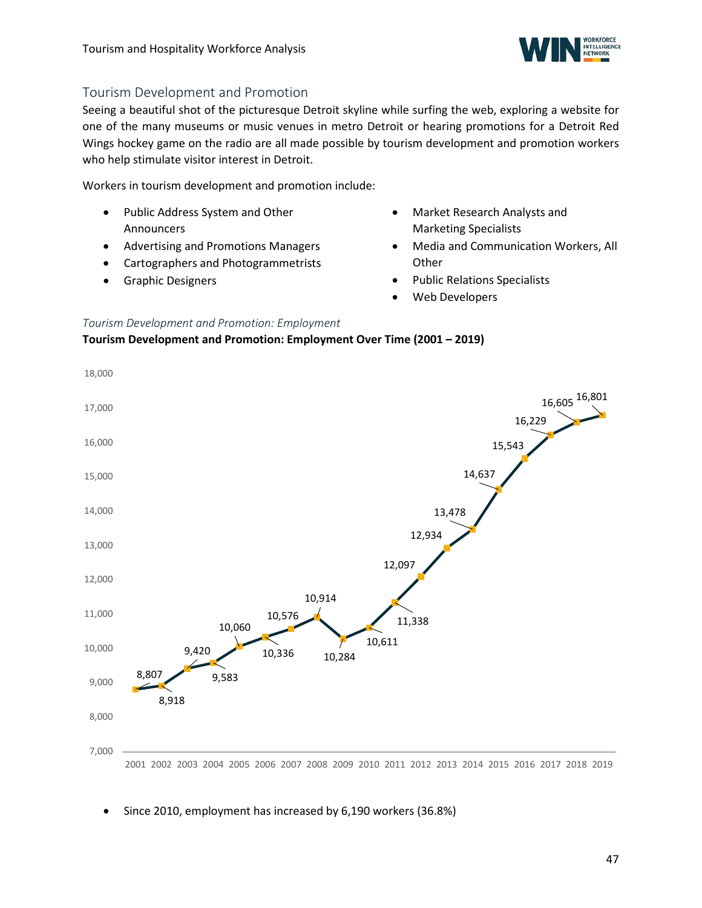

### <span id="page-46-0"></span>Tourism Development and Promotion

Seeing a beautiful shot of the picturesque Detroit skyline while surfing the web, exploring a website for one of the many museums or music venues in metro Detroit or hearing promotions for a Detroit Red Wings hockey game on the radio are all made possible by tourism development and promotion workers who help stimulate visitor interest in Detroit.

Workers in tourism development and promotion include:

- Public Address System and Other Announcers
- Advertising and Promotions Managers
- Cartographers and Photogrammetrists
- Graphic Designers
- Market Research Analysts and Marketing Specialists
- Media and Communication Workers, All **Other**
- Public Relations Specialists
- Web Developers

### *Tourism Development and Promotion: Employment*

**Tourism Development and Promotion: Employment Over Time (2001 – 2019)**



• Since 2010, employment has increased by 6,190 workers (36.8%)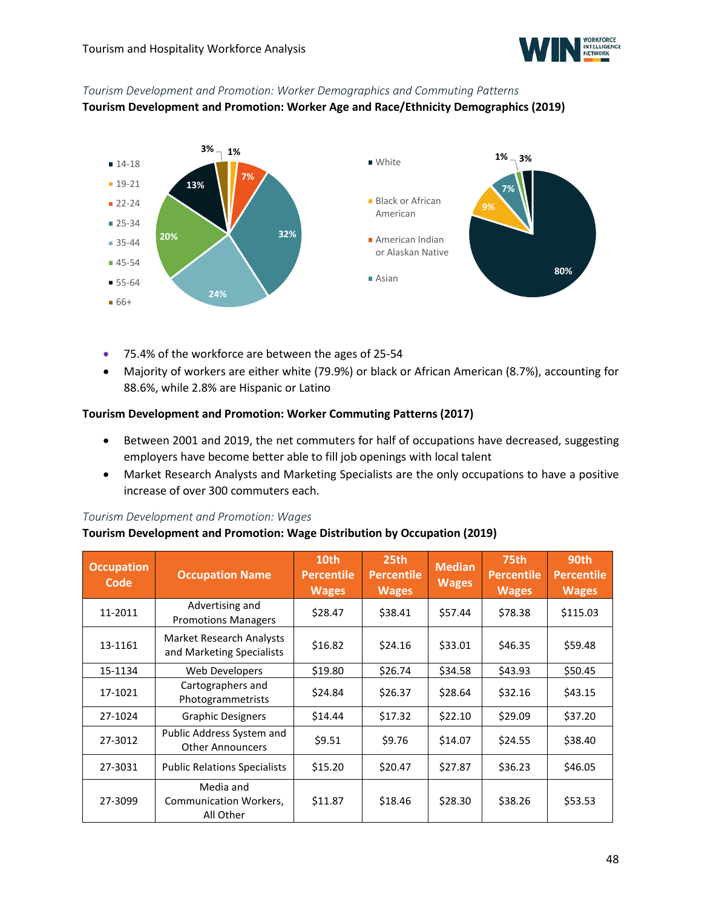

# *Tourism Development and Promotion: Worker Demographics and Commuting Patterns*

**Tourism Development and Promotion: Worker Age and Race/Ethnicity Demographics (2019)**



- 75.4% of the workforce are between the ages of 25-54
- Majority of workers are either white (79.9%) or black or African American (8.7%), accounting for 88.6%, while 2.8% are Hispanic or Latino

### **Tourism Development and Promotion: Worker Commuting Patterns (2017)**

- Between 2001 and 2019, the net commuters for half of occupations have decreased, suggesting employers have become better able to fill job openings with local talent
- Market Research Analysts and Marketing Specialists are the only occupations to have a positive increase of over 300 commuters each.

### *Tourism Development and Promotion: Wages*

### **Tourism Development and Promotion: Wage Distribution by Occupation (2019)**

| <b>Occupation</b><br>Code | <b>Occupation Name</b>                                       | 10th<br><b>Percentile</b><br><b>Wages</b> | 25th<br><b>Percentile</b><br><b>Wages</b> | <b>Median</b><br><b>Wages</b> | <b>75th</b><br><b>Percentile</b><br><b>Wages</b> | 90th<br><b>Percentile</b><br><b>Wages</b> |
|---------------------------|--------------------------------------------------------------|-------------------------------------------|-------------------------------------------|-------------------------------|--------------------------------------------------|-------------------------------------------|
| 11-2011                   | Advertising and<br><b>Promotions Managers</b>                | \$28.47                                   | \$38.41                                   | \$57.44                       | \$78.38                                          | \$115.03                                  |
| 13-1161                   | <b>Market Research Analysts</b><br>and Marketing Specialists | \$16.82                                   | \$24.16                                   | \$33.01                       | \$46.35                                          | \$59.48                                   |
| 15-1134                   | Web Developers                                               | \$19.80                                   | \$26.74                                   | \$34.58                       | \$43.93                                          | \$50.45                                   |
| 17-1021                   | Cartographers and<br><b>Photogrammetrists</b>                | \$24.84                                   | \$26.37                                   | \$28.64                       | \$32.16                                          | \$43.15                                   |
| 27-1024                   | <b>Graphic Designers</b>                                     | \$14.44                                   | \$17.32                                   | \$22.10                       | \$29.09                                          | \$37.20                                   |
| 27-3012                   | Public Address System and<br><b>Other Announcers</b>         | \$9.51                                    | \$9.76                                    | \$14.07                       | \$24.55                                          | \$38.40                                   |
| 27-3031                   | <b>Public Relations Specialists</b>                          | \$15.20                                   | \$20.47                                   | \$27.87                       | \$36.23                                          | \$46.05                                   |
| 27-3099                   | Media and<br><b>Communication Workers,</b><br>All Other      | \$11.87                                   | \$18.46                                   | \$28.30                       | \$38.26                                          | \$53.53                                   |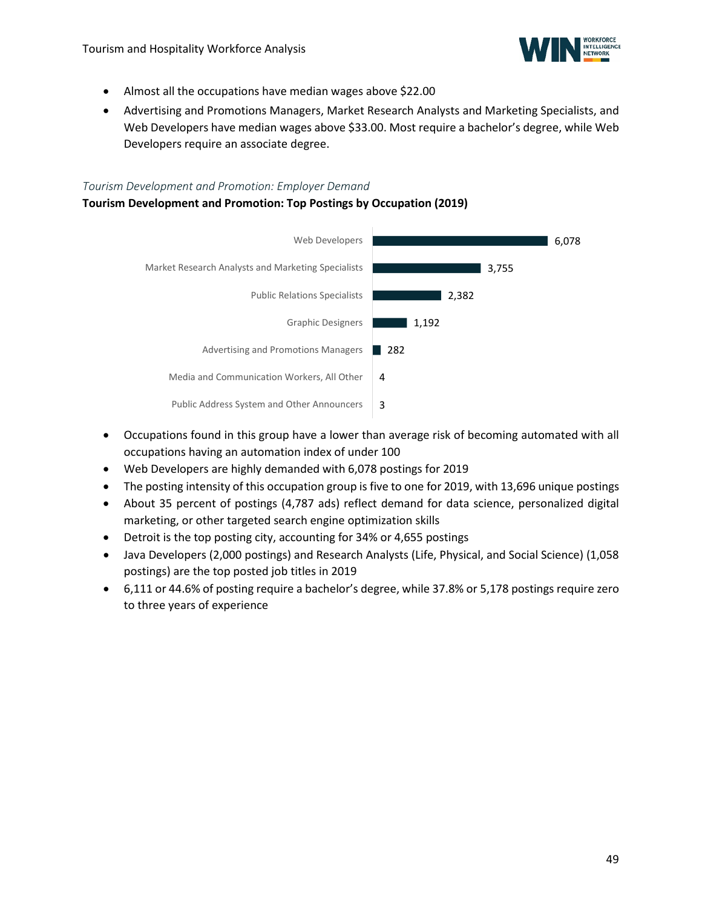

- Almost all the occupations have median wages above \$22.00
- Advertising and Promotions Managers, Market Research Analysts and Marketing Specialists, and Web Developers have median wages above \$33.00. Most require a bachelor's degree, while Web Developers require an associate degree.

#### *Tourism Development and Promotion: Employer Demand*

### **Tourism Development and Promotion: Top Postings by Occupation (2019)**



- Occupations found in this group have a lower than average risk of becoming automated with all occupations having an automation index of under 100
- Web Developers are highly demanded with 6,078 postings for 2019
- The posting intensity of this occupation group is five to one for 2019, with 13,696 unique postings
- About 35 percent of postings (4,787 ads) reflect demand for data science, personalized digital marketing, or other targeted search engine optimization skills
- Detroit is the top posting city, accounting for 34% or 4,655 postings
- Java Developers (2,000 postings) and Research Analysts (Life, Physical, and Social Science) (1,058 postings) are the top posted job titles in 2019
- 6,111 or 44.6% of posting require a bachelor's degree, while 37.8% or 5,178 postings require zero to three years of experience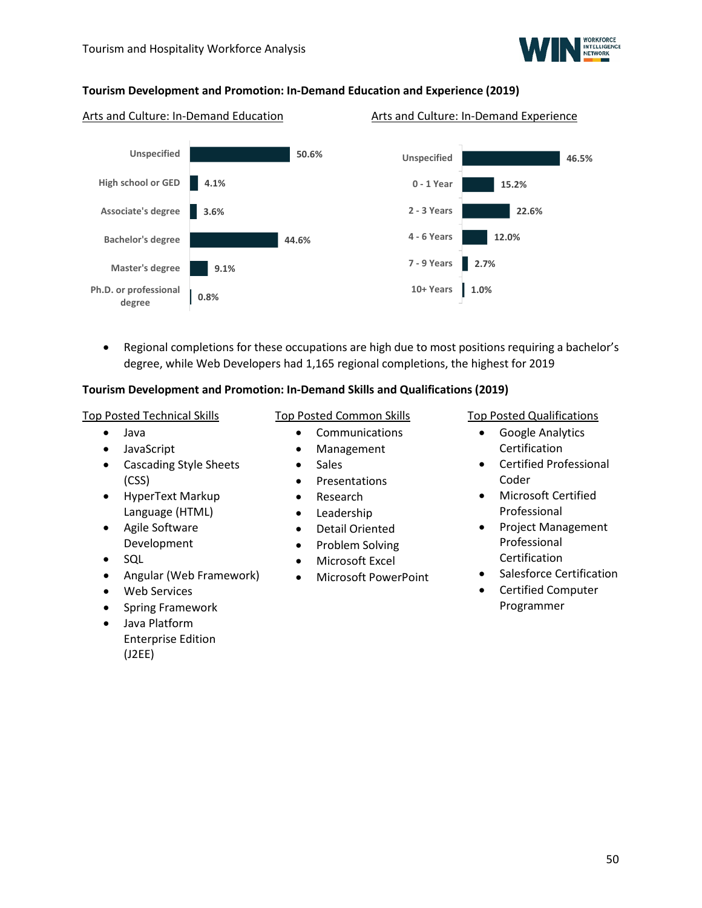

### **Tourism Development and Promotion: In-Demand Education and Experience (2019)**

#### Arts and Culture: In-Demand Education Arts and Culture: In-Demand Experience



• Regional completions for these occupations are high due to most positions requiring a bachelor's degree, while Web Developers had 1,165 regional completions, the highest for 2019

### **Tourism Development and Promotion: In-Demand Skills and Qualifications (2019)**

#### Top Posted Technical Skills

- Java
- JavaScript
- Cascading Style Sheets (CSS)
- HyperText Markup Language (HTML)
- Agile Software Development
- SQL
- Angular (Web Framework)
- Web Services
- Spring Framework
- <span id="page-49-0"></span>• Java Platform Enterprise Edition (J2EE)

### Top Posted Common Skills

- Communications
- Management
- Sales
- Presentations
- Research
- Leadership
- Detail Oriented
- Problem Solving
- Microsoft Excel
- Microsoft PowerPoint

### Top Posted Qualifications

- Google Analytics Certification
- Certified Professional Coder
- Microsoft Certified Professional
- Project Management Professional Certification
- Salesforce Certification
- Certified Computer Programmer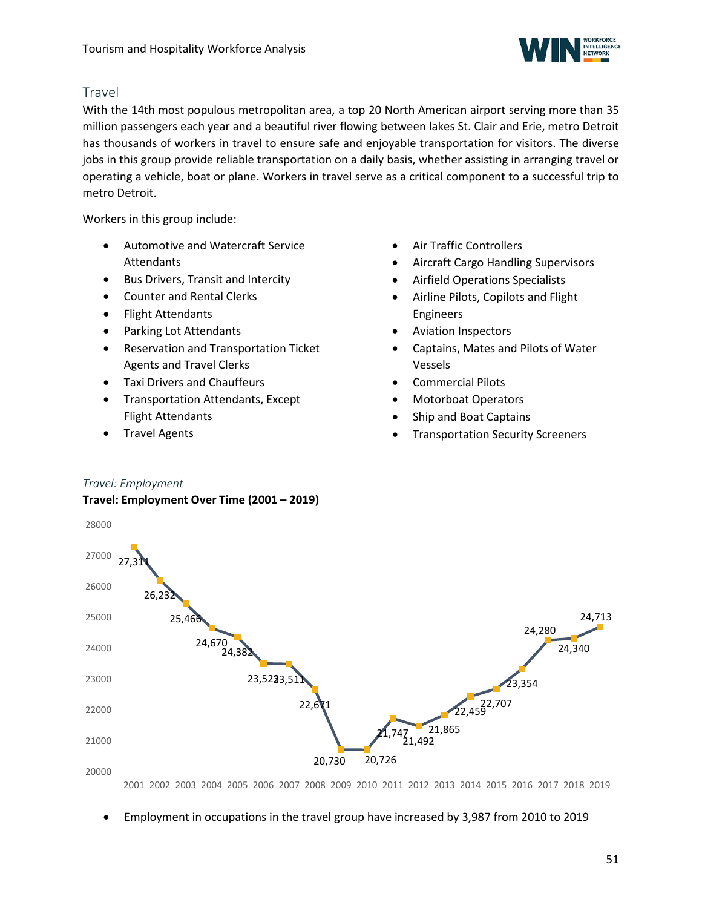

### Travel

With the 14th most populous metropolitan area, a top 20 North American airport serving more than 35 million passengers each year and a beautiful river flowing between lakes St. Clair and Erie, metro Detroit has thousands of workers in travel to ensure safe and enjoyable transportation for visitors. The diverse jobs in this group provide reliable transportation on a daily basis, whether assisting in arranging travel or operating a vehicle, boat or plane. Workers in travel serve as a critical component to a successful trip to metro Detroit.

Workers in this group include:

- Automotive and Watercraft Service Attendants
- Bus Drivers, Transit and Intercity
- Counter and Rental Clerks
- Flight Attendants
- Parking Lot Attendants
- Reservation and Transportation Ticket Agents and Travel Clerks
- Taxi Drivers and Chauffeurs
- Transportation Attendants, Except Flight Attendants
- Travel Agents
- Air Traffic Controllers
- Aircraft Cargo Handling Supervisors
- Airfield Operations Specialists
- Airline Pilots, Copilots and Flight Engineers
- Aviation Inspectors
- Captains, Mates and Pilots of Water Vessels
- Commercial Pilots
- Motorboat Operators
- Ship and Boat Captains
- Transportation Security Screeners

### *Travel: Employment*

### **Travel: Employment Over Time (2001 – 2019)**



2001 2002 2003 2004 2005 2006 2007 2008 2009 2010 2011 2012 2013 2014 2015 2016 2017 2018 2019

• Employment in occupations in the travel group have increased by 3,987 from 2010 to 2019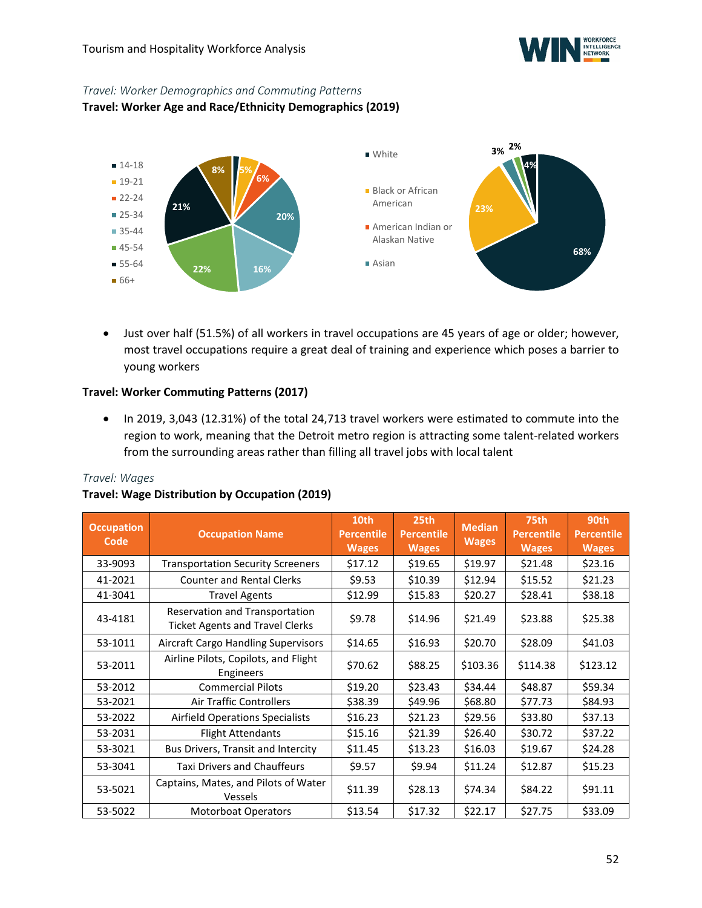

### *Travel: Worker Demographics and Commuting Patterns*

**Travel: Worker Age and Race/Ethnicity Demographics (2019)**



• Just over half (51.5%) of all workers in travel occupations are 45 years of age or older; however, most travel occupations require a great deal of training and experience which poses a barrier to young workers

### **Travel: Worker Commuting Patterns (2017)**

• In 2019, 3,043 (12.31%) of the total 24,713 travel workers were estimated to commute into the region to work, meaning that the Detroit metro region is attracting some talent-related workers from the surrounding areas rather than filling all travel jobs with local talent

### *Travel: Wages*

### **Travel: Wage Distribution by Occupation (2019)**

| <b>Occupation</b><br>Code | <b>Occupation Name</b>                                                   | 10th<br><b>Percentile</b><br><b>Wages</b> | 25th<br><b>Percentile</b><br><b>Wages</b> | <b>Median</b><br><b>Wages</b> | 75th<br><b>Percentile</b><br><b>Wages</b> | 90th<br><b>Percentile</b><br><b>Wages</b> |
|---------------------------|--------------------------------------------------------------------------|-------------------------------------------|-------------------------------------------|-------------------------------|-------------------------------------------|-------------------------------------------|
| 33-9093                   | <b>Transportation Security Screeners</b>                                 | \$17.12                                   | \$19.65                                   | \$19.97                       | \$21.48                                   | \$23.16                                   |
| 41-2021                   | <b>Counter and Rental Clerks</b>                                         | \$9.53                                    | \$10.39                                   | \$12.94                       | \$15.52                                   | \$21.23                                   |
| 41-3041                   | <b>Travel Agents</b>                                                     | \$12.99                                   | \$15.83                                   | \$20.27                       | \$28.41                                   | \$38.18                                   |
| 43-4181                   | Reservation and Transportation<br><b>Ticket Agents and Travel Clerks</b> | \$9.78                                    | \$14.96                                   | \$21.49                       | \$23.88                                   | \$25.38                                   |
| 53-1011                   | Aircraft Cargo Handling Supervisors                                      | \$14.65                                   | \$16.93                                   | \$20.70                       | \$28.09                                   | \$41.03                                   |
| 53-2011                   | Airline Pilots, Copilots, and Flight<br>Engineers                        | \$70.62                                   | \$88.25                                   | \$103.36                      | \$114.38                                  | \$123.12                                  |
| 53-2012                   | <b>Commercial Pilots</b>                                                 | \$19.20                                   | \$23.43                                   | \$34.44                       | \$48.87                                   | \$59.34                                   |
| 53-2021                   | <b>Air Traffic Controllers</b>                                           | \$38.39                                   | \$49.96                                   | \$68.80                       | \$77.73                                   | \$84.93                                   |
| 53-2022                   | <b>Airfield Operations Specialists</b>                                   | \$16.23                                   | \$21.23                                   | \$29.56                       | \$33.80                                   | \$37.13                                   |
| 53-2031                   | <b>Flight Attendants</b>                                                 | \$15.16                                   | \$21.39                                   | \$26.40                       | \$30.72                                   | \$37.22                                   |
| 53-3021                   | Bus Drivers, Transit and Intercity                                       | \$11.45                                   | \$13.23                                   | \$16.03                       | \$19.67                                   | \$24.28                                   |
| 53-3041                   | <b>Taxi Drivers and Chauffeurs</b>                                       | \$9.57                                    | \$9.94                                    | \$11.24                       | \$12.87                                   | \$15.23                                   |
| 53-5021                   | Captains, Mates, and Pilots of Water<br>Vessels                          | \$11.39                                   | \$28.13                                   | \$74.34                       | \$84.22                                   | \$91.11                                   |
| 53-5022                   | <b>Motorboat Operators</b>                                               | \$13.54                                   | \$17.32                                   | \$22.17                       | \$27.75                                   | \$33.09                                   |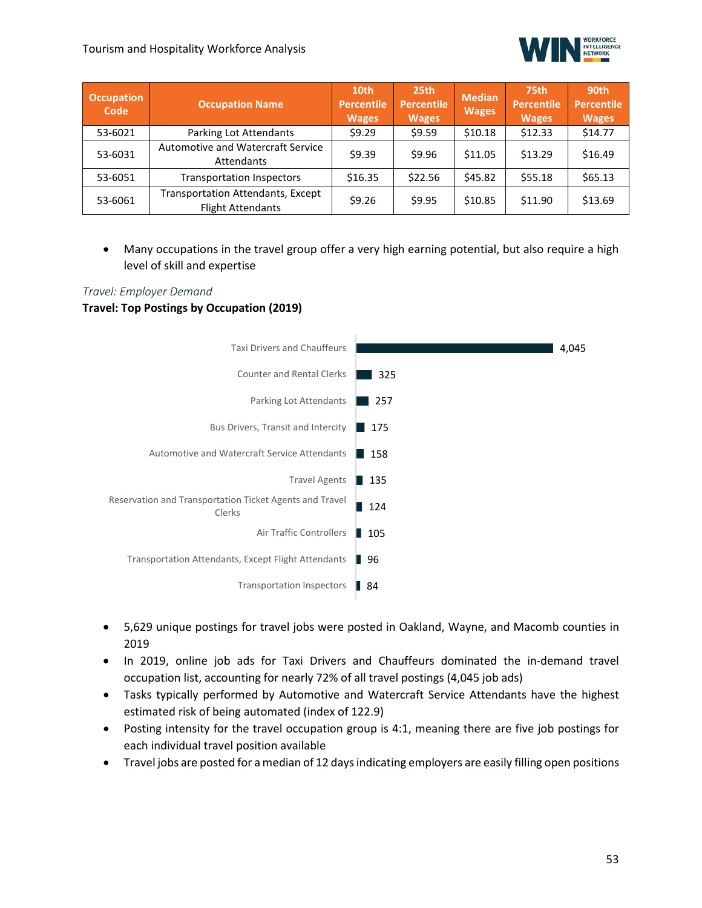

| <b>Occupation</b><br>Code | <b>Occupation Name</b>                                               | 10th<br><b>Percentile</b><br><b>Wages</b> | 25th<br><b>Percentile</b><br><b>Wages</b> | <b>Median</b><br><b>Wages</b> | 75th<br>Percentile<br><b>Wages</b> | 90th<br><b>Percentile</b><br><b>Wages</b> |
|---------------------------|----------------------------------------------------------------------|-------------------------------------------|-------------------------------------------|-------------------------------|------------------------------------|-------------------------------------------|
| 53-6021                   | Parking Lot Attendants                                               | \$9.29                                    | \$9.59                                    | \$10.18                       | \$12.33                            | \$14.77                                   |
| 53-6031                   | Automotive and Watercraft Service<br>Attendants                      | \$9.39                                    | \$9.96                                    | \$11.05                       | \$13.29                            | \$16.49                                   |
| 53-6051                   | <b>Transportation Inspectors</b>                                     | \$16.35                                   | \$22.56                                   | \$45.82                       | \$55.18                            | \$65.13                                   |
| 53-6061                   | <b>Transportation Attendants, Except</b><br><b>Flight Attendants</b> | \$9.26                                    | \$9.95                                    | \$10.85                       | \$11.90                            | \$13.69                                   |

• Many occupations in the travel group offer a very high earning potential, but also require a high level of skill and expertise

### *Travel: Employer Demand*  **Travel: Top Postings by Occupation (2019)**



- 5,629 unique postings for travel jobs were posted in Oakland, Wayne, and Macomb counties in 2019
- In 2019, online job ads for Taxi Drivers and Chauffeurs dominated the in-demand travel occupation list, accounting for nearly 72% of all travel postings (4,045 job ads)
- Tasks typically performed by Automotive and Watercraft Service Attendants have the highest estimated risk of being automated (index of 122.9)
- Posting intensity for the travel occupation group is 4:1, meaning there are five job postings for each individual travel position available
- Travel jobs are posted for a median of 12 days indicating employers are easily filling open positions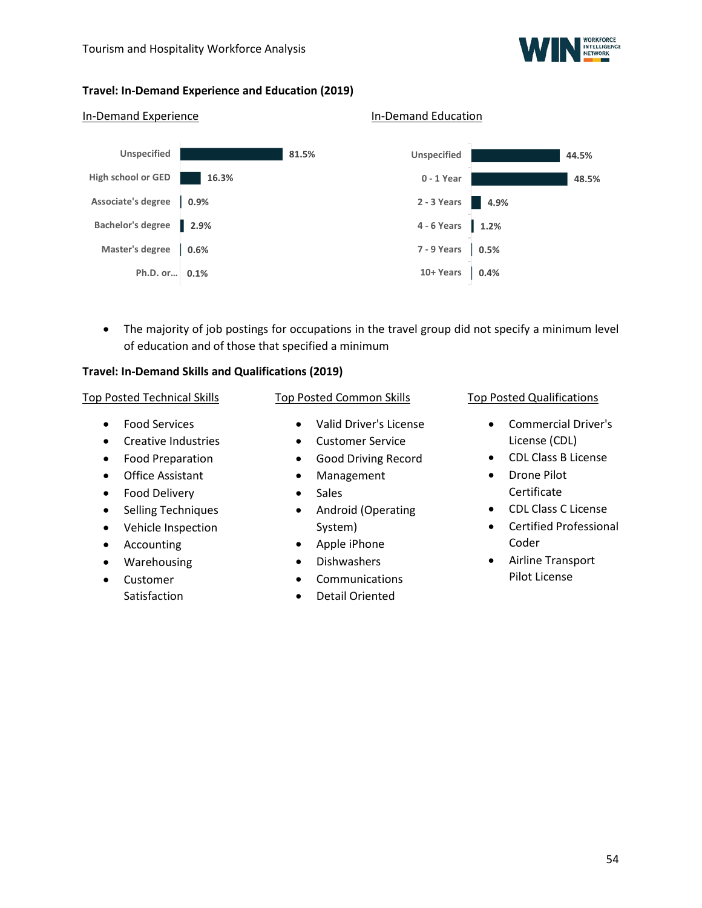

### **Travel: In-Demand Experience and Education (2019)**

In-Demand Experience In-Demand Education

#### **81.5% 16.3% 0.9% Associate's degree 2.9% Bachelor's degree 0.6% 0.1% Ph.D. or… Unspecified High school or GED Master's degree 44.5% 48.5% 4.9% 2 - 3 Years 1.2% 4 - 6 Years 0.5% 0.4% Unspecified 0 - 1 Year 7 - 9 Years 10+ Years**

• The majority of job postings for occupations in the travel group did not specify a minimum level of education and of those that specified a minimum

### **Travel: In-Demand Skills and Qualifications (2019)**

#### Top Posted Technical Skills

- Food Services
- Creative Industries
- Food Preparation
- Office Assistant
- Food Delivery
- Selling Techniques
- Vehicle Inspection
- Accounting
- Warehousing
- Customer **Satisfaction**

### Top Posted Common Skills

- Valid Driver's License
- Customer Service
- Good Driving Record
- Management
- Sales
- Android (Operating System)
- Apple iPhone
- Dishwashers
- **Communications**
- Detail Oriented

### Top Posted Qualifications

- Commercial Driver's License (CDL)
- CDL Class B License
- Drone Pilot Certificate
- CDL Class C License
- Certified Professional Coder
- Airline Transport Pilot License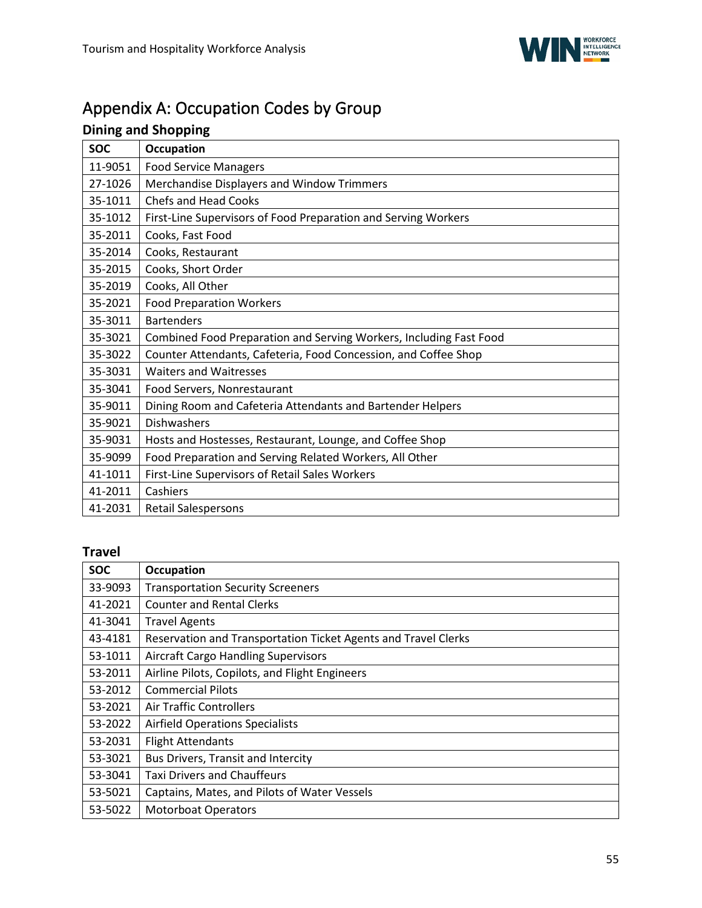# <span id="page-54-0"></span>Appendix A: Occupation Codes by Group

# **Dining and Shopping**

| <b>SOC</b> | <b>Occupation</b>                                                  |
|------------|--------------------------------------------------------------------|
| 11-9051    | <b>Food Service Managers</b>                                       |
| 27-1026    | Merchandise Displayers and Window Trimmers                         |
| 35-1011    | <b>Chefs and Head Cooks</b>                                        |
| 35-1012    | First-Line Supervisors of Food Preparation and Serving Workers     |
| 35-2011    | Cooks, Fast Food                                                   |
| 35-2014    | Cooks, Restaurant                                                  |
| 35-2015    | Cooks, Short Order                                                 |
| 35-2019    | Cooks, All Other                                                   |
| 35-2021    | <b>Food Preparation Workers</b>                                    |
| 35-3011    | <b>Bartenders</b>                                                  |
| 35-3021    | Combined Food Preparation and Serving Workers, Including Fast Food |
| 35-3022    | Counter Attendants, Cafeteria, Food Concession, and Coffee Shop    |
| 35-3031    | <b>Waiters and Waitresses</b>                                      |
| 35-3041    | Food Servers, Nonrestaurant                                        |
| 35-9011    | Dining Room and Cafeteria Attendants and Bartender Helpers         |
| 35-9021    | Dishwashers                                                        |
| 35-9031    | Hosts and Hostesses, Restaurant, Lounge, and Coffee Shop           |
| 35-9099    | Food Preparation and Serving Related Workers, All Other            |
| 41-1011    | First-Line Supervisors of Retail Sales Workers                     |
| 41-2011    | Cashiers                                                           |
| 41-2031    | <b>Retail Salespersons</b>                                         |

# **Travel**

| <b>SOC</b> | Occupation                                                     |
|------------|----------------------------------------------------------------|
| 33-9093    | <b>Transportation Security Screeners</b>                       |
| 41-2021    | <b>Counter and Rental Clerks</b>                               |
| 41-3041    | <b>Travel Agents</b>                                           |
| 43-4181    | Reservation and Transportation Ticket Agents and Travel Clerks |
| 53-1011    | <b>Aircraft Cargo Handling Supervisors</b>                     |
| 53-2011    | Airline Pilots, Copilots, and Flight Engineers                 |
| 53-2012    | <b>Commercial Pilots</b>                                       |
| 53-2021    | Air Traffic Controllers                                        |
| 53-2022    | <b>Airfield Operations Specialists</b>                         |
| 53-2031    | <b>Flight Attendants</b>                                       |
| 53-3021    | Bus Drivers, Transit and Intercity                             |
| 53-3041    | <b>Taxi Drivers and Chauffeurs</b>                             |
| 53-5021    | Captains, Mates, and Pilots of Water Vessels                   |
| 53-5022    | <b>Motorboat Operators</b>                                     |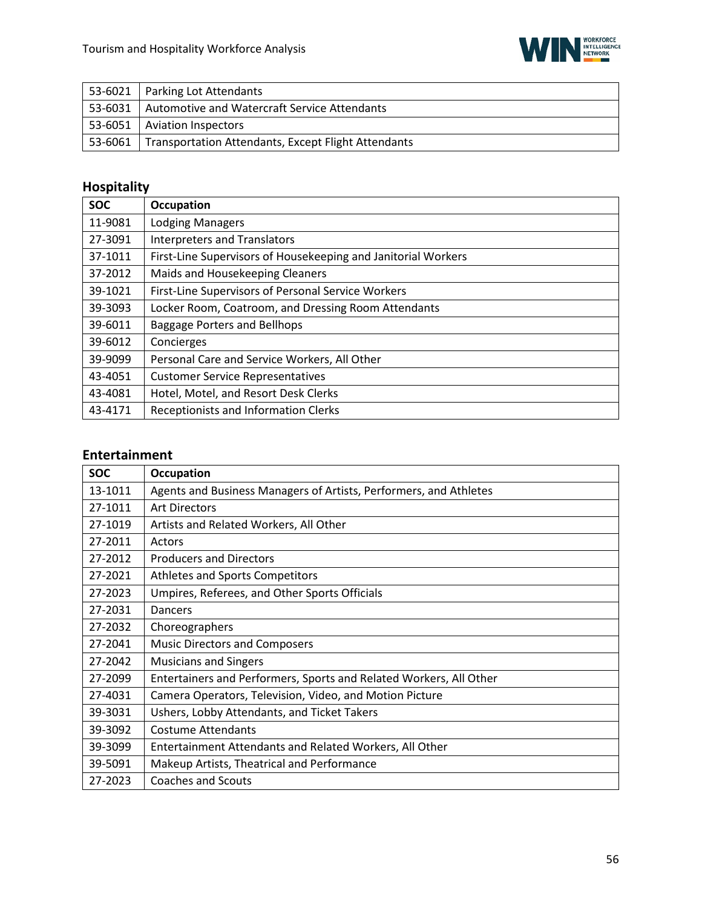

|         | 53-6021   Parking Lot Attendants                           |
|---------|------------------------------------------------------------|
| 53-6031 | Automotive and Watercraft Service Attendants               |
|         | 53-6051   Aviation Inspectors                              |
| 53-6061 | <b>Transportation Attendants, Except Flight Attendants</b> |

# **Hospitality**

| <b>SOC</b> | <b>Occupation</b>                                             |
|------------|---------------------------------------------------------------|
| 11-9081    | <b>Lodging Managers</b>                                       |
| 27-3091    | <b>Interpreters and Translators</b>                           |
| 37-1011    | First-Line Supervisors of Housekeeping and Janitorial Workers |
| 37-2012    | Maids and Housekeeping Cleaners                               |
| 39-1021    | First-Line Supervisors of Personal Service Workers            |
| 39-3093    | Locker Room, Coatroom, and Dressing Room Attendants           |
| 39-6011    | Baggage Porters and Bellhops                                  |
| 39-6012    | Concierges                                                    |
| 39-9099    | Personal Care and Service Workers, All Other                  |
| 43-4051    | <b>Customer Service Representatives</b>                       |
| 43-4081    | Hotel, Motel, and Resort Desk Clerks                          |
| 43-4171    | Receptionists and Information Clerks                          |

### **Entertainment**

| <b>SOC</b> | <b>Occupation</b>                                                  |
|------------|--------------------------------------------------------------------|
| 13-1011    | Agents and Business Managers of Artists, Performers, and Athletes  |
| 27-1011    | <b>Art Directors</b>                                               |
| 27-1019    | Artists and Related Workers, All Other                             |
| 27-2011    | Actors                                                             |
| 27-2012    | <b>Producers and Directors</b>                                     |
| 27-2021    | Athletes and Sports Competitors                                    |
| 27-2023    | Umpires, Referees, and Other Sports Officials                      |
| 27-2031    | Dancers                                                            |
| 27-2032    | Choreographers                                                     |
| 27-2041    | <b>Music Directors and Composers</b>                               |
| 27-2042    | <b>Musicians and Singers</b>                                       |
| 27-2099    | Entertainers and Performers, Sports and Related Workers, All Other |
| 27-4031    | Camera Operators, Television, Video, and Motion Picture            |
| 39-3031    | Ushers, Lobby Attendants, and Ticket Takers                        |
| 39-3092    | <b>Costume Attendants</b>                                          |
| 39-3099    | Entertainment Attendants and Related Workers, All Other            |
| 39-5091    | Makeup Artists, Theatrical and Performance                         |
| 27-2023    | <b>Coaches and Scouts</b>                                          |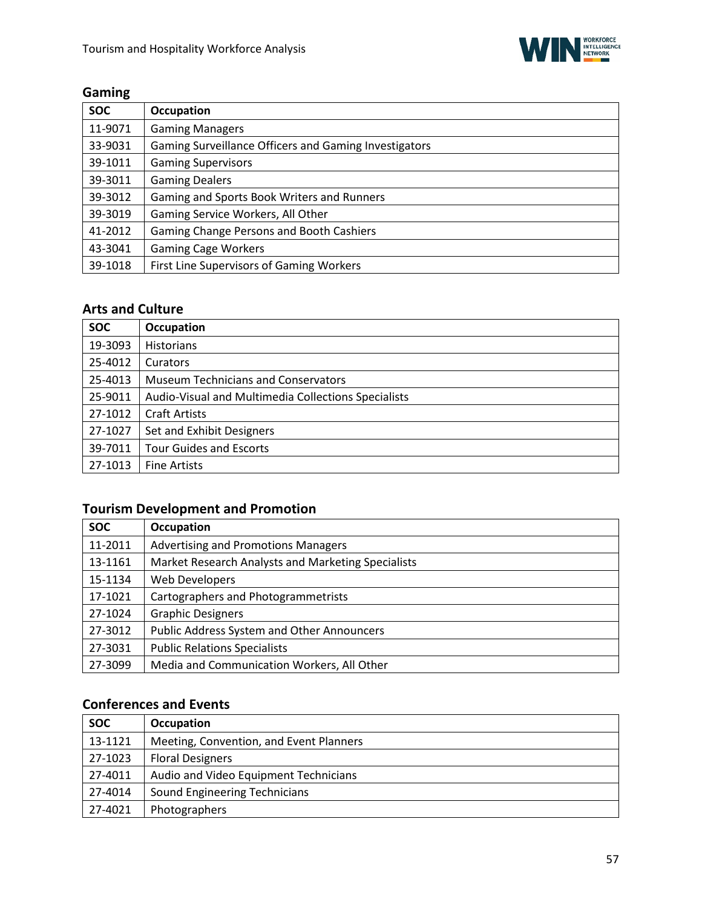

# **Gaming**

| <b>SOC</b> | <b>Occupation</b>                                     |
|------------|-------------------------------------------------------|
| 11-9071    | <b>Gaming Managers</b>                                |
| 33-9031    | Gaming Surveillance Officers and Gaming Investigators |
| 39-1011    | <b>Gaming Supervisors</b>                             |
| 39-3011    | <b>Gaming Dealers</b>                                 |
| 39-3012    | Gaming and Sports Book Writers and Runners            |
| 39-3019    | Gaming Service Workers, All Other                     |
| 41-2012    | Gaming Change Persons and Booth Cashiers              |
| 43-3041    | <b>Gaming Cage Workers</b>                            |
| 39-1018    | First Line Supervisors of Gaming Workers              |

### **Arts and Culture**

| <b>SOC</b> | <b>Occupation</b>                                   |
|------------|-----------------------------------------------------|
| 19-3093    | <b>Historians</b>                                   |
| 25-4012    | Curators                                            |
| 25-4013    | <b>Museum Technicians and Conservators</b>          |
| 25-9011    | Audio-Visual and Multimedia Collections Specialists |
| 27-1012    | <b>Craft Artists</b>                                |
| 27-1027    | Set and Exhibit Designers                           |
| 39-7011    | <b>Tour Guides and Escorts</b>                      |
| 27-1013    | <b>Fine Artists</b>                                 |

# **Tourism Development and Promotion**

| <b>SOC</b> | <b>Occupation</b>                                  |
|------------|----------------------------------------------------|
| 11-2011    | <b>Advertising and Promotions Managers</b>         |
| 13-1161    | Market Research Analysts and Marketing Specialists |
| 15-1134    | <b>Web Developers</b>                              |
| 17-1021    | Cartographers and Photogrammetrists                |
| 27-1024    | <b>Graphic Designers</b>                           |
| 27-3012    | <b>Public Address System and Other Announcers</b>  |
| 27-3031    | <b>Public Relations Specialists</b>                |
| 27-3099    | Media and Communication Workers, All Other         |

## **Conferences and Events**

| <b>SOC</b> | <b>Occupation</b>                       |
|------------|-----------------------------------------|
| 13-1121    | Meeting, Convention, and Event Planners |
| 27-1023    | <b>Floral Designers</b>                 |
| 27-4011    | Audio and Video Equipment Technicians   |
| 27-4014    | <b>Sound Engineering Technicians</b>    |
| 27-4021    | Photographers                           |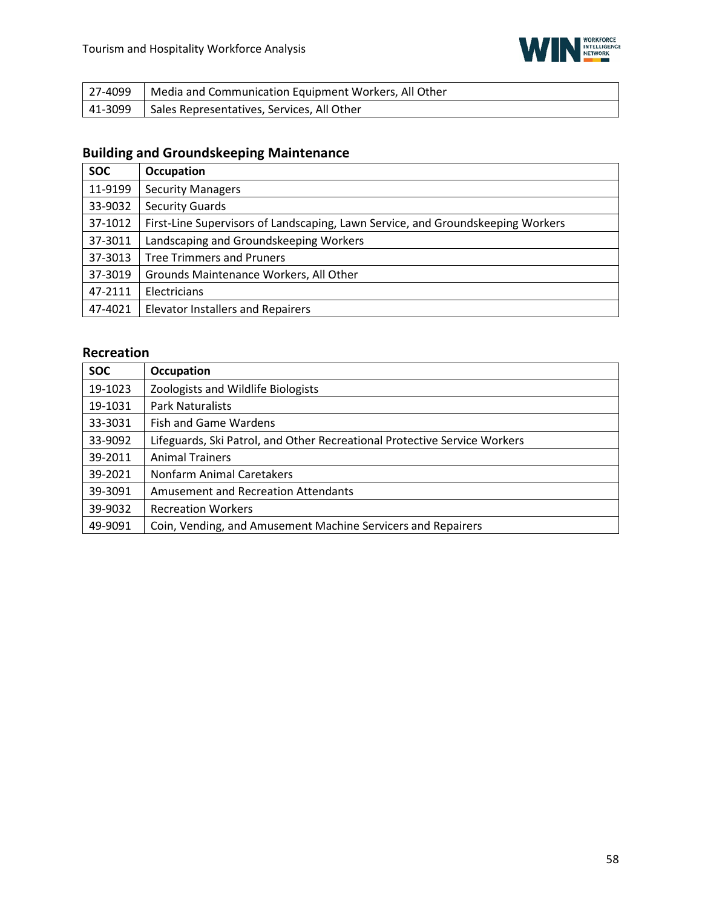

| 27-4099   Media and Communication Equipment Workers, All Other |
|----------------------------------------------------------------|
| 41-3099   Sales Representatives, Services, All Other           |

# **Building and Groundskeeping Maintenance**

| <b>SOC</b> | <b>Occupation</b>                                                               |
|------------|---------------------------------------------------------------------------------|
| 11-9199    | <b>Security Managers</b>                                                        |
| 33-9032    | <b>Security Guards</b>                                                          |
| 37-1012    | First-Line Supervisors of Landscaping, Lawn Service, and Groundskeeping Workers |
| 37-3011    | Landscaping and Groundskeeping Workers                                          |
| 37-3013    | <b>Tree Trimmers and Pruners</b>                                                |
| 37-3019    | Grounds Maintenance Workers, All Other                                          |
| 47-2111    | Electricians                                                                    |
| 47-4021    | <b>Elevator Installers and Repairers</b>                                        |

### **Recreation**

<span id="page-57-0"></span>

| <b>SOC</b> | <b>Occupation</b>                                                         |
|------------|---------------------------------------------------------------------------|
| 19-1023    | Zoologists and Wildlife Biologists                                        |
| 19-1031    | <b>Park Naturalists</b>                                                   |
| 33-3031    | <b>Fish and Game Wardens</b>                                              |
| 33-9092    | Lifeguards, Ski Patrol, and Other Recreational Protective Service Workers |
| 39-2011    | <b>Animal Trainers</b>                                                    |
| 39-2021    | Nonfarm Animal Caretakers                                                 |
| 39-3091    | <b>Amusement and Recreation Attendants</b>                                |
| 39-9032    | <b>Recreation Workers</b>                                                 |
| 49-9091    | Coin, Vending, and Amusement Machine Servicers and Repairers              |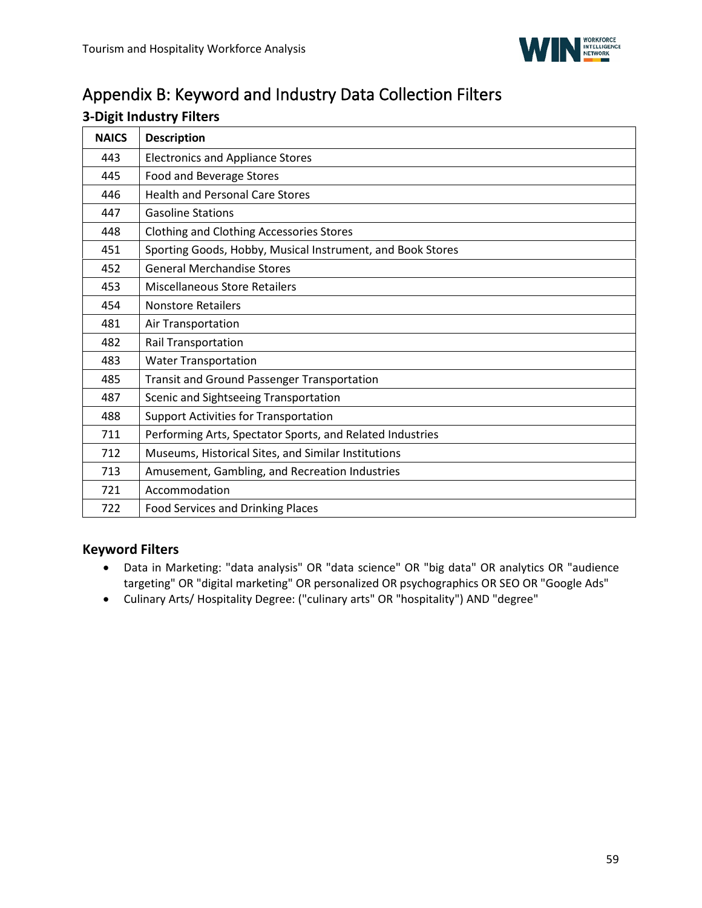

# Appendix B: Keyword and Industry Data Collection Filters

### **3-Digit Industry Filters**

| <b>NAICS</b> | <b>Description</b>                                         |
|--------------|------------------------------------------------------------|
| 443          | <b>Electronics and Appliance Stores</b>                    |
| 445          | Food and Beverage Stores                                   |
| 446          | <b>Health and Personal Care Stores</b>                     |
| 447          | <b>Gasoline Stations</b>                                   |
| 448          | <b>Clothing and Clothing Accessories Stores</b>            |
| 451          | Sporting Goods, Hobby, Musical Instrument, and Book Stores |
| 452          | <b>General Merchandise Stores</b>                          |
| 453          | <b>Miscellaneous Store Retailers</b>                       |
| 454          | <b>Nonstore Retailers</b>                                  |
| 481          | Air Transportation                                         |
| 482          | Rail Transportation                                        |
| 483          | <b>Water Transportation</b>                                |
| 485          | <b>Transit and Ground Passenger Transportation</b>         |
| 487          | Scenic and Sightseeing Transportation                      |
| 488          | <b>Support Activities for Transportation</b>               |
| 711          | Performing Arts, Spectator Sports, and Related Industries  |
| 712          | Museums, Historical Sites, and Similar Institutions        |
| 713          | Amusement, Gambling, and Recreation Industries             |
| 721          | Accommodation                                              |
| 722          | <b>Food Services and Drinking Places</b>                   |

### **Keyword Filters**

- Data in Marketing: "data analysis" OR "data science" OR "big data" OR analytics OR "audience targeting" OR "digital marketing" OR personalized OR psychographics OR SEO OR "Google Ads"
- <span id="page-58-0"></span>• Culinary Arts/ Hospitality Degree: ("culinary arts" OR "hospitality") AND "degree"